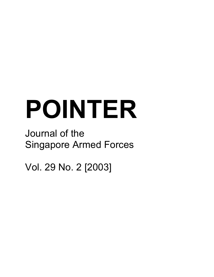# **POINTER**

# Journal of the Singapore Armed Forces

Vol. 29 No. 2 [2003]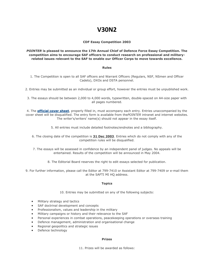# **V30N2**

#### **CDF Essay Competition 2003**

*POINTER* **is pleased to announce the 17th Annual Chief of Defence Force Essay Competition. The competition aims to encourage SAF officers to conduct research on professional and militaryrelated issues relevant to the SAF to enable our Officer Corps to move towards excellence.**

#### **Rules**

1. The Competition is open to all SAF officers and Warrant Officers (Regulars, NSF, NSmen and Officer Cadets), DXOs and DSTA personnel.

2. Entries may be submitted as an individual or group effort, however the entries must be unpublished work.

3. The essays should be between 2,000 to 4,000 words, typewritten, double-spaced on A4-size paper with all pages numbered.

4. The **[official cover sheet](http://www.mindef.gov.sg/safti/pointer/abtus/forms/CDFEC.doc)**, properly filled in, must accompany each entry. Entries unaccompanied by the cover sheet will be disqualified. The entry form is available from the*POINTER* intranet and internet websites. The writer's/writers' name(s) should not appear in the essay itself.

5. All entries must include detailed footnotes/endnotes and a bibliography.

6. The closing date of the competition is **31 Dec 2003**. Entries which do not comply with any of the competition rules will be disqualified.

7. The essays will be assessed in confidence by an independent panel of judges. No appeals will be entertained. Results of the competition will be announced in May 2004.

8. The Editorial Board reserves the right to edit essays selected for publication.

9. For further information, please call the Editor at 799-7410 or Assistant Editor at 799-7409 or e-mail them at the SAFTI MI HQ address.

#### **Topics**

10. Entries may be submitted on any of the following subjects:

- Military strategy and tactics
- SAF doctrinal development and concepts
- Professionalism, values and leadership in the military
- Military campaigns or history and their relevance to the SAF
- Personal experiences in combat operations, peacekeeping operations or overseas training
- Defence management, administration and organisational change
- Regional geopolitics and strategic issues
- Defence technology

#### **Prizes**

11. Prizes will be awarded as follows: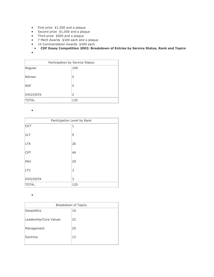- First prize \$1,500 and a plaque
- Second prize \$1,000 and a plaque
- Third prize \$500 and a plaque
- 7 Merit Awards \$300 each and a plaque
- 10 Commendation Awards \$300 each
- **CDF Essay Competition 2002: Breakdown of Entries by Service Status, Rank and Topics**
- $\bullet$

| Participation by Service Status |               |  |
|---------------------------------|---------------|--|
| Regular                         | 109           |  |
| <b>NSmen</b>                    | 5             |  |
| <b>NSF</b>                      | 4             |  |
| DXO/DSTA                        | $\mathcal{P}$ |  |
| <b>TOTAL</b>                    | 120           |  |

 $\bullet$ 

| Participation Level by Rank |              |  |
|-----------------------------|--------------|--|
| <b>OCT</b>                  | $\mathbf{1}$ |  |
| 2LT                         | 9            |  |
| <b>LTA</b>                  | 26           |  |
| <b>CPT</b>                  | 49           |  |
| MAJ                         | 29           |  |
| <b>LTC</b>                  | 3            |  |
| DXO/DSTA                    | 3            |  |
| <b>TOTAL</b>                | 120          |  |

 $\bullet$ 

| Breakdown of Topics    |    |  |
|------------------------|----|--|
| Geopolitics            | 16 |  |
| Leadership/Core Values | 22 |  |
| Management             | 25 |  |
| Doctrine               | 12 |  |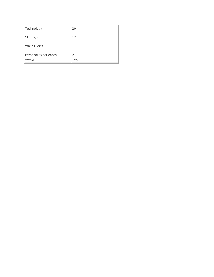| Technology           | 20  |
|----------------------|-----|
| Strategy             | 12  |
| War Studies          | 11  |
| Personal Experiences | 2   |
| <b>TOTAL</b>         | 120 |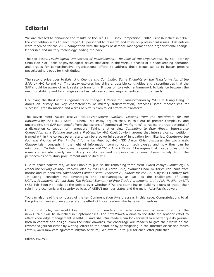# **Editorial**

We are pleased to announce the results of the  $16<sup>th</sup>$  CDF Essay Competition 2002. First launched in 1987, the competition aims to encourage SAF personnel to research and write on professional issues. 120 entries were received for the 2002 competition with the topics of defence management and organisational change, leadership and military technology leading the pack.

The top essay, *Psychological Dimensions of Peacekeeping: The Role of the Organization*, by CPT Stanley Chua Hon Kiat, looks at psychological issues that arise in the various phases of a peacekeeping operation and argues for comprehensive organizational efforts to address those issues so as to better prepare peacekeeping troops for their duties.

The second prize goes to *Balancing Change and Continuity: Some Thoughts on the Transformation of the SAF*, by MAJ Roland Ng. This essay explores key drivers, possible continuities and discontinuities that the SAF should be aware of as it seeks to transform. It goes on to sketch a framework to balance between the need for stability and for change as well as between current requirements and future needs.

Occupying the third spot is *Ingredients of Change: A Recipe for Transformation* by MAJ Lim Tuang Liang. It draws on history for key characteristics of military transformation, proposes some mechanisms for successful transformation and warns of pitfalls from failed efforts to transform.

The seven Merit Award essays include *Manoeuvre Warfare: Lessons from the Boardroom for the Battlefield* by MAJ (NS) Seet Pi Shen. This essay argues that, in this era of greater complexity and uncertainty, the SAF can benefit from the lessons of commercial "warfighting" to realise the true potential of a dislocation conception of manoeuvre. Taking another view, *Competing to Stay Ahead: Interservice Competition as a Solution and not a Problem*, by MAJ Kwek Ju-Hon, argues that interservice competition, framed within the correct parameters, can be a powerful source of innovation for militaries. *Countering the Fog and Friction of War in the Information Age*, by MAJ (NS) Aaron Chia, discusses the two classic Clausewitzian concepts in the light of information communication technologies and how they can be minimised. LTA Kelvin Fan poses the question:*Will China Attack Taiwan?* He argues that most studies on this issue concentrate overly on military capabilities and proposes an answer drawn largely from the perspectives of military procurement and political will.

Due to space constraints, we are unable to publish the remaining three Merit Award essays.*Biomimicry: A Model for Solving Military Problem*, also by MAJ (NS) Aaron Chia, examines how militaries can learn from nature and its denizens. *Uninhabited Combat Aerial Vehicles: A Solution for the SAF?*, by MAJ Geoffrey Kee Jin Leong, considers the advantages and disadvantages, as well as the challenges, of using UCAVs. *Arguments Without End: The Political Economy of Free Trade Agreements in the Asia-Pacific*, by LTA (NS) Toh Boon Ho, looks at the debate over whether FTAs are stumbling or building blocks of trade, their role in the economic and security policies of ASEAN member states and the major Asia-Pacific powers.

You can also read the synopses of the ten Commendation Award essays in this issue. Congratulations to all the prize winners and we appreciate the effort of those readers who have sent in entries.

On a final note, we would like to inform our readers that after one year of revamp efforts, the new*POINTER* will be launched in September 03. The new *POINTER* aims to facilitate the broader effort to effect knowledge management in MINDEF and SAF. Our readers can look forward to a better quality journal, both in content and design, from the issue onwards. We encourage our readers to give their views on the revamped journal either by writing letters to the editor or by participating in the Internet discussion forum (http://www.miw.com.sg/communitytools/forum). We award up to \$80 for each letter published.

Editor, *POINTER*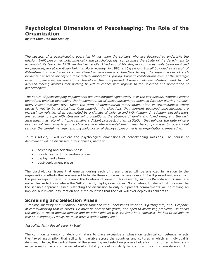## **Psychological Dimensions of Peacekeeping: The Role of the Organization**

*by CPT Chua Hon Kiat Stanley*

*The success of a peacekeeping operation hinges upon the soldiers who are deployed to undertake the mission. Unfit personnel, both physically and psychologically, compromise the ability of the detachment to accomplish its tasks. In 1978, an Austrian soldier killed two of his sleeping comrades while being deployed for peacekeeping at the Golan Heights. More recently, in 1993, a 16-year-old Somali boy died as a result of ill-treatment at the hands of a few Canadian peacekeepers. Needless to say, the repercussions of such incidents transcend far beyond their tactical implications, posing dramatic ramifications even at the strategic level. In peacekeeping operations, therefore, the compressed distance between strategic and tactical decision-making dictates that nothing be left to chance with regards to the selection and preparation of peacekeepers.*

*The nature of peacekeeping deployments has transformed significantly over the last decade. Whereas earlier operations entailed overseeing the implementation of peace agreements between formerly warring nations, many recent missions have taken the form of humanitarian intervention, often in circumstances where peace is yet to be established. Consequently, the situations that confront deployed peacekeepers are increasingly volatile, often permeated by a climate of violence and intimidation. In addition, peacekeepers are required to cope with stressful living conditions, the absence of family and loved ones, and the tacit awareness that returning home remains a distant prospect. As an institution that upholds the duty of care over its soldiers, especially in such a scenario where mental health may be compromised by operational service, the careful management, psychologically, of deployed personnel is an organizational imperative.*

In this article, I will explore the psychological dimensions of peacekeeping missions. The course of deployment will be discussed in four phases, namely:

- screening and selection phase
- pre-deployment preparation phase
- deployment phase
- post-deployment phase

The psychological issues that emerge during each of these phases will be analyzed in relation to the organizational efforts that are needed to tackle these concerns. Where relevant, I will present evidence from the peacekeeping literature, even if the locations of some of this research, such as Rwanda and Bosnia, are not exclusive to those where the SAF currently deploys our forces. Nonetheless, I believe that this must be the sensible approach, since restricting the discussion to only our present commitments will be making an implicit, but invalid, assumption about the countries that the SAF will ever deploy its soldiers to.

#### **Screening and Selection Phase**

*"Stability, maturity and reliability. I want someone who understands what he is getting into, and is capable of communicating that to others. He must be part of the group, and open to discussing problems. He needs the ability to reach outside himself and do other jobs as well. He can't be a specialist; he has to be able to rely on everybody. Finally, he must have a stable family life."*

#### *Australian Army Peacekeeper in Iraq<sup>1</sup>*

The common tendency for decision-makers to place excessive emphasis on technical competence reflects the flawed assumption that ability is invariable across the countries and cultures in which an individual is deployed. Hence, the central tenet of the screening and selection process holds forth that other factors, such as personality traits and cross-cultural suitability, should similarly be accorded their due consideration. For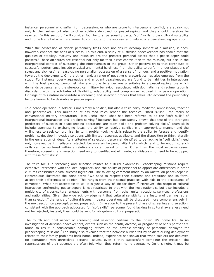instance, personnel who suffer from depression, or who are prone to interpersonal conflict, are at risk not only to themselves but also to other soldiers deployed for peacekeeping, and they should therefore be rejected. In this section, I will consider four factors personality traits, "soft" skills, cross-cultural suitability and home life all of which are known to contribute to the success, and failure, of a peacekeeping operation.

While the possession of "ideal" personality traits does not ensure accomplishment of a mission, it does, however, enhance the odds of success. To this end, a study of Australian peacekeepers has shown that the qualities of stability, maturity and reliability are the greatest personal assets that a peacekeeper could possess.<sup>2</sup> These attributes are essential not only for their direct contribution to the mission, but also in the interpersonal context of sustaining the effectiveness of the group. Other positive traits that contribute to successful performance include physical and mental hardiness (i.e., the ability to perform under situations of stress and sickness), an easy-going personality, possession of a sense of humour, and a positive motivation towards the deployment. On the other hand, a range of negative characteristics has also emerged from the study. For instance, overly aggressive and arrogant peacekeepers are found to be liabilities in interactions with the host people; personnel who are prone to anger are unsuitable in a peacekeeping role which demands patience; and the stereotypical military behaviour associated with dogmatism and regimentation is discordant with the attributes of flexibility, adaptability and compromise required in a peace operation. Findings of this nature necessitate a screening and selection process that takes into account the personality factors known to be desirable in peacekeepers.

In a peace operation, a soldier is not simply a soldier, but also a third party mediator, ambassador, teacher and peacemaker. This multitude of assumed roles render the technical "hard skills" the focus of conventional military preparation less useful than what has been referred to as the "soft skills" of interpersonal interaction and problem-solving.<sup>3</sup> Research has consistently shown that two of the strongest predictors of success in peacekeeping operations are team skills and problem-solving skills.<sup>4</sup> Team skills include openness to exchanging ideas, the ability to resolve conflict in an appropriate manner and the willingness to seek compromise. In turn, problem-solving skills relate to the ability to foresee and identify problems, develop innovative solutions with limited resources available, and the disposition to think laterally in the generation of ideas. As a criterion of selection, personnel identified to be lacking in "soft skills" need not, however, be immediately rejected, because unlike personality traits which tend to be enduring, such skills can be nurtured within a relatively shorter period of time. Other than the most extreme cases, therefore, screening and selection need only to identify, not eliminate, candidates who need to be equipped with these "soft skills".

The third focus in screening and selection relates to cultural awareness. Peacekeeping missions require extensive interaction with the local populace, and the ability of personnel to appreciate differences in other cultures constitutes a vital success ingredient. The following comment made by an Australian peacekeeper in Mozambique illustrates the point aptly: "We need to respect their customs and traditions and so forth, accept their differences of opinion. This ranges from their sexual practices with kids to the acceptance of corruption. While not acceptable to us, it is just a way of life for them."<sup>5</sup> Moreover, the scope of cultural interaction confronting peacekeepers is not restricted to that with the host nationals, but also includes a multiplicity of cross-cultural engagements with personnel from other units, vocations, services, professions and nationalities. Given the wide acknowledgement that cultural sensitivity is a feature of training rather than selection,<sup>6</sup> the range of cultural issues in peace operations will be discussed more comprehensively in the next section on pre-deployment preparation. In relation to the present phase of screening and selection, consistent with the approach advocated for "soft skills", personnel found lacking in cultural awareness need not be rejected; instead, they could be sent for obligatory cultural preparation.

The fourth and final aspect of screening and selection pertains to the individual's home life. In an investigation of Austrian peacekeepers, events such as the death, divorce, or pregnancy of one's partner are found to result in considerable damaging effects on the psychic stability of personnel deployed for peacekeeping missions.<sup>7</sup> The study also revealed that the heaviest burden felt by soldiers during deployment relates to their family problems back home. Indeed, experience has shown that when soldiers are deployed for operations with unresolved personal issues, even if they successfully complete the mission, the repercussions of their absence are often felt when they return home eventually. On this note, it may be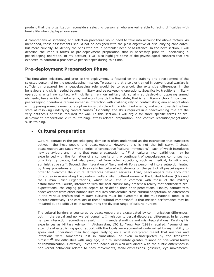prudent that the organization reconsiders selecting personnel who are vulnerable to facing difficulties with family life when deployed overseas.

A comprehensive screening and selection procedure would need to take into account the above factors. As mentioned, these assessments should not be designed with the plain objective of disqualifying candidates, but more crucially, to identify the ones who are in particular need of assistance. In the next section, I will describe the various forms of pre-deployment preparation that is necessary prior to undertaking a peacekeeping operation. In my account, I will also highlight some of the psychological concerns that are expected to confront a prospective peacekeeper during this time.

#### **Pre-deployment Preparation Phase**

The time after selection, and prior to the deployment, is focused on the training and development of the selected personnel for the peacekeeping mission. To assume that a soldier trained in conventional warfare is sufficiently prepared for a peacekeeping role would be to overlook the extensive differences in the behaviours and skills needed between military and peacekeeping operations. Specifically, traditional military operations entail no contact with civilians; rely on military skills; aim at destroying opposing armed elements; have an identified enemy; and work towards the final state, that is, a military victory. In contrast, peacekeeping operations require immense interaction with civilians; rely on contact skills; aim at negotiation with opposing armed elements; adopt an impartial role with no identified enemy; and work towards the final state of resolving underlying conflict causes.<sup>8</sup> Evidently, the skills required in a peacekeeping role are the very antithesis of those required for war. In this section, I will argue for three specific forms of predeployment preparation: cultural training, stress-related preparation, and conflict resolution/negotiation skills training.

#### **Cultural preparation**

Cultural contact in the peacekeeping domain is often understood as the interaction that transpires between the host people and peacekeepers. However, this is not the full story. Instead, peacekeepers are faced with a series of consecutive "cultural immersions", each of which introduces new behaviours and norms that require adaptation to.<sup>9</sup> First, cultural incompatibilities may be experienced with the formation of a composite unit. A contingent of peacekeepers comprises not only infantry troops, but also personnel from other vocations, such as medical, logistics and administrative staff. Second, the integration of Navy and Air Force personnel into a setup dominated by Army procedures and practices calls for cultural adjustments on the part of all peacekeepers in order to overcome the cultural differences between services. Third, peacekeepers may encounter difficulties in assimilating the predominantly civilian cultural norms of the United Nations (UN) and the Human Relief Organizations, which have little in common with those of the military establishments. Fourth, interaction with the host culture may present a reality that contradicts preexpectations, challenging peacekeepers to re-define their prior perceptions. Finally, contact with peacekeepers from other nationalities requires considerable cross-cultural adaptation, as differences in the various professional military cultures must be overcome if the multinational force is to operate effectively. The corollary of these "cultural immersions" is that mission performance may be impaired due to difficulties in surmounting the diverse range of cultural hurdles.

The cultural barriers encountered by peacekeepers are exacerbated by communication differences, both in the verbal and non-verbal domains. In relation to verbal discourse, differences in language hamper interaction, sometimes resulting in misunderstandings and misinterpretations. Relating his experiences as Military Advisor in Afghanistan, LTC Lo Yong Poo (1999) recalled: "some of my attempts at establishing good rapport with the locals were somewhat undermined by my inability to speak and understand their languages. Relying on a local interpreter meant that nuances and intentions were sometimes lost in translation, or even misinterpreted by the translator himself."<sup>10</sup> The difficulties with language, in turn, necessitate greater reliance on non-verbal forms of communication. However, unless the individual is well acquainted with the subtle differences in non-verbal behaviour related to body movements, facial expressions, gestures, eye movements,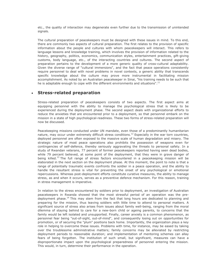etc., the quality of interaction may degenerate even further due to the transmission of unintended signals.

The cultural preparation of peacekeepers must be designed with these issues in mind. To this end, there are commonly two aspects of cultural preparation. The first relates to the provision of specific information about the people and cultures with whom peacekeepers will interact. This refers to language lessons and knowledge training, which involves the provision of information related to the history, geography, politics, economics, communication styles, entertainment practices, gift-giving customs, body language, etc., of the interacting countries and cultures. The second aspect of preparation pertains to the development of a more generic quality of cross-cultural adaptability. Given the diverse range of "cultural immersions", and the fact that peace operations consistently require personnel to deal with novel problems in novel contexts, a generic ability that transcends specific knowledge about the culture may prove more instrumental in facilitating mission accomplishment. As noted by an Australian peacekeeper in Sinai, "his training needs to be such that he is adaptable enough to cope with the different environments and situations".<sup>11</sup>

#### **Stress-related preparation**

Stress-related preparation of peacekeepers consists of two aspects. The first aspect aims at equipping personnel with the ability to manage the psychological stress that is likely to be experienced during the deployment phase. The second aspect deals with organizational efforts to reduce the anxieties that are encountered prior to a deployment, so that personnel embark on the mission in a state of high psychological-readiness. These two forms of stress-related preparation will now be discussed.

Peacekeeping missions conducted under UN mandate, even those of a predominantly humanitarian nature, may occur under extremely difficult stress conditions.<sup>12</sup> Especially in the war torn countries, deployed personnel are often exposed to the massive scale of human degradation and misery. The strategic nature of most peace operations also prohibits the possession of weapons even for contingencies of self-defence, thereby seriously aggravating the threats to personal safety. In a study of Rwandan veterans, 77 percent of former peacekeepers reported having seen dead bodies, while 79 percent believed, at some point of the deployment, that they were in grave danger of being killed.<sup>13</sup> The full range of stress factors encountered in a peacekeeping mission will be elaborated in the next section on the deployment phase. At this moment, the point to note is that a range of potentially traumatic events confronts the soldier in a peace operation, and the ability to handle the resultant stress is vital for preventing the onset of any psychological or emotional repercussions. Whereas post-deployment efforts constitute curative measures, the ability to manage stress, as and when it occurs, serves as a preventive defence mechanism. For this reason, training in stress management is imperative.

In relation to the stress encountered by soldiers prior to deployment, an investigation of Australian peacekeepers in Rwanda showed that the most stressful period of an operation was the predeployment phase.<sup>14</sup> This may stem from the fact that long hours are dedicated to planning and preparing for the mission, thus leaving soldiers with little time to attend to personal matters. A significant source of stress also arises from issues about family well-being, ranging from the moral dilemma of staying behind to care for a new-born child or ageing parents, to concerns that the family would be left isolated and unsupported. Finally, career anxiety is a common phenomenon, as personnel fear being "out-of-sight, out-of-mind", and consequently losing out on opportunities for promotion, or of securing the "plum" positions back home. Importantly, the organization plays a key role in helping to overcome these issues. Problems with time, for instance, may be eased by taking over the troublesome administrative matters; family concerns may be alleviated by restricting deployment periods to reasonable duration; and implementation of mentoring schemes can allay fears of being forgotten. The institution of such small, but significant, measures can have a disproportionate impact upon the psychological preparedness of personnel entering the mission. This would, in turn, determine their performance in the operation.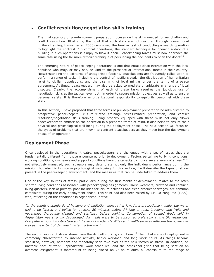#### **Conflict resolution/negotiation skills training**

The final category of pre-deployment preparation focuses on the skills needed for negotiation and conflict resolution. Illustrating the point that such skills are not nurtured through conventional military training, Hansen *et al* (2000) employed the familiar task of conducting a search operation to highlight the contrast: "In combat operations, the standard technique for opening a door of a building in such operations is simply to blow it open. Peacekeeping forces must now approach the same task using the far more difficult technique of persuading the occupants to open the door!"<sup>15</sup>

The emerging nature of peacekeeping operations is one that entails close interaction with the local populace who may, or may not, be kind to the presence of international forces in their country. Notwithstanding the existence of antagonistic factions, peacekeepers are frequently called upon to perform a range of tasks, including the control of hostile crowds, the distribution of humanitarian relief to civilian populations, and the disarming of local militias under the terms of a peace agreement. At times, peacekeepers may also be asked to mediate or arbitrate in a range of local disputes. Clearly, the accomplishment of each of these tasks requires the judicious use of negotiation skills at the tactical level, both in order to secure mission objectives as well as to ensure personal safety. It is therefore an organizational responsibility to equip its personnel with these skills.

In this section, I have proposed that three forms of pre-deployment preparation be administered to prospective peacekeepers: culture-related training, stress-related preparation, and conflict resolution/negotiation skills training. Being properly equipped with these skills not only allows peacekeepers to embark on the operation in a prepared frame of mind, it also helps to ensure their physical and psychological well-being during the deployment phase. The next section will focus on the types of problems that are known to confront peacekeepers as they move into the deployment phase of an operation.

#### **Deployment Phase**

Once deployed in the operational theatre, peacekeepers are challenged with a set of issues that are fundamentally different from those encountered prior to deployment. Factors pertaining to living conditions, working conditions, risk levels and support conditions have the capacity to induce severe levels of stress.<sup>16</sup> If not effectively managed, such stressors may deteriorate not only the individual's performance during the mission, but also his long-term psychological well-being. In this section, I will describe the types of stress present in the peacekeeping environment, and the measures that can be undertaken to address them.

One of the key sources of stress, particularly during the first month of deployment, relates to the often spartan living conditions associated with peacekeeping assignments. Harsh weathers, crowded and confined living quarters, lack of privacy, poor facilities for leisure activities and fresh product shortages, are common complaints during the early deployment phase. This point had also been raised by LTC Lo Yong Poo (1999), who, reflecting on the conditions in Afghanistan, noted:

*"in the country, standards of hygiene and sanitation were rather low. As a precautionary guide, tap water had to be filtered and boiled for at least 20 minutes before drinking or teeth-brushing, and fruits and vegetables thoroughly cleaned and sterilized before cooking. Consumption of cooked foods sold in Afghanistan was strongly discouraged. All meals were to be consumed preferably at the UN residences. Everywhere, poor infrastructure and the lack of modern facilities and health services reflected the poverty as well as the extent of damage inflicted by the war."*

The second source of stress stems from the difficult working conditions.<sup>17</sup> The initial stage of deployment is commonly characterized by intense activity, heavy workload and long work hours. As things become stabilized, however, boredom and monotony soon take over as the new factors of stress. In addition, an unstable pace of work, unpredictable work schedules, and the occasional gripe that being sent on an overseas assignment is tantamount to being placed on 24-hours duty, all contribute to the range of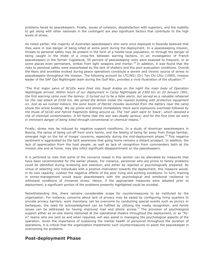problems faced by peacekeepers. Finally, issues of cohesion, dissatisfaction with superiors, and the inability to get along with other nationals in the contingent are also significant factors that contribute to the high levels of stress.

As noted earlier, the majority of Australian peacekeepers who were once deployed in Rwanda believed that they were in real danger of being killed at some point during the deployment. In a peacekeeping mission, threats to personal safety may be present in the form of a hostile local population, or through the danger of being caught in the midst of a cross-fire between warring factions. In an investigation of French peacekeepers in the former Yugoslavia, 55 percent of peacekeeping units were exposed to frequent, or at some places even permanent, strikes from light weapons and mortar.<sup>18</sup> In addition, it was found that the risks to personal safety were exacerbated by the lack of shelters and the poor evacuation conditions. Overall, the fears and anxieties evoked during peace operations constitute a severe and chronic source of stress to peacekeepers throughout the mission. The following account by LTC(NS) (Dr) Tan Chi Chiu (1999), mission leader of the SAF Ops Nightingale team during the Gulf War, provides a vivid illustration of the situation:<sup>19</sup>

*"The first major salvo of SCUDs were fired into Saudi Arabia on the night the main body of Operation Nightingale arrived. Within hours of our deployment in Camp Nightingale at 2300 hrs on 20 January 1991, the first warning came over the tannoy. It turned out to be a false alarm, but served as a valuable rehearsal for the real attack at 0100 hrs. We joined the British inside the nearest building with protective equipment on. Just as we rushed indoors, the sonic boom of Patriot missiles launched from the battery near the camp shook the whole building. We lay prone and almost immediately there were explosions overhead followed by the thuds of SCUD and Patriot fragments falling around us. The 'red' alert went to 'black', which denoted a risk of chemical contamination. It hit home that this war was deadly serious; and for the first time we were in imminent danger of being killed through conventional or chemical means."*

Finally, stress may be induced by negative support conditions. In a study of American peacekeepers in Bosnia, the sense of being cut-off from one's family, and the feeling of being far away from things familiar, emerged high on the list of troops' concerns, especially during the mid-deployment phase.<sup>20</sup> This negative sentiment is aggravated by the tacit awareness that going home remains a distant prospect. In addition, the lack of appreciation from the host people, as well as lack of recognition from commanders both at the mission site and at home, may also inflict significant disappointment on the peacekeepers.

It is pertinent to note that some of the concerns raised in this section can be alleviated by measures that have been recommended for the earlier phases. For instance, personnel who are prone to family problems could be identified during screening and selection, and either be rejected or psychologically prepared. By virtue of selecting only individuals with a positive motivation towards the deployment, this measure would, in its own capacity, cushion the negative effects of the poor living and working conditions. In turn, training in stress-management would equip peacekeepers with the psychological and emotional resilience to withstand conditions of immense stress. Hence, if the appropriate measures were adopted prior to deployment, a significant portion of the problems presently highlighted could be avoided.

Notwithstanding this, there remains considerable scope for countermeasures to be instituted by the organization. For instance, concerns about lack of privacy may be eased by configuring living quarters to provide privacy barriers; work monotony can be overcome by conducting special events such as picnics or barbeques; the need for acknowledgment can be fulfilled by utilizing the media recognition; and family issues can be addressed by having improved mail and phone access.<sup>21</sup> The provision of psychological support either as on-site teams stationed at the operational theatre throughout the deployment, or as "flyin" teams who are sent as and when required, will also assist in managing the psychological aspects of the operation. Given the importance of sustaining the mental health of personnel throughout the duration of operations, it is critical that the organization implements such countermeasures to assist the peacekeeper in overcoming his problems.

#### **Post-deployment Phase**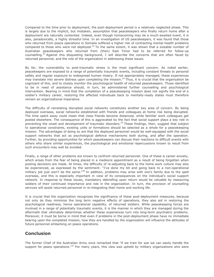Compared to the time prior to deployment, the post-deployment period is a relatively neglected phase. This is largely due to the implicit, but mistaken, assumption that peacekeepers who finally return home after a deployment are naturally contented. Indeed, even though homecoming may be a much-awaited event, it is also, paradoxically, a highly stressful time. In an investigation of US peacekeepers, it was found that those who returned from peace operations in Somalia suffered a higher risk of contracting mental health problems compared to those who were not deployed.<sup>22</sup> To the same extent, it was shown that a sizeable number of Australian peacekeepers who returned from (then) East Timor had to be referred for follow-up counselling.<sup>23</sup> Against this disquieting background, I will describe the concerns that are often faced by returned personnel, and the role of the organization in addressing these issues.

By far, the vulnerability to post-traumatic stress is the most significant concern. As noted earlier, peacekeepers are exposed to a range of potentially traumatic events, including constant threats to personal safety and regular exposure to widespread human misery. If not appropriately managed, these experiences may translate into severe distress upon completing the mission.<sup>24</sup> Thus, it is crucial that the organization be cognizant of this, and to closely monitor the psychological health of returned peacekeepers. Those identified to be in need of assistance should, in turn, be administered further counselling and psychological intervention. Bearing in mind that the completion of a peacekeeping mission does not signify the end of a soldier's military career, restoring the affected individuals back to mentally-ready states must therefore remain an organizational imperative.

The difficulty of reinstating disrupted social networks constitutes another key area of concern. By being deployed overseas, social networks established with friends and colleagues at home risk being disrupted. The time spent away could mean that close friends become distanced, while familiar work colleagues get posted elsewhere. The consequence of this is aggravated by the fact that social support plays a key role in preventing the onset and development of traumatic disorders.<sup>25</sup> These findings, then, suggest that subject to operational constraints, existing units or formations should be selected as a whole for a peacekeeping mission. The advantages of doing so are that the deployed personnel would be well-equipped with the social support networks that act as psychological defence mechanisms both during, and after the operation. Further, by providing opportunities for which peacekeepers can discuss their reactions to difficult events with others who share similar experiences, the psychological and emotional repercussions known to result from such encounters may well be avoided.

Finally, a range of other problems are known to confront returned personnel. One of these is career anxiety, which arises from the fear of being placed in a mediocre appointment as a result of being forgotten when posting decisions are made. At times, the difficulty of re-adjusting back to the home work culture may also be experienced, as expressed by the sentiment: "I've done my bit and going back to a non-operational military job just won't be the same."<sup>26</sup> In addition, problems may arise with one's family due to the spell overseas, and this is especially important in view of its consequences on the individual's social support network. In response to these issues, mandatory debriefing upon return would be valuable by reassuring soldiers of their continued importance and role in the organization. In turn, the provision of counselling services will assist returned personnel in re-integrating their home and working life.

It is crucial that the organization recognizes the significance of these post-deployment measures, because not only do they minimize the long term negative effects of operations, they also aid in restoring the psychological readiness, hence operational capability, of returned soldiers. While peacekeeping forces are involved in a range of potentially traumatic events, it is the manner in which they are managed during the aftermath that ultimately determines whether these experiences turn into long-term psychiatric problems. Moreover, it must be borne in mind that even if problems in the post-deployment phase have no immediate bearing upon the completed mission, how they are handled by the organization will influence the attitudes of future personnel embarking on peace operations.

#### **Conclusion**

The former Chief of the Australian Army once remarked that "if we train for war we can easily handle the support for peace operations." $27$  For many years, this view was upheld by military organizations who were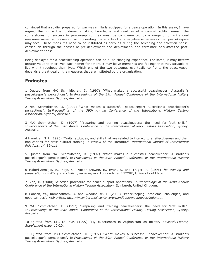convinced that a soldier prepared for war was similarly equipped for a peace operation. In this essay, I have argued that while the fundamental skills, knowledge and qualities of a combat soldier remain the cornerstones for success in peacekeeping, they must be complemented by a range of organizational measures aimed at preventing or moderating the effects of any negative experiences that peacekeepers may face. These measures need to be instituted as early as during the screening and selection phase, carried on through the phases of pre-deployment and deployment, and terminate only *after* the postdeployment phase.

Being deployed for a peacekeeping operation can be a life-changing experience. For some, it may bestow greater value to their lives back home; for others, it may leave memories and feelings that they struggle to live with throughout their lives. Which one of the two outcomes eventually confronts the peacekeeper depends a great deal on the measures that are instituted by the organization.

#### **Endnotes**

1 Quoted from MAJ Schmidtchen, D. (1997) "What makes a successful peacekeeper: Australian's peacekeeper's perceptions". In *Proceedings of the 39th Annual Conference of the International Military Testing Association,* Sydney, Australia.

2 MAJ Schmidtchen, D. (1997) "What makes a successful peacekeeper: Australian's peacekeeper's perceptions". In *Proceedings of the 39th Annual Conference of the International Military Testing Association,* Sydney, Australia.

3 MAJ Schmidtchen, D. (1997) "Preparing and training peacekeepers: the need for 'soft skills'". In *Proceedings of the 39th Annual Conference of the International Military Testing Association,* Sydney, Australia.

4 Hannigan, T.P. (1990) "Traits, attitudes, and skills that are related to inter-cultural effectiveness and their implications for cross-cultural training: a review of the literature". *International Journal of Intercultural Relations, 14,* 89-111.

5 Quoted from MAJ Schmidtchen, D. (1997) "What makes a successful peacekeeper: Australian's peacekeeper's perceptions". In *Proceedings of the 39th Annual Conference of the International Military Testing Association,* Sydney, Australia.

6 Haberl-Zemlijic, A., Heje, C., Moxon-Browne, E., Ryan, S. and Truger, A. (1996) *The training and preparation of military and civilian peacekeepers.* Londonderry: INCORE, University of Ulster.

7 Slop, H. (2000) Selection procedure for peace support operations. In *Proceedings of the 42nd Annual Conference of the International Military Testing Association,* Edinburgh, United Kingdom.

8 Hansen, W., Ramsbotham, O. and Woodhouse, T. (2000) "Peacekeeping: problems, challenges, and opportunities". *Web article, http://www.berghof-center.org/handbook/woodhouse/index.htm*

9 MAJ Schmidtchen, D. (1997) "Preparing and training peacekeepers: the need for 'soft skills'". In *Proceedings of the 39th Annual Conference of the International Military Testing Association,* Sydney, Australia.

10 Quoted from LTC Lo, Y.P. (1999) "My experiences in Afghanistan as military adviser". *Pointer, Supplement issue,* 10-20.

11 Quoted from MAJ Schmidtchen, D. (1997) "What makes a successful peacekeeper: Australian's peacekeeper's perceptions". In *Proceedings of the 39th Annual Conference of the International Military Testing Association,* Sydney, Australia.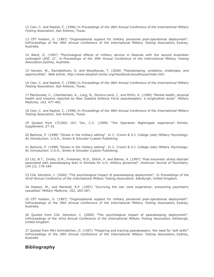12 Cian, C. and Raphel, C. (1996) In *Proceedings of the 38th Annual Conference of the International Military Testing Association,* San Antonio, Texas.

13 CPT Hodson, S. (1997) "Organisational support for military personnel post-operational deployment". In*Proceedings of the 39th Annual Conference of the International Military Testing Association,* Sydney, Australia.

14 Ward, D. (1997) "Psychological effects of military service in Rwanda with the second Australian contingent (ASC 2)". In *Proceedings of the 39th Annual Conference of the International Military Testing Association,*Sydney, Australia.

15 Hansen, W., Ramsbotham, O. and Woodhouse, T. (2000) "Peacekeeping: problems, challenges, and opportunities". *Web article, http://www.berghof-center.org/handbook/woodhouse/index.htm*

16 Cian, C. and Raphel, C. (1996) In *Proceedings of the 38th Annual Conference of the International Military Testing Association,* San Antonio, Texas.

17 MacDonald, C., Chamberlain, K., Long, N., Pereira-Laird, J., and Mirfin, K. (1998) "Mental health, physical health and sressors reported by New Zealand Defence Force peacekeepers: a longitudinal study". *Military Medicine, 163,* 477-481.

18 Cian, C. and Raphel, C. (1996) In *Proceedings of the 38th Annual Conference of the International Military Testing Association,* San Antonio, Texas.

19 Quoted from LTC(NS) (Dr) Tan, C.C. (1999) "The Operation Nightingale experience". *Pointer, Supplement,* 27-33.

20 Bartone, P. (1998) "Stress in the military setting". In C. Cronin & S.J. College (eds) *Military Psychology: An Introduction.* U.S.A., Simon & Schuster Custom Publishing.

21 Bartone, P. (1998) "Stress in the military setting". In C. Cronin & S.J. College (eds) *Military Psychology: An Introduction.* U.S.A., Simon & Schuster Custom Publishing.

22 Litz, B.T., Orsillo, S.M., Friedman, M.D., Ehlich, P. and Batres, A. (1997) "Post-traumatic stress disorder associated with peacekeeping duty in Somalia for U.S. military personnel". *American Journal of Psychiatry, 154 (2),* 178-184.

23 COL Johnston, I. (2000) "The psychological impact of peacekeeping deployment". In *Proceedings of the 42nd Annual Conference of the International Military Testing Association,* Edinburgh, United Kingdom.

24 Dobson, M., and Marshall, R.P. (1997) "Surviving the war zone experience: preventing psychiatric casualties".*Military Medicine, 162,* 283-287.

25 CPT Hodson, S. (1997) "Organisational support for military personnel post-operational deployment". In*Proceedings of the 39th Annual Conference of the International Military Testing Association,* Sydney, Australia.

26 Quoted from COL Johnston, I. (2000) "The psychological impact of peacekeeping deployment". In*Proceedings of the 42nd Annual Conference of the International Military Testing Association,* Edinburgh, United Kingdom.

27 Quoted from MAJ Schmidtchen, D. (1997) "Preparing and training peacekeepers: the need for 'soft skills'". In*Proceedings of the 39th Annual Conference of the International Military Testing Association,* Sydney, Australia

#### **Bibliography**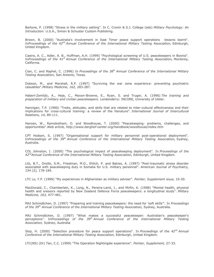Bartone, P. (1998) "Stress in the military setting". In C. Cronin & S.J. College (eds) *Military Psychology: An Introduction.* U.S.A., Simon & Schuster Custom Publishing.

Brown, B. (2000) "Australia's involvement in East Timor peace support operations lessons learnt". In*Proceedings of the 42nd Annual Conference of the International Military Testing Association,* Edinburgh, United Kingdom.

Castro, A. C., Adler, A. B., Huffman, A.H. (1999) "Psychological screening of U.S. peacekeepers in Bosnia". In*Proceedings of the 41st Annual Conference of the International Military Testing Association,* Monterey, California.

Cian, C. and Raphel, C. (1996) In *Proceedings of the 38th Annual Conference of the International Military Testing Association*, San Antonio, Texas.

Dobson, M., and Marshall, R.P. (1997) "Surviving the war zone experience: preventing psychiatric casualties".*Military Medicine, 162,* 283-287.

Haberl-Zemlijic, A., Heje, C., Moxon-Browne, E., Ryan, S. and Truger, A. (1996) *The training and preparation of military and civilian peacekeepers.* Londonderry: INCORE, University of Ulster.

Hannigan, T.P. (1990) "Traits, attitudes, and skills that are related to inter-cultural effectiveness and their implications for cross-cultural training: a review of the literature". *International Journal of Intercultural Relations, 14,* 89-111.

Hansen, W., Ramsbotham, O. and Woodhouse, T. (2000) "Peacekeeping: problems, challenges, and opportunities".*Web article, http://www.berghof-center.org/handbook/woodhouse/index.htm*

CPT Hodson, S. (1997) "Organisational support for military personnel post-operational deployment". In*Proceedings of the 39th Annual Conference of the International Military Testing Association,* Sydney, Australia.

COL Johnston, I. (2000) "The psychological impact of peacekeeping deployment". In *Proceedings of the 42ndAnnual Conference of the International Military Testing Association,* Edinburgh, United Kingdom.

Litz, B.T., Orsillo, S.M., Friedman, M.D., Ehlich, P. and Batres, A. (1997) "Post-traumatic stress disorder associated with peacekeeping duty in Somalia for U.S. military personnel". *American Journal of Psychiatry, 154 (2),* 178-184.

LTC Lo, Y.P. (1999) "My experiences in Afghanistan as military adviser". *Pointer, Supplement issue,* 10-20.

MacDonald, C., Chamberlain, K., Long, N., Pereira-Laird, J., and Mirfin, K. (1998) "Mental health, physical health and sressors reported by New Zealand Defence Force peacekeepers: a longitudinal study". *Military Medicine, 163,* 477-481.

MAJ Schmidtchen, D. (1997) "Preparing and training peacekeepers: the need for 'soft skills'". In *Proceedings of the 39th Annual Conference of the International Military Testing Association,* Sydney, Australia.

MAJ Schmidtchen, D. (1997) "What makes a successful peacekeeper: Australian's peacekeeper's perceptions". In*Proceedings of the 39th Annual Conference of the International Military Testing Association,* Sydney, Australia

Slop, H. (2000) "Selection procedure for peace support operations". In *Proceedings of the 42nd Annual Conference of the International Military Testing Association,* Edinburgh, United Kingdom.

LTC(NS) (Dr) Tan, C.C. (1999) "The Operation Nightingale experience". *Pointer, Supplement,* 27-33.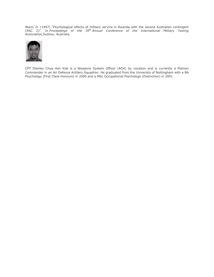Ward, D. (1997) "Psychological effects of military service in Rwanda with the second Australian contingent (ASC 2)". In *Proceedings of the 39th Annual Conference of the International Military Testing Association,*Sydney, Australia.



CPT Stanley Chua Hon Kiat is a Weapons System Officer (ADA) by vocation and is currently a Platoon Commander in an Air Defence Artillery Squadron. He graduated from the University of Nottingham with a BA Psychology (First Class Honours) in 2000 and a MSc Occupational Psychology (Distinction) in 2001.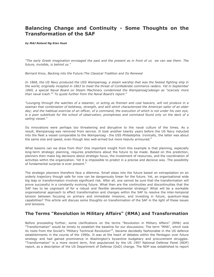# **Balancing Change and Continuity - Some Thoughts on the Transformation of the SAF**

*by MAJ Roland Ng Kian Huat*

*"The early Greek imagination envisaged the past and the present as in front of us we can see them. The future, invisible, is behind us."*

*Bernard Knox, Backing into the Future:The Classical Tradition and Its Renewal*

*In 1868, the US Navy produced the USS Wampanoag, a steam warship that was the fastest fighting ship in the world, originally incepted in 1863 to meet the threat of Confederate commerce raiders. Yet in September 1869, a special Naval Board on Steam Machinery condemned the Wampanoag'sdesign as "scarcely more than naval trash."<sup>2</sup> To quote further from the Naval Board's report:<sup>3</sup>*

*"Lounging through the watches of a steamer, or acting as firemen and coal heavers, will not produce in a seaman that combination of boldness, strength, and skill which characterized the American sailor of an elder day; and the habitual exercise of an officer, of a command, the execution of which is not under his own eye, is a poor substitute for the school of observation, promptness and command found only on the deck of a sailing vessel."*

Its innovations were perhaps too threatening and disruptive to the naval culture of the times. As a result, *Wampanoag* was removed from service. It took another twenty years before the US Navy inducted into the fleet a vessel comparable to the *Wampanoag* - the USS *Philadelphia*. Ironically, the latter was about the same size and speed, even though less well-armed but more heavily armoured.<sup>4</sup>

What lessons can we draw from this? One important insight from this example is that planning, especially long-term strategic planning, requires predictions about the future to be made. Based on this prediction, planners then make big decisions about strategic focus, the investment of resources, and the coordination of activities within the organization. Yet it is impossible to predict in a precise and decisive way. The possibility of fundamental surprise is ever present.<sup>5</sup>

The strategic planners therefore face a dilemma. Small steps into the future based on extrapolation on an orderly trajectory though safe for now can be dangerously linear for the future. Yet, an organisational wide big leap or transformation involves significant risk. After all, one cannot be sure that the transformation will prove successful in a constantly evolving future. What then are the continuities and discontinuities that the SAF has to be cognisant of for a robust and flexible developmental strategy? What will be a workable organisational approach to effect transformation and changes within the SAF to resolve the inter-temporal tension between focusing on primary and immediate missions, and investing in future, quantum-leap capabilities? This article will discuss some thoughts on transformation of the SAF in the light of these issues and tensions.

#### **The Terms "Revolution in Military Affairs" (RMA) and Transformation**

Before proceeding further, some clarifications on the terms "Revolution in Military Affairs" (RMA) and "Transformation" would be timely to establish the baseline for our discussions. The term "RMA", which took its roots from the Soviet's "Military Technical Revolution"<sup>6</sup>, became decidedly fashionable in the US defence establishments in the course of the 1990s. It was at the heart of debates within the Pentagon over future strategy and had gained prominence in Washington's byzantine budgetary and procurement struggles. "Transformation" is a more recent term, first popularized by the US 1997 National Defense Panel (NDP) report, as a description of the US Department of Defense (DoD) change. The NDP was established to report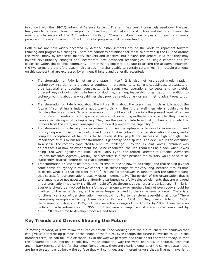in concert with the 1997 Quadrennial Defense Review.<sup>7</sup> The term has been increasingly used over the past few years to represent broad changes the US military must make in its structure and doctrine to meet the emerging challenges of the  $21^{st}$  century. Similarly, "Transformation" now appears in each and every paragraph of every document in the US DoD for programs that require funding.

Both terms are now widely accepted by defence establishments around the world to represent forward thinking and progressive changes. There are countless definitions for these two terms in the US and around the world, many by respected military thinkers and scholars. But beyond the general idea that they may involve revolutionary changes and incorporate new advanced technologies, no single concept has yet coalesced within the defence community. Rather than going into a debate to discern the academic nuances, the two terms are therefore used in this article interchangeably to contain certain key, immutable elements on this subject that are expressed by eminent thinkers and generally accepted:

- Transformation or RMA is not an end state in itself. It is also not just about modernization, technology insertion or a process of continual improvements to current capabilities, processes, or organizational and doctrinal constructs. It is about new operational concepts and completely different ways of doing things in terms of doctrine, training, leadership, organization, in addition to technology; it is about new capabilities that provide revolutionary or asymmetric advantages to our forces.<sup>8</sup>
- Transformation or RMA is not about the future. It is about the present as much as it is about the future. If something is indeed a good way to think in the future, well then why shouldn't we be thinking that way today? Or what elements of it could we not draw into the present age? When we introduce an operational prototype, or when we put something in the hands of people, they have no trouble visualizing what is happening. They can then extrapolate from that to change, join into this process from the start, and consequently, they will grow with the capability.<sup>9</sup>
- Transformation or RMA requires experimentation and acceptance of failures.Experimentation and prototyping are crucial for technology and conceptual evolution in the transformation process, and a complete acceptance of failure is to be taken if the payoff for success is high enough. The importance of this axiom for transformation is generally not disputed. The devil lies in the execution. In a sense, the recently conducted Millennium Challenge 02 by the US Joint Forces Command was an antithesis of how an experiment should be conducted the Red Team was held back when it was doing "too well" against the Blue Force. Larry Lynn, the retired Director of Defence Advanced Projects Research Agency (DAPRA), had recently said that perhaps the military would need to be sufficiently "scared" before doing real experimentation. $^{10}$
- Transformation or RMA takes time. It takes time to decide how to do things, and that should give us some sense of urgency in that we cannot push these things off for very long, because it takes time to decide what it is that we want to do.<sup>11</sup> This should be viewed in tandem with the understanding that successful transformations usually occur incrementally. The portion of the organization that is to change is also not necessarily uniformly distributed; carefully selected elements that are engaged in transformation may carry significant ripple effects throughout the larger organization.<sup>12</sup> Similarly, everyone should be involved in transformation in one way or another, but not everybody should be involved to the same degree, at the same frequency, and to the same level of detail. There is a functional variance of transformation; we should not try to transform everything at once.<sup>13</sup>There were many examples in history: there were no Panzers in 1934, but they overran Poland in 1939; there were no U-boats in 1935, but they were the scourge of the Atlantic by 1939; there were no ballistic missile submarines in 1956, but they were an important strategic force component by  $1960.<sup>14</sup>$  It takes time to develop processes and tools.

#### **Key Trends and Drivers Shaping the Future**

In moving forward, or if we follow the Greek's notion "backwarding" into the future, there are shadows that can give us a tantalizing glimpse of the shape of the future, even though the future is invisible to us. In the broadest term, we can talk of a discontinuity in the way we perceive and think about the world today, in that the fundamental assumptions people have made about the way the world operates, in political, economic and military terms, are ripe for challenge. Nonetheless, there are clearly elements of the current system that are here to stay trends below the surface that will continue, and inherent drivers that will remain invariant,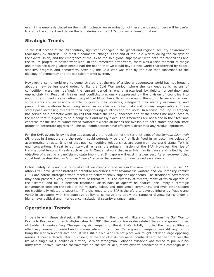even if the emphasis placed on them will fluctuate. An examination of these trends and drivers will be useful to clarify the context and define the boundaries for the SAF's journey of transformation.

#### **Strategic Trends**

In the last decade of the  $20<sup>th</sup>$  century, significant changes in the global and regional security environment took many by surprise. The most fundamental change is the end of the Cold War following the collapse of the Soviet Union, and the emergence of the US as the sole global superpower with both the capabilities and the will to project its power worldwide. In the immediate after-years, there was a false moment of magic and innocence during which people had the notion that we would have a new world characterised by peace, stability, progress and democracy. After all, the Cold War was won by the side that subscribed to the ideology of democracy and the capitalist market system.

However, ensuing world events demonstrated that the end of a bipolar superpower world has not brought about a new benign world order. Unlike the Cold War period, where the key geographic regions of competition were well defined, the current period is one characterized by fluidity, uncertainty and unpredictability. Regional rivalries and conflicts, previously suppressed by the division of countries into enduring and ideologically defined geopolitical blocs, have flared up around the world. In several regions, some states are increasingly unable to govern their societies, safeguard their military armaments, and prevent their territories from being served as sanctuaries to terrorists and criminal organizations. These states pose increasing threats to their neighbouring countries and the world. In a sense, the Sep 11 tragedy has served as a dramatic wake up call that ended the early innocence and at the same time announced to the world that it is going to be a dangerous and messy place. The Americans are not alone in their fear and concerns for the rise of "Unrestricted Warfare"<sup>15</sup> where all means are available to both states and non-state groups to perpetrate aggression. The Bali bomb attacks have effectively dissipated any residual optimism.

For the SAF, events following Sep 11, especially the revelation of the terrorist plots of the *Jemaah Islamiyah (JI)* group in Singapore and the region, could potentially be the first flash flood in an upcoming deluge of asymmetrical threats. It is not that peer competitive relationships are gone from the world stage. To this end, conventional threat to our survival remains the primary mission of the SAF. However, the rise of transnational terrorist threats such as the Al Qaeda network that uses Islam as its cause and united by the objective of creating a pan-Islamic state imply that Singapore will exist in *a new security environment* that could best be described as *"troubled peace"*, a term that seemed to have gained ascendancy.

Unfortunately, it is not just terrorists that we must contend with in this new form of warfare. The Sep 11 attacks will have demonstrated to potential adversaries that asymmetric warfare and low intensity conflict (LIC) are potent strategies when faced with conventionally superior opponents. The traditional adversaries may soon present a very different form of threat to us. The diversity of threats, many of which operate in the "seams" and fall in between traditional disciplinary or agency boundaries, also imply a strategic convergence between the fields of the military, police, and intelligence community, and even other sectors not traditionally related to security.<sup>16</sup> The challenge to the SAF is therefore to develop inherently flexible and versatile structures with the cognitive ability to conceive and apply the range of diverse forms under a higher level political and inter-agency institutional security arrangements.

### **Operational Trends**

In parallel with these strategic shifts were changes in the rules of military conflicts from the Gulf War to Bosnia to Kosovo and then to Afghanistan. In 1991, the coalition forces devastated the air and ground forces of Saddam Hussein's Iraq. The opening air campaign of the Gulf War totally crippled the Iraqi abilities to effectively command, control and communicate with its forces. Yet a ground campaign was still required to bring the war to a conclusive end. It was still a Cold War era set-piece war fought between large opposing armies. Almost a decade later, in Kosovo, at the end of a 78-day aerial bombardment that had not cost the life of a single NATO soldier or airmen, Serbian strongman Slobodan Milosevic was forced to pull out his army from Kosovo. Despite controversies on the actual kills, many experts proclaimed this campaign as a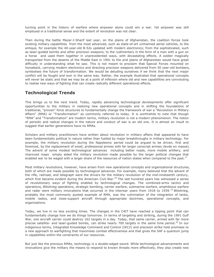turning point in the history of warfare where airpower alone could win a war. Yet airpower was still employed in a traditional sense and the extent of revolution was not clear.

Then during the battle Mazar-I-Sharif last year, on the plains of Afghanistan, the coalition forces took existing military capabilities from the most advanced, such as state-of-art unmanned aerial vehicles, to the antique, for example the 40-year-old B-52s updated with modern electronics; from the sophisticated, such as laser-guided bombs and other precision weapons, to the rudimentary in the form of a man with a gun on a horse and used them together in unprecedented ways, with devastating effects. A soldier magically transported from the deserts of the Middle East in 1991 to the arid plains of Afghanistan would have great difficulty in understanding what he saw. This is not meant to proclaim that Special Forces mounted on horseback, carrying modern electronics and directing precision weapons delivered from 50 year-old bombers, symbolises the future of transformation. We would be deluding ourselves if we think that the next major conflict will be fought and won in the same way. Rather, the example illustrated that operational concepts will never be static and that we may be at a point of inflexion where old and new capabilities are convoluting to realise new ways of fighting that can create radically different operational effects.

#### **Technological Trends**

This brings us to the next trend. Today, rapidly advancing technological developments offer significant opportunities to the military in realizing new operational concepts and in shifting the foundations of traditional, "proven" force structures to fundamentally change the framework of war a "Revolution in Military Affairs" (RMA) or "Transformation" as commonly referred to today. It is worthwhile to note that though "RMA" and "Transformation" are modern terms, military revolution is not a modern phenomenon. The notion of periodic and radical changes in the nature and conduct of war is an old one. It is almost an insult to suggest that earlier generations have no RMAs.

Scholars and military practitioners have written about revolution in military affairs that appeared to have been fundamentally political in nature rather than fuelled by major breakthroughs in military technology. For example, the military revolution during the Napoleonic period could be argued to be driven, first and foremost, by the replacement of small, professional armies with far larger conscript armies *(levée en mass*e). The advent of some modest technological advances including better roads, more mobile artillery, and improved maps simply aided the military revolution made possible by the larger political changes that enabled war to be waged with a larger share of the resources of nation states when compared to the past.<sup>17</sup>

Most military revolutions, however, have arisen from new operational concepts and organizational structures, both of which are made possible by technological advances. For example, many believed that the advent of the rifle, railroad, and telegraph were the drivers for the military revolution of the mid-nineteenth century, which first became evident during the American Civil War.<sup>18</sup> The last hundred years has witnessed a series of revolutionary ways of fighting enabled by technological changes. The combined-arms tactics and operations, *Blitzkrieg* operations, strategic bombing, carrier warfare, submarine warfare, amphibious warfare and radar were military innovations that occurred in the interwar years from 1918 to 1939.<sup>19</sup> Blitzkrieg, probably the most commonly quoted example of RMA, was the culmination of the integration of tanks, mobile radios, and close-support aircraft through appropriate doctrines, operational concepts, and organizations.

Today, we live in no less exciting times. The changes in the C4IT have reached a tipping point that can fundamentally change how we do things tomorrow. In terms of targeting and striking, during the 1991 Gulf War, one aircraft carrier could destroy 162 targets in a day. Today, that same carrier, armed with far more precise satellite- and laser-guided bombs, can strike nearly 700 targets in the same time period.<sup>20</sup> In our indigenous terms, Integrated Knowledge Command and Control (IKC2) and precision strike hold promises to a new approach to warfighting that maximises combat effectiveness and that gives the SAF a quantum jump in capabilities within the constraints of our resources.

But just like the previous RMAs, technology is a double-edged sword. While technological advancements and innovations give the military the means to respond to known threats more effectively, they also create new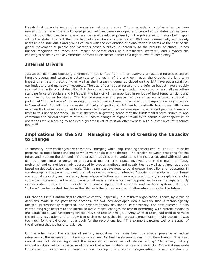threats that pose challenges of an uncertain nature and scale. This is especially so today when we have moved from an age where cutting-edge technologies were developed and controlled by states before being spun off to civilian use, to an age where they are developed primarily in the private sector before being spun off to the state. The fact that the technological drivers of the current RMA are commercially and widely accessible to individuals and groups coupled with the exploitation of globalization in terms of the ease of the global movement of people and materials posed a critical vulnerability to the security of states. It has further magnified the reach and impact of perpetuators of "Unrestricted Warfare", and elevated the challenges posed by the asymmetrical threats as discussed earlier to a higher level of complexity.<sup>21</sup>

#### **Internal Drivers**

Just as our dominant operating environment has shifted from one of relatively predictable futures based on tangible events and calculable outcomes, to the realm of the unknown, even the chaotic, the long-term impact of a maturing economy, as well as the increasing demands placed on the SAF have put a strain on our budgetary and manpower resources. The size of our regular force and the defence budget have probably reached the limits of sustainability. But the current mode of organisation predicated on a small peacetime standing force of regulars and NSFs, with the bulk of NSmen mobilized in periods of heightened tensions and war may no longer be viable. The line between war and peace has blurred as we entered a period of prolonged "troubled peace". Increasingly, more NSmen will need to be called up to support security missions in "peacetime". But with the increasing difficulty of getting our NSmen to constantly touch base with home as a result of an increasing need in business to travel and remain overseas for extended periods, there is a limit to this linear approach. There is therefore a growing sense that the fundamental force structure and command and control structure of the SAF has to change to expand its ability to handle a wider spectrum of operations while learning to achieve a greater level of mission effectiveness with a lower level of resource inputs.<sup>22</sup>

#### **Implications for the SAF Managing Risks and Creating the Capacity to Change**

In summary, new challenges are constantly emerging while long-standing threats endure. The SAF must be prepared to meet future challenges while we handle extant threats. The tension between preparing for the future and meeting the demands of the present requires us to understand the risks associated with each and distribute our finite resources in a balanced manner. The issues involved are in the realm of "fuzzy problems" and cannot be simply addressed by proven methods and capabilities, as well as a linear approach based on deductive exercises in logic. This means that we need to build greater flexibility and robustness in our development approach to avoid premature decisions and unintended "lock-in" with equipment purchases, operational concepts, and related systems whose effectiveness may erode precipitously in a rapidly changing conflict environment. To this end, transformation is a vehicle for fresh approaches to risk management. By experimenting today with a variety of advanced operational concepts and military systems, strategic "options" can be created that leave the SAF with the largest number of alternative routes for the future.

But change itself is antithetical to effective control, especially in a military organization. Today, by virtue of decisions made in the past three decades, the SAF has developed into a military that is technologically focused, professionally respected, and organizationally developed. Paradoxically, the past success is also contributing significantly to the inertia to avoid radical changes for fear of interfering with current readiness and established, well-functioning procedures. Gen Eric Shineski, US Army Chief of Staff, had tried to harness the military revolution and to apply it in such measures that his reluctant organization might accept; it was too much for the old order, not enough for the revolutionaries.<sup>23</sup> The example captures well one aspect of the dilemma that we have to balance.

On the other hand, the success of military innovation has never been the special preserve of radical reformers at the expense of military conservatives. As Paul Harris reminds us, in military thought "the most radical are not always right and the relatively conservative not always wrong."<sup>24</sup> Moreover, military innovation does not occur because of the work of a few military radicals or mavericks. Organizational-wide transformation occurs only if innovators can back up their ideas with organizational power coalitions of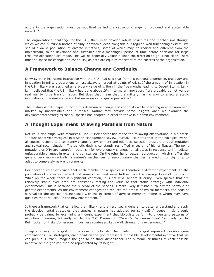actors in the organization must be mobilized behind the cause of change for profound and sustainable impact.<sup>25</sup>

The organizational challenge for the SAF, then, is to develop robust structures and mechanisms through which we can nurture a hotbed of truly innovative ideas alongside our regular, well-functioning system. We should allow a population of diverse initiatives, some of which may be radical and different from the mainstream, to be developed and sustained for a meaningful period of time before decisions for large resource allocations are made. This will be especially valuable when the direction to go is not clear. There must be space for change and continuity, as both are equally important to the success of the organization.

#### **A Framework to Balance Change and Continuity**

Larry Lynn, in his recent interaction with the SAF, had said that from his personal experience, creativity and innovation in military operations almost always emerged at points of crisis. If the amount of innovation in the US military was assigned an arbitrary value of *x*, then in the five months leading to Desert Storm, Larry Lynn believed that the US military had done above 10x in terms of innovation.<sup>26</sup> We probably do not want a real war to force transformation. But does that mean that the military has no way to effect strategic innovation and assimilate radical but necessary changes in peacetime?

The military is not unique in facing this dilemma of change and continuity while operating in an environment marked by uncertainties and surprises. Nature may provide some insights when we examine the developmental strategies that all species has adopted in order to thrive in a harsh environment.

#### **A Thought Experiment Drawing Parallels from Nature**

Nature is also frugal with resources. Eric D. Beinhocker has made the following observations in his article "Robust adaptive strategies" in a Sloan Management Review journal.<sup>27</sup> He noted that in the biological world, all species respond to a constantly changing environment and relentless selection pressure through mutation and sexual recombination. The genetic deck is constantly reshuffled in search of higher fitness. The point mutations of DNA are nature's mechanism for evolutionary changes small steps in response to immediate, unfavourable changes in external circumstances. On the other hand, sexual reproduction, which shuffles the genetic deck more radically, is nature's mechanism for revolutionary changes a medium or big jump to adapt to completely new environments.

Beinhocker further explained that each member of a species is therefore a different experiment. In the population of a species, we will find some closer and some farther from the average locus of the group. While on the whole there is significant variation, it is not wild random diversity. Even species that are relatively stable over time are constantly testing the value of that stable strategy with individual experiments. This is because the survival of the species is more likely if it has such diverse portfolio of genetic experiments. As the environment changes and reduces the fitness of typical members, the odds of survival for the species are increased with the existence of atypical members, some of whom may have qualities that are useful in the new environment. $^{28}$ 

Is there a framework that can allow the military, and enterprises in general, to better understand and apply the developmental strategies that species in nature has adopted for survival? A deeper insight could probably be gained by examining a thought experiment that biologists perform to understand patterns of evolution in nature, brilliantly articled by D.C. Dennett in "Darwin's Dangerous Idea"<sup>29</sup> and adapted by Beinhocker for insightful lessons in business strategies. Let's walk through this experiment:<sup>30</sup>

Imagine a very large grid. In the case of biologists, the points on the grid represent possible gene combinations. For strategists, each point on the grid represents a possible developmental initiative that we can pursue. Further, imagine the grid to be three-dimensional. The outcome or fitness of each possible initiative on the grid can then be represented by its height.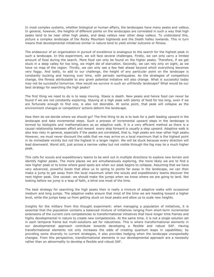In most complex systems, whether biological or human affairs, the landscapes have many peaks and valleys. In general, however, the heights of different points on the landscapes are correlated in such a way that high peaks tend to be near other high peaks, and deep valleys near other deep valleys. To understand this, picture a complex landscape of the Rocky Mountain highlands and the Death Valley lowlands. This in turn means that developmental initiatives similar in nature tend to yield similar outcome or fitness.

The endeavour of an organization in pursuit of excellence is analogous to the search for the highest peak in such a landscape. In this experiment, we will face several challenges. Firstly, we can only carry a limited amount of food during the search. More food can only be found on the higher peaks. Therefore, if we get stuck in a deep valley for too long, we might die of starvation. Secondly, we can rely only on sight, as we have no map of the region. Thirdly, we can only see a few feet ahead beyond which everything becomes very foggy. And lastly, to add to our challenge, the height of any particular point on the landscape is constantly bucking and heaving over time, with periodic earthquakes. As the strategies of competitors change, the fitness attributable to any given potential initiative will also change. What is successful today may not be successful tomorrow. How would we survive in such an unfriendly landscape? What would be our best strategy for searching the high peaks?

The first thing we need to do is to keep moving. Stasis is death. New peaks and hence food can never be found if we are not constantly exploring. Staying at a high peak with plenty of food for too long, even if we are fortunate enough to find one, is also not desirable. At some point, that peak will collapse as the environment changes or competitors' actions deform the landscape.

How then do we decide where we should go? The first thing to do is to look for a path leading upward in the landscape and take incremental steps. Such a process of incremental upward steps in the landscape is termed by biologists and mathematicians as an adaptive walk. It is a very efficient method as there is a causal relationship between effort and reward every step forward is usually a step upward. Adaptive walk is also less risky in general, especially if the peaks are correlated, that is, high peaks are near other high peaks. However, we must never discount the odds that we may arrive on a local maximum that is the highest point in its immediate vicinity but not the highest in a larger region. We will be stuck because every direction will lead downward. Worst still, just across a narrow valley but not visible through the fog may lie a much higher peak.

This calls for scouts and expeditionary teams to be sent out in multiple directions to explore new terrain and identify higher peaks. The more places we are simultaneously exploring, the more likely we are to find a new higher peak or to know where good spots are when our peak begins to collapse. Assuming that we have very advanced, powerful boots that allow us to spring to points far away in the landscape, we can then make a jump to get away from the local maximum when the scouts and expeditionary teams discover the next higher peak. One caveat: we should make the jumps when we know where we are going to land. Not looking before we jump is a leap of faith, a blind one most of the time.

The best strategy for searching the high peaks then is really a mixture of adaptive walks with occasional medium and long jumps. The adaptive walks ensure that most of the time we are heading toward a higher level, while the jumps keep us from getting stuck on local peaks and allow us to scale new heights.

Insights for the military from this thought experiment: when managing a population of initiatives, it is essential that the population contains a balanced mixture of initiatives ranging from short-term incremental extensions of the current core competencies to transformational initiatives that have longer time frames and highly developmental in nature to create new competencies. At the same time, it is not a single solution set in each temporal frame but multi-solutions set for robustness. This is where transformational elements in our developmental approach contribute towards developing a flexible and robust SAF. Having transformational elements not only increases the odds of creating quantum leaps in capabilities; by providing some diversity to current strategies, it also provides hedging when the landscape unexpectedly changes. From this perspective, transformational elements in our developmental approach are a necessity rather than an abnormality to develop a flexible and robust SAF.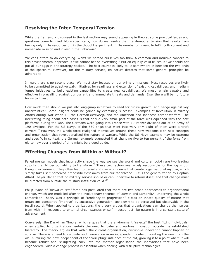#### **Resolving the Inter-Temporal Tension**

While the framework discussed in the last section may sound appealing in theory, some practical issues and questions come to mind. More specifically, how do we resolve the inter-temporal tension that results from having only finite resources or, in the thought experiment, finite number of hikers, to fulfill both current and immediate mission and invest in the unknown?

We can't afford to do everything. Won't we spread ourselves too thin? A common and intuitive concern to this developmental approach is "we cannot bet on everything." But an equally valid truism is "we should not put all our eggs in one strategy basket." The best course is likely to lie somewhere in between the two ends of the spectrum. However, for the military service, its nature dictates that some general principles be adhered to.

In war, there is no second place. We must stay focused on our primary missions. Most resources are likely to be committed to adaptive walk initiatives for readiness and extension of existing capabilities, and medium jumps initiatives to build existing capabilities to create new capabilities. We must remain capable and effective in prevailing against our current and immediate threats and demands. Else, there will be no future for us to invest.

How much then should we put into long-jump initiatives to seed for future growth, and hedge against key uncertainties? Some insights could be gained by examining successful examples of Revolution in Military Affairs during War World II the German *Blitzkrieg*, and the American and Japanese carrier warfare. The interesting thing about both cases is that only a very small part of the force was equipped with the new platforms during the war. The Germans were going into France with 10 Panzer divisions out of an Army of 190 divisions. For the US Navy, of the 650 ships that went into war, only eight of them were aircraft carriers. $31$  However, the whole force realigned themselves around these new weapons with new concepts and organization that revolutionalised the nature of warfare. While the US Navy example may be extreme and specific in context, the German example suggested that changing five to ten percent of the force from old to new over a period of time might be a good guide.

#### **Effecting Changes from Within or Without?**

Failed mental models that incorrectly shape the way we see the world and cultural lock-in are two leading culprits that hinder our ability to transform.<sup>32</sup> These two factors are largely responsible for the fog in our thought experiment. They often lead to denial and over-confidence that create organisational myopia, which simply takes self-perceived "impossibilities" away from our radarscope. But is the generalization by Captain Alfred Thayer Mahan that no military service should or can undertake to reform itself, and that change must be directed from outside the military institution valid?<sup>33</sup>

Philip Evans of *"Blown to Bits"* fame has postulated that there are two broad approaches to organisational change, which are modelled after the evolutionary theories of Darwin and Lamarck.<sup>34</sup> Underlying the whole Lamarckian Theory was a principle of "tendency to progression" it was an innate quality of nature that organisms constantly "improve" by successive generation, too slowly to be perceived but observable in the fossil record. When applied to organizations, the theory argues that organizations can change themselves from within in response to external circumstances or self-imposed just like nature is in a constant state of advancement.

Conversely, the Darwinian Theory, which argues that the environment "selects" the best fitting individuals, when applied to organizations, entails the need to foster and nurture innovation outside the established hierarchy. The theory argues that within the current organisation, disruptive innovation cannot happen or survive. There is a need to cultivate such innovation in an independent context: isolating the new from the old, nurturing the new independent of the "corrupting" influence of the old, growing it to a point where it will become robust and re-injecting back into the mother organisation the innovations that have been engendered. Such a change process is essential when dealing with disruptive technologies.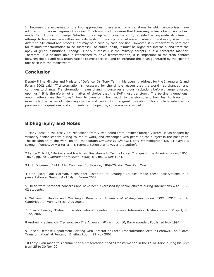In between the extremes of the two approaches, there are many variations in which enterprises have adopted with various degrees of success. This leads one to surmise that there may actually be no single best model for introducing change. Whether to set up an innovative entity outside the corporate structure or attempt to build one from within really depends on the corporate culture and situation, and every situation is different. Structural and process "fit" may be a case-by-case decision. However, it is important to note that for military transformation to be successful, at critical point, it must be organized internally and from the apex of great institutions change is only successful if the military accepts it in a corporate manner. Therefore, if a splinter unit is established to drive transformation, it is important to maintain contact between the old and new organizations to cross-fertilise and re-integrate the ideas generated by the splinter unit back into the mainstream.

#### **Conclusion**

Deputy Prime Minister and Minister of Defence, Dr. Tony Tan, in his opening address for the Inaugural Island Forum 2002 said, "Transformation is necessary for the simple reason that the world has changed, and continues to change. Transformation means changing ourselves and our institutions before change is forced upon us." It is therefore not a matter of choice that the SAF must transform. The pertinent questions, among others, are the "hows" how to transform, how much to transform, and how fast to transform essentially the issues of balancing change and continuity in a great institution. This article is intended to provoke some questions and comments, and hopefully, some answers as well.

#### **Bibliography and Notes**

1 Many ideas in the essay are reflections from views heard from eminent foreign visitors, ideas shaped by visionary senior leaders during course of work, and exchanges with peers on the subject in the past year. The insights from the work on the monograph *Capacity to Change* (*POINTER* Monograph No. 1) played a strong influence. Any error or mis-representation are however the author's.

2 Lance C. Nuhl, "Mariners and Machines: Resistance to Technological Changes in the American Navy, 1865 1869", pg. 703, *Journal of American History* 61, no. 3, Dec 1974.

3 U.S. Document 1411, 41st Congress, 2d Session, 1869-70, Vol. One, Part One.

4 Gen (Ret) Paul Gorman, Consultant, Institute of Strategic Studies made these observations in a presentation at Session 4 of Island Forum 2002.

5 These were pertinent concerns and have been expressed by senior officers during interactions with SCSC 02 students.

6 Williamson Murray and MacGregpr Knox, *The Dynamics of Military Revolution 1300 2050*, pg. 4, Cambridge University Press, Aug 2001.

7 Colin Robinson, "Defining Transformation?", Centre for Defence Information Military Reform Project, 25 June, 2002.

8 Andrew Krepinevich, *Transforming The American Military*, pg. 10, Backgrounder, Published Nov 1997.

9 Special Defense Department Briefing with Director of Force Transformation Arthur Cebrowski on "Force Transformation" at Pentagon Briefing Room, 27 Nov 2001.

10 Larry Lynn made this comment at a presentation titled "Transformation in the US Military" during his visit from 25 to 30 Nov 02.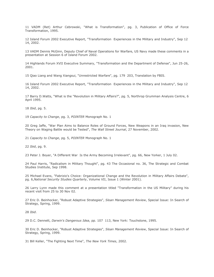11 VADM (Ret) Arthur Cebrowski, "What is Transformation", pg. 3, Publication of Office of Force Transformation, 1995.

12 Island Forum 2002 Executive Report, "Transformation Experiences in the Military and Industry", Sep 12 14, 2002.

13 VADM Dennis McGinn, Deputy Chief of Naval Operations for Warfare, US Navy made these comments in a presentation at Session 6 of Island Forum 2002.

14 Highlands Forum XVII Executive Summary, "Transformation and the Department of Defense", Jun 25-26, 2001.

15 Qiao Liang and Wang Xiangsui, "Unrestricted Warfare", pg. 179 203, Translation by FBIS.

16 Island Forum 2002 Executive Report, "Transformation Experiences in the Military and Industry", Sep 12 14, 2002.

17 Barry D.Watts, "What is the "Revolution in Military Affairs?", pg. 5, Northrop Grumman Analysis Centre, 6 April 1995.

18 *Ibid*, pg. 5.

19 *Capacity to Change*, pg. 3, *POINTER* Monograph No. 1

20 Greg Jaffe, "War Plan Aims to Balance Roles of Ground Forces, New Weapons in an Iraq invasion, New Theory on Waging Battle would be Tested", *The Wall Street Journal*, 27 November, 2002.

21 *Capacity to Change*, pg. 5, *POINTER* Monograph No. 1

22 *Ibid*, pg. 9.

23 Peter J. Boyer, "A Different War Is the Army Becoming Irrelevant", pg. 66, New Yorker, 1 July 02.

24 Paul Harris, "Radicalism in Military Thought", pg. 43 The Occasional no. 36, The Strategic and Combat Studies Institute, Sep 1998.

25 Michael Evans, "Fabrizio's Choice: Organizational Change and the Revolution in Military Affairs Debate", pg. 6,*National Security Studies Quarterly*, Volume VII, Issue 1 (Winter 2001).

26 Larry Lynn made this comment at a presentation titled "Transformation in the US Military" during his recent visit from 25 to 30 Nov 02.

27 Eric D. Beinhocker, "Robust Adaptive Strategies", *Sloan Management Review*, Special Issue: In Search of Strategy, Spring, 1999.

28 *Ibid*.

29 D.C. Dennett, *Darwin's Dangerous Idea*, pp. 107 113, New York: Touchstone, 1995.

30 Eric D. Beinhocker, "Robust Adaptive Strategies", *Sloan Management Review*, Special Issue: In Search of Strategy, Spring, 1999.

31 Bill Keller, "The Fighting Next Time", *The New York Times*, 2002.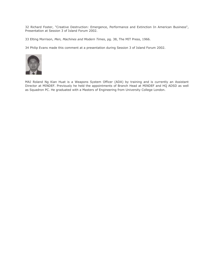32 Richard Foster, "Creative Destruction: Emergence, Performance and Extinction In American Business", Presentation at Session 3 of Island Forum 2002.

33 Elting Morrison, *Men, Machines and Modern Times*, pg. 38, The MIT Press, 1966.

34 Philip Evans made this comment at a presentation during Session 3 of Island Forum 2002.



MAJ Roland Ng Kian Huat is a Weapons System Officer (ADA) by training and is currently an Assistant Director at MINDEF. Previously he held the appointments of Branch Head at MINDEF and HQ ADSD as well as Squadron PC. He graduated with a Masters of Engineering from University College London.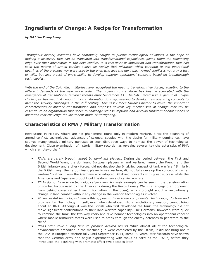# **Ingredients of Change: A Recipe for Transformation**

*by MAJ Lim Tuang Liang*

*Throughout history, militaries have continually sought to pursue technological advances in the hope of making a discovery that can be translated into transformational capabilities, giving them the convincing edge over their adversaries in the next conflict. It is this spirit of innovation and transformation that has*  seen the nature of armed conflict evolve so rapidly that militaries which continue to use operational *doctrines of the previous war were usually the ones who lose the next war.<sup>1</sup> Armed conflict is not only a test of wills, but also a test of one's ability to develop superior operational concepts based on breakthrough technologies.*

*With the end of the Cold War, militaries have recognised the need to transform their forces, adapting to the different demands of the new world order. The urgency to transform has been exacerbated with the emergence of transnational terrorist threats after September 11. The SAF, faced with a gamut of unique challenges, has also just begun in its transformation journey, seeking to develop new operating concepts to meet the security challenges in the 21st century. This essay looks towards history to reveal the important characteristics of military transformation and proposes several key mechanisms of change that will be essential to an organisation that seeks to challenge old assumptions and develop transformational modes of operation that challenge the incumbent mode of warfighting.*

#### **Characteristics of RMA / Military Transformation**

Revolutions in Military Affairs are not phenomena found only in modern warfare. Since the beginning of armed conflict, technological advances of science, coupled with the desire for military dominance, have spurred many creative military geniuses to seek disruptive ways to harness the power of technological development. Close examination of historic military records has revealed several key characteristics of RMA which are noteworthy.<sup>2</sup>

- *RMAs are rarely brought about by dominant players*. During the period between the First and Second World Wars, the dominant European players in land warfare, namely the French and the British infantry and artillery forces, did not develop the Blitzkrieg concept of tank warfare.<sup>3</sup> Similarly, the British navy, then a dominant player in sea warfare, did not fully develop the concept of carrier warfare.<sup>4</sup> Rather it was the Germans who adopted Blitzkrieg concepts with great success while the Americans and Japanese brought out the dominance of carrier warfare.
- *RMAs do not have to be technologically-driven*. A classic example can be seen in the transformation of combat tactics used by the Americans during the Revolutionary War (i.e. engaging an opponent from behind cover rather than in formation in the open), which brought about a revolutionary change in land combat without any change in the weapon technologies involved.
- *All successful technology-driven RMAs appear to have three components: technology, doctrine and organisation*. Technology in itself, even when developed into a revolutionary weapon, cannot bring about an RMA. Although it was the British who first developed the tank, the technology did not make significant contributions to their land warfare capability. The Germans, however, were quick to combine the tank, the two-way radio and dive bomber technologies into an operational concept where mobile armoured forces were used to break through the enemy defences to penetrate to the rear.<sup>5</sup>
- *RMAs often take a long time to produce desired results.* While almost all of the technological advancements embodied in the machine gun were completed by the 1870s, it did not bring about the RMA in European warfare fully until September 1914, some 40 years later.<sup>6</sup>Records have shown that the German army had begun experimenting with tanks as early as the 1920s, before they introduced the Blitzkrieg with dramatic effect two decades later.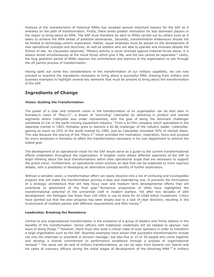Analysis of the characteristics of historical RMAs has revealed several important lessons for the SAF as it embarks on the path of transformation. Firstly, there exists greater motivation for less dominant players in the region to bring about an RMA. The SAF must therefore be alert to RMAs carried out by others even as it seeks to achieve the RMA ahead of potential adversaries. Secondly, transformation endeavours should not be limited to technology-centric exploration. Rather, equal emphasis must be placed on the development of new operational concepts and doctrines, as well as soldiers who are able to operate and innovate despite the friction of war. As Clausewitz observed, "Military activity is never directed against material forces alone; it is always aimed simultaneously at the moral forces which give it life, and the two cannot be separated." Lastly, the long gestation period of RMAs requires the commitment and stamina of the organisation to see through the oft painful process of transformation.

Having spelt out some key considerations in the transformation of our military capability, we can now proceed to examine the ingredients necessary to bring about a successful RMA, drawing from military and business examples to highlight several key elements that must be present to bring about the transformation of the SAF.

#### **Ingredients of Change**

#### **Vision: Guiding the Transformation**

The power of a clear and coherent vision in the transformation of an organisation can be best seen in Komatsu's vision of "Maru-C", a dream of "encircling" Caterpillar by attacking in product and market segments where Caterpillar was under represented, with the goal of being the dominant challenger worldwide to Cat in the earth-moving equipment industry.<sup>7</sup> From a \$170m company which specialised in the Japanese market in 1963, Komatsu grew to become a \$2.8b challenger of the industry leader, Caterpillar, gaining as much as 25% of the world market by 1985, just as Caterpillar conceded 20% of market share. This was because the sharing of the "Maru-C" vision provided the motivation, inspiration, focus and purpose for every employee in Komatsu to effect the transformation necessary in his own department to achieve the stated goal.

The development of an operational vision for the SAF would serve as a guide to the current transformational efforts undertaken throughout the organisation. A tangible vision allows different segments of the SAF to begin thinking about the local transformations within their operational scope that are necessary to support the grand vision. Furthermore, an operational vision anchors an idea that can be subjected to more vigorous debate, with a possibility of developing an alternative concept worthy of further exploration.

Without a sensible vision, a transformation effort can easily dissolve into a list of confusing and incompatible projects that will make the transformation journey a slow and meandering one. It prevents the formulation of a strategic architecture that will help focus near and medium term developmental efforts that will contribute to attainment of the final goal. $8$  Numerous proponents of UAVs have highlighted the transformational potential of the unmanned craft in modern warfare. Yet after two decades of UAV development, the Pentagon has fewer than 100 UAVs in use to show for its US\$6 billion investment. Critics have pointed out that the slow progress has been largely due to a lack of clear direction, resulting in the involvement of multiple parties with different requirements and little money.<sup>9</sup>

#### **Leadership: Breaking the Resistance**

Central to any organisational transformation is the existence of a group of leaders who firmly believe in the benefits of the transformation. Senior officers with traditional credentials will be needed to sponsor new ways of doing things.<sup>10</sup> However, there must also exist a critical mass of such sponsors in order to transform a large organisation such as the SAF. Business examples have shown that successful transformations include not only the chairman or president or division manager, but also five or 15 or 50 people who come together and develop a shared commitment to performance excellence through a process of organisational renewal.<sup>11</sup> The same can be said of military transformations, as can be seen from General von Seeckt and his cadre of visionary officers during the initial stages of development of the blitzkrieg RMA.<sup>12</sup> A military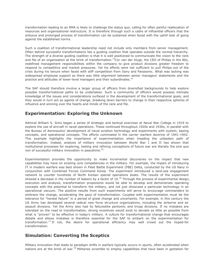transformation leading to an RMA is likely to challenge the status quo, calling for often painful reallocation of resources and organisational restructure. It is therefore through such a cadre of influential officers that the arduous and prolonged process of transformation can be sustained when faced with the uphill task of going against the established norms.

Such a coalition of transformational leadership need not include only members from senior management. Often behind successful transformations lies a guiding coalition that operates outside the normal hierarchy. The strength of a diverse guiding coalition is that it is well positioned to communicate the vision to the rank and file of an organisation at the brink of transformation.<sup>13</sup>Cor van der Klugt, the CEO of Philips in the 80s, redefined management responsibilities within the company to give product divisions greater freedom to respond to competitive and market pressures. Yet his efforts were not sufficient to pull Philips out of the crisis during his tenure when faced with stiff competition from Sony and Panasonic. What was lacking was widespread employee support as there was little alignment between senior managers' statements and the practice and attitudes of lower-level managers and their subordinates.<sup>14</sup>

The SAF should therefore involve a larger group of officers from diversified backgrounds to help explore possible transformational paths to be undertaken. Such a community of officers would possess intimate knowledge of the issues and considerations surfaced in the development of the transformational goals, and they would in turn act as agents of change, breaking down barriers to change in their respective spheres of influence and winning over the hearts and minds of the rank and file.

#### **Experimentation: Exploring the Unknown**

Admiral William S. Sims began a series of strategic and tactical exercises at Naval War College in 1919 to explore the use of aircraft in naval operations. These continued throughout 1920s and 1930s, in parallel with the Bureau of Aeronautics' development of naval aviation technology and experiments with system, basing concepts, and operational concepts. The efforts culminated in the carrier warfare doctrine of 1941-1942. This example highlights the importance of experimentation when treading the unbeaten path of transformation. Indeed, analysis of military innovation between World War I and II has shown that institutional processes for exploring, testing and refining conceptions of future war are literally the *sine qua non* of successful military innovation in peacetime.<sup>15</sup>

Experimentation provides the opportunity to make incremental discoveries on the impact that new capabilities may have on existing core competencies in the military. For example, the impact of introducing IT in modern warfare was best shown in Fleet Battle Experiment (FBE) Delta, conducted by the US Navy in conjunction with Combined Forces Command Korea. The experiment introduced a land-sea engagement network to counter hundreds of North Korean special operations boats. The results of the experiment showed a decrease in the number of leakers by a factor of  $10.^{16}$  Through the process of experimental design, execution and analysis, transformation proponents would be able to develop and demonstrate operating concepts with the potential to transform the military, and not just showcase a particular technology in an operational vacuum. The positive results from such experiments will serve to encourage commanders to embrace the change, accelerating the pace of transformation. Coupled with experimentation must be the tolerance for "honest failure" in a period of great change and uncertainty. For example, in this century the US Army has developed several radical new force structure organizations, including the airborne and air assault divisions. Yet the Army also had its failuresthe pentomic and tricap divisions. If no mistakes are tolerated on the road to transformation, strong incentives would exist to deviate as little as possible from what is "proven" to be effective in today's military. A culture for transformational change that encourages debate and allows mistakes is therefore essential for the SAF to embark on the experimentation for transformation.<sup>17</sup> If not, the desire for operational efficiency may well crowd out the hoped-for transformation.

#### **Simulation: Converting the Sceptics**

Military innovation that leads to paradigm shifts in warfare typically occurs in spurts, often accelerated when nations are at the brink of war.<sup>18</sup> Militaries scramble to employ capabilities that have been in gestation for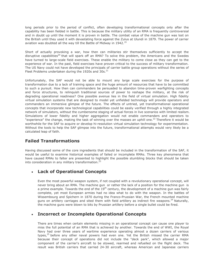long periods prior to the period of conflict, often developing transformational concepts only after the capability has been fielded in battle. This is because the military utility of an RMA is frequently controversial and in doubt up until the moment it is proven in battle. The combat value of the machine gun was lost on the British until they used it with devastating force against the Zulus at Ulundi in 1879. The power of carrier aviation was doubted all the way till the Battle of Midway in 1942.<sup>19</sup>

Short of actually provoking a war, how then can militaries stir themselves sufficiently to accept the disruptive capabilities<sup>20</sup> that will spark off an RMA? To solve this problem, the Americans and the Swedes have turned to large-scale field exercises. These enable the military to come close as they can get to the experience of war. In the past, field exercises have proven critical to the success of military transformation. The US Navy could not have developed the principals of carrier battle group operations without the series of Fleet Problems undertaken during the 1920s and  $30s$ .<sup>21</sup>

Unfortunately, the SAF would not be able to mount any large scale exercises for the purpose of transformation due to a lack of training space and the huge amount of resources that have to be committed to such a pursuit. How then can commanders be persuaded to abandon time-proven warfighting concepts and force structures, to relinquish traditional sources of power to reshape the military, at the risk of degrading operational readiness? One possible avenue lies in the field of virtual simulation. High fidelity virtual simulation systems that are designed to model yet unfielded technology will provide operators and commanders an immersive glimpse of the future. The effects of untried, yet transformational operational concepts that incorporate new technological capabilities could be easily verified through a highly integrated network of simulators, without the cumbersome staging of actual forces in live scenarios with limited realism. Simulations of lower fidelity and higher aggregation would not enable commanders and operators to "experience" the change, making the task of winning over the masses an uphill one.<sup>22</sup> Therefore it would be worthwhile for the SAF to acquire or develop hi-resolution virtual simulation technology for experimentation. Without the tools to help the SAF glimpse into the future, transformational attempts would very likely be a calculated leap of faith.

#### **Failed Transformations**

Having discussed some of the core ingredients that should be included in the transformation of the SAF, it would be useful to examine historical examples of failed or incomplete RMAs. Three key phenomena that have caused RMAs to falter are presented to highlight the possible stumbling blocks that should be taken into consideration in any military transformation. $^{23}$ 

#### **Lack of Operational Concepts**

Even the most powerful weapon system, if not coupled with a revolutionary operational concept, will never bring about an RMA. The machine gun or rather the lack of a position for the machine gun is a prime example. Towards the end of the  $19<sup>th</sup>$  century, the development of a machine gun was fairly complete, yet most European armies had no idea what to do with the weapon. In the battles of Wissembourg and Spichern in 1870 during the Franco-Prussian War, the French mounted machine guns on artillery carriages and sited them with field artillery as indirect fire weapons.<sup>24</sup> Naturally, the machine guns were blown to bits by Prussian artillery before a single bullet could be fired.

#### **Incorrect or Incomplete Operational Concepts**

There are times when certain elements missing in an operational concept can cause one player to miss the full potential of an RMA that is achieved by another. Towards the end of WWI, the Royal Navy had over three years of wartime experience operating almost a dozen carriers of various types, $25$  before any other naval powers had even one. Yet the British missed the carrier RMA because their concept of operations did not include the "deck park", which allowed a major component of the carrier's aircraft to be stowed, rearmed and refuelled on the flight deck. The result was British carriers that carried 24-30 aircraft, whereas American and Japanese carriers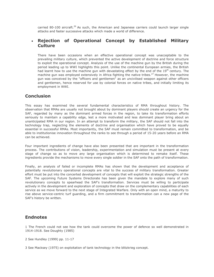carried 80-100 aircraft.<sup>26</sup> As such, the American and Japanese carriers could launch larger single attacks and faster successive attacks which made a world of difference.

#### **Rejection of Operational Concept by Established Military Culture**

There have been occasions when an effective operational concept was unacceptable to the prevailing military culture, which prevented the active development of doctrine and force structure to exploit the operational concept. Analysis of the use of the machine gun by the British during the period leading up to WWI highlights this point. Unlike the continental European armies, the British had learnt how to use the machine gun with devastating effect by the end of the  $19<sup>th</sup>$  century. The machine gun was employed extensively in Africa fighting the native tribes.<sup>27</sup> However, the machine gun was conceived by the "officers and gentlemen" as an uncivilised weapon against other officers and gentlemen, hence reserved for use by colonial forces on native tribes, and initially limiting its employment in WWI.

#### **Conclusion**

This essay has examined the several fundamental characteristics of RMA throughout history. The observation that RMAs are usually not brought about by dominant players should create an urgency for the SAF, regarded by many as the dominant armed forces in the region, to take its transformation efforts seriously to maintain a capability edge, lest a more motivated and less dominant player bring about an unanticipated RMA in our region. In an attempt to transform the military, the SAF should not fall into the technology trap, neglecting the elements of doctrine and organisation which have proved to be equally essential in successful RMAs. Most importantly, the SAF must remain committed to transformation, and be able to institutionise innovation throughout the ranks to see through a period of 15-20 years before an RMA can be achieved.

Four important ingredients of change have also been presented that are important in the transformation process. The contributions of vision, leadership, experimentation and simulation must be present at every stage of change so as to move any large organisation which is determined to remake itself. These ingredients provide the mechanisms to move every single soldier in the SAF onto the path of transformation.

Finally, an analysis of failed or incomplete RMAs has shown that the development and acceptance of potentially revolutionary operational concepts are vital to the success of military transformation. Greater effort must be put into the concerted development of concepts that will exploit the strategic strengths of the SAF. The upcoming Future Systems Directorate has been given the mandate to explore many of such revolutionary concepts to spearhead the SAF's transformation. Services must be willing to participate actively in the development and exploration of concepts that draw on the complementary capabilities of each service as we move forward to the next stage of Integrated Warfare. Only with an open mind, a maturity to rise above service-centric turf guarding, and a firm commitment to transformation can a new page of the SAF's history be written.

#### **Endnotes**

1 The French could not see how the tank could overcome the power of defence so well demonstrated in 1914-1918. See Doughty (1985)

2 See Hundley (1999) pp. 11-17

3 See Macksey (1975) on exploitation of tank technology in the blitzkrieg concept.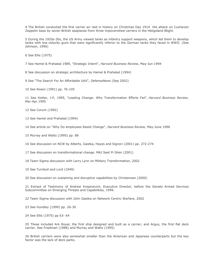4 The British conducted the first carrier air raid in history on Christmas Day 1914 the attack on Cuxhaven Zeppelin base by seven British seaplanes from three impoverished carriers in the Heligoland Blight.

5 During the 1920s-30s, the US Army viewed tanks as infantry support weapons, which led them to develop tanks with low-velocity guns that were significantly inferior to the German tanks they faced in WWII. (See Johnson, 1990)

6 See Ellis (1975)

7 See Hamel & Prahalad 1989, "Strategic Intent", *Harvard Business Review*, May-Jun 1994

8 See discussion on strategic architecture by Hamel & Prahalad (1994)

9 See "The Search For An Affordable UAV", *DefenseNews* (Sep 2002)

10 See Rosen (1991) pp. 76-105

11 See Kotter, J.P, 1995, "Leading Change: Why Transformation Efforts Fail", *Harvard Business Review*, Mar-Apr 1995

12 See Corum (1992)

13 See Hamel and Prahalad (1994)

14 See article on "Why Do employees Resist Change", *Harvard Business Review*, May-June 1996

15 Murray and Watts (1995) pp. 88

16 See discussion on NCW by Alberts, Gastka, Hayes and Signori (2001) pp. 272-274

17 See discussion on transformational change. MAJ Seet Pi Shen (2001)

18 Team Sigma discussion with Larry Lynn on Military Transformation, 2002

19 See Turnbull and Lord (1949)

20 See discussion on sustaining and disruptive capabilities by Christensen (2000)

21 Extract of Testimony of Andrew Krepinevich, Executive Director, before the Senate Armed Services Subcommittee on Emerging Threats and Capabilities, 1999.

22 Team Sigma discussion with John Gastka on Network Centric Warfare, 2002

23 See Hundley (1999) pp. 26-30

24 See Ellis (1975) pp 63- 64

25 These included Ark Royal, the first ship designed and built as a carrier, and Argus, the first flat deck carrier. See Friedman (1988) and Murray and Watts (1995)

26 British carriers were also somewhat smaller than the American and Japanese counterparts but the key factor was the lack of deck parks.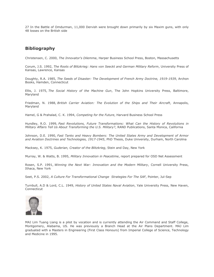27 In the Battle of Omdurman, 11,000 Dervish were brought down primarily by six Maxim guns, with only 48 losses on the British side

#### **Bibliography**

Christensen, C. 2000, *The Innovator's Dilemma*, Harper Business School Press, Boston, Massachusetts

Corum, J.S. 1992, *The Roots of Blitzkrieg: Hans von Seeckt and German Military Reform*, University Press of Kansas, Lawrence, Kansas

Doughty, R.A. 1985, *The Seeds of Disaster: The Development of French Army Doctrine, 1919-1939*, Archon Books, Hamden, Connecticut

Ellis, J. 1975, *The Social History of the Machine Gun*, The John Hopkins University Press, Baltimore, Maryland

Friedman, N. 1988, *British Carrier Aviation: The Evolution of the Ships and Their Aircraft*, Annapolis, Maryland

Hamel, G & Prahalad, C. K. 1994, *Competing for the Future*, Harvard Business School Press

Hundley, R.O. 1999, *Past Revolutions, Future Transformations: What Can the History of Revolutions in Military Affairs Tell Us About Transforming the U.S. Military?*, RAND Publications, Santa Monica, California

Johnson, D.E. 1990, *Fast Tanks and Heavy Bombers: The United States Army and Development of Armor and Aviation Doctrines and Technologies, 1917-1945*, PhD Thesis, Duke University, Durham, North Carolina

Macksey, K. 1975, *Guderian, Creator of the Blitzkrieg*, Stein and Day, New York

Murray, W. & Watts, B. 1995, *Military Innovation in Peacetime*, report prepared for OSD Net Assessment

Rosen, S.P. 1991, *Winning the Next War: Innovation and the Modern Military*, Cornell University Press, Ithaca, New York

Seet, P.S. 2002, *A Culture For Transformational Change Strategies For The SAF*, Pointer, Jul-Sep

Turnbull, A.D & Lord, C.L. 1949, *History of United States Naval Aviation*, Yale University Press, New Haven, Connecticut



MAJ Lim Tuang Liang is a pilot by vocation and is currently attending the Air Command and Staff College, Montgomery, Alabama, US. He was previously a Branch Head at the Air Plans Department. MAJ Lim graduated with a Masters in Engineering (First Class Honours) from Imperial College of Science, Technology and Medicine in 1995.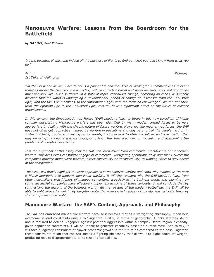# **Manoeuvre Warfare: Lessons from the Boardroom for the Battlefield**

*by MAJ (NS) Seet Pi Shen*

*"All the business of war, and indeed all the business of life, is to find out what you don't know from what you do."*

*Arthur Wellesley, 1st Duke of Wellington<sup>1</sup>*

Whether in peace or war, uncertainty is a part of life and the Duke of Wellington's comment is as relevant *today as during the Napoleonic era. Today, with rapid technological and social developments, military forces must not only 'live' but also 'thrive' in a state of rapid, continuous change, bordering on chaos. It is widely believed that the world is undergoing a 'revolutionary' period of change as it transits from the 'Industrial Age', with the focus on machines, to the 'Information Age', with the focus on knowledge.<sup>2</sup> Like the transition from the Agrarian Age to the 'Industrial Age', this will have a significant effect on the future of military organisations.*

*In this context, the Singapore Armed Forces (SAF) needs to learn to thrive in this new paradigm of highly complex uncertainty. Manoeuvre warfare has been identified by many modern armed forces to be very appropriate in dealing with the chaotic nature of future warfare. However, like most armed forces, the SAF does not often get to practice manoeuvre warfare in peacetime and only gets to train its people hard on it.*  Instead of being insular and resting on its laurels, it should look to other disciplines and organisation that *may be using manoeuvre warfare concepts to learn the 'best practices' in managing and overcoming the problems of complex uncertainty.*

*It is the argument of this essay that the SAF can learn much from commercial practitioners of manoeuvre warfare. Business firms constantly engage in commercial warfighting operations daily and many successful companies practice manoeuvre warfare, either consciously or unconsciously, to winning effect to stay ahead of the competition.*

*The essay will briefly highlight the core approaches of manoeuvre warfare and show why manoeuvre warfare*  is highly appropriate to modern, non-linear warfare. It will then explore why the SAF needs to learn from *other non-military practitioners of manoeuvre warfare, especially in the business world, and examine how some successful companies have effectively implemented some of these concepts. It will conclude that by synthesising the lessons of the business world with the realities of the modern battlefield, the SAF will be able to fight above its weight by targeting potential adversaries' centres of gravity and dislocate them by shattering their will to fight.*

#### **Manoeuvre Warfare the SAF's Context, Approach, and Philosophy**

The SAF has embraced manoeuvre warfare because it believes that as a warfighting philosophy, it can help overcome several constraints unique to Singapore. Firstly, in terms of geography, it lacks strategic depth and is required to defend Singapore against potential aggressors within a complex littoral region. Secondly, given population constraints, it will be unable to generate capability based on human mass. And thirdly, it will face budgetary constraints of slower economic growth in the future as compared to the past. Together, these constraints mean that the SAF needs a fighting philosophy that allows it to 'fight above its weight', producing results disproportionate to its size and capabilities.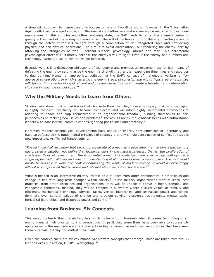A simplistic approach to manoeuvre only focuses on one or two dimensions. However, in the 'Information Age', conflict will be waged across a multi-dimensional battlespace and not merely be restricted to positional manoeuvres. In this complex and often confusing state, the SAF needs to target the enemy's centre of gravity – the mind of the enemy commander and the will of his forces to fight thereby offsetting strength through the defeat of the will to fight through a combination of well-integrated rapid and bewildering physical and non-physical operations. The aim is to avoid direct attack, but rendering the enemy inert by attacking the intangibles of war – political support, psychology, morale and fear. This detrimental psychological effect will ultimately collapse the enemy's will to fight. Even if the enemy has numbers and technology, without a will to win, he will be defeated.

Essentially, this is a dislocation philosophy of manoeuvre and provides an extremely economical means of defeating the enemy by setting aside the enemy's strength, rather than expending time, lives and resources to destroy him.*<sup>3</sup>* Hence, an appropriate definition of the SAF's concept of manoeuvre warfare is: "*an approach to operations in which shattering the enemy's overall cohesion and will to fight is paramount …by inflicting on him a series of rapid, violent and unexpected actions which create a turbulent and deteriorating situation in which he cannot cope*."*<sup>4</sup>*

#### **Why the Military Needs to Learn from Others**

Studies have shown that armed forces that choose to think that they have a monopoly in skills of managing in highly complex uncertainty will become complacent and will adopt highly incremental approaches to adapting to chaos and trap themselves in an organisational treadmill, blinding themselves to new perspectives on tackling new issues and problems.<sup>5</sup> The results are 'bureaucratised' forces with authoritarian leaders with poor internal communications, ignoring possibilities and creativity.<sup>6</sup>

Moreover, modern technological developments have added an entirely new dimension of uncertainty and have so obfuscated the fundamental principles of strategy that any simple construction of conflict strategy is now impossible. As Michael Handel puts it,

"*The technological revolution that began to accelerate at a geometric pace after the mid nineteenth century*  has created a situation not unlike that facing scholars in the natural sciences: that is, the proliferation of *specialised fields of research and the exponential growth in knowledge made it extremely unlikely that a single expert could cultivate an in-depth understanding of all the developments taking place. Just as it would hardly be possible to write one book encompassing the whole of modern science, it would be exceedingly difficult to compress all that is known and relevant about war into a single tome.*" 7

What is needed is an 'interactive military' that is able to learn from other practitioners in other fields and change in line with long-term changes within society.<sup>8</sup> Unless military organizations start to learn 'best practices' from other disciplines and organisations, they will be unable to thrive in highly complex and changeable conditions. Instead, they will be trapped in a system where cultural values of stability and efficiency, mechanical technology, physical tasks, vertical hierarchies, and centralised power and control dominate over cultural values of change and problem solving, electronic technologies, mental tasks, horizontal hierarchies, and dispersed power and control.<sup>9</sup>

#### **Learning from Business Six Concepts**

This essay contends that the military has much to learn from business when it comes to thriving in an environment of high uncertainty and competition. In particular, some firms have been able to successfully apply some of the manoeuvre warfare concepts in highly innovative and creative situations that have seen them outsmart, outplay and outlast their rivals.

Given the context, there are six key manoeuvre warfare concepts that emerge. These are taken from the US Marine Corps publication, MCDP1 'Warfighting'.<sup>10</sup>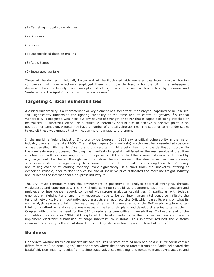- (1) Targeting critical vulnerabilities
- (2) Boldness
- (3) Focus
- (4) Decentralised decision making
- (5) Rapid tempo
- (6) Integrated warfare

These will be defined individually below and will be illustrated with key examples from industry showing companies that have effectively employed them with possible lessons for the SAF. The subsequent discussion borrows heavily from concepts and ideas presented in an excellent article by Clemons and Santamaria in the April 2002 Harvard Business Review.<sup>11</sup>

## **Targeting Critical Vulnerabilities**

A critical vulnerability is a characteristic or key element of a force that, if destroyed, captured or neutralised "will significantly undermine the fighting capability of the force and its centre of gravity."<sup>12</sup> A critical vulnerability is not just a weakness but any source of strength or power that is capable of being attacked or neutralised. A successful attack on a critical vulnerability should aim to achieve a decisive point in an operation or campaign. A force may have a number of critical vulnerabilities. The superior commander seeks to exploit these weaknesses that will cause major damage to the enemy.

In the maritime freight industry, DHL Worldwide Express in 1969 saw a critical vulnerability in the major industry players in the late 1960s. Then, ships' papers (or manifests) which must be presented at customs always travelled with the ships' cargo and this resulted in ships being held up at the destination port while the manifests were processed. Sending the manifests by postal mail failed as the mail service at that time was too slow, with ships arriving before the paperwork. DHL identified that if manifests were sent ahead by air, cargo could be cleared through customs before the ship arrived. The idea proved an overwhelming success as it shortened significantly the clearance and port turnaround times, saving their clients' money and raising each ship's earning capacity. More significantly, in a short time, the innovative offering of expedient, reliable, door-to-door service for one all-inclusive price dislocated the maritime freight industry and launched the international air express industry.<sup>13</sup>

The SAF must continually scan the environment in peacetime to analyse potential strengths, threats, weaknesses and opportunities. The SAF should continue to build up a comprehensive multi-spectrum and multi-agency intelligence network combined with strong analytical capabilities. In particular, with today's emphasis on fighting terrorism, many resources have to be put into human intelligence to infiltrate the terrorist networks. More importantly, good analysts are required. Like DHL which based its plans on what its own analysts saw as a chink in the major maritime freight players' armour, the SAF needs people who can think 'out-of-the-box' and see the weaknesses in the terrorists plans and develop strategies to target them. Coupled with this is the need for the SAF to reduce its own critical vulnerabilities. To keep ahead of the competition, as early as 1989, DHL exploited IT developments to be the first air express company to implement electronic submission of cargo manifests to customs. This initiative reduced the customs clearance process by half and cut down DHL's package delivery time by as much as half a day.<sup>14</sup>

#### **Boldness**

Manoeuvre warfare thrives on uncertainty and requires "a state of mind born of a bold will".<sup>15</sup>Modern conflict differs from the 'Industrial Age's' linear approach where the opposing forces' fronts and flanks delineated the battlefield. Non-linearity results from technological advances enabling land forces to manoeuvre, acquire and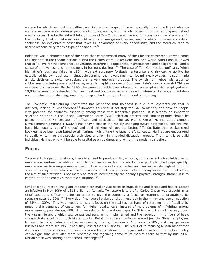engage targets throughout the battlespace. Rather than large units moving solidly in a single line of advance, warfare will be a more confused patchwork of dispositions, with friendly forces in front of, among and behind enemy forces. The battlefield will take on more of Sun Tzu's 'deceptive and formless' principle of warfare. In this context, it will sometimes take bold actions to see groundbreaking results where commanders exhibit "boldness, an exploitive mindset that takes full advantage of every opportunity, and the moral courage to accept responsibility for this type of behaviour".<sup>16</sup>

Boldness was a characteristic of the spirit that characterised many of the Chinese entrepreneurs who came to Singapore in the chaotic periods during the Opium Wars, Boxer Rebellion, and World Wars I and II. It was that of "a love for independence, adventure, enterprise, doggedness, righteousness and belligerence… and a sense of shrewdness and ruthlessness in business dealings."<sup>17</sup> The case of Tan Kah Kee is significant. When his father's business failed in 1904, with extraordinary fortitude, enterprise and risk-taking ability, he established his own business in pineapple canning, then diversified into rice milling. However, he soon made a risky decision to switch to rubber, then a very unproven product. The switch from rubber plantation to rubber manufacturing was a bold move, establishing him as one of Southeast Asia's most successful Chinese overseas businessmen. By the 1920s, he came to preside over a huge business empire which employed over 10,000 persons that extended into most East and Southeast Asian cities with interests like rubber plantation and manufacturing, shipping, import and export brokerage, real estate and rice trading.

The Economic Restructuring Committee has identified that boldness is a cultural characteristic that is distinctly lacking in Singaporeans.<sup>18</sup> However, this should not stop the SAF to identify and develop people with potential for boldness, especially among those with leadership potential. It is already an important selection criterion in the Special Operations Force (SOF) selection process and similar priority should be placed in the SAF's selection of officers and specialists. The US Marine Corps' Marine Corps Combat Development Command (MCCDC) has shown that in the rapidly changing future battlefields, soldiers who have high quality 'out-of-the-box' and bold thinking will operate better.<sup>19</sup> To facilitate this, pocket-sized booklets have been distributed to all Marines highlighting the latest draft concepts. Marines are encouraged to boldly write-in or visit special web sites and join in threaded discussion groups. The intent is to build individual Marines who will be able to capitalise on boldness and win on the modern battlefield.

#### **Focus**

To prevent dissipation of efforts, there is a need to provide unity, or focus, to the decentralised initiatives of manoeuvre warfare. In addition, with limited resources but the ability to exploit identified gaps quickly, manoeuvre warfare emphasises achieving local superiority and "often involves extremely high attrition of selected enemy forces where we have focused combat power against critical enemy weakness. Nonetheless, the aim of such attrition is not merely to reduce incrementally the enemy's physical strength. Rather, it is to contribute to the enemy's systemic disruption."<sup>20</sup>

Until recently, Nissan, the giant Japanese car maker was beset in huge debts and losses and had to accept an infusion in May 1999 of US\$5 billion by Renault. To restore it to profit, Carlos Ghosn was brought in as Chief Operating Officer and he set about to give the company a focus on returning to profitability by reducing costs by 20%.<sup>21</sup> "Every day, [managers] wake up, they must look in the mirror and see a reduction of 25% or 30%." This was needed to help it focus on the real task at hand of returning to profitability by meeting the demands of customers for higher quality cars, instead of its problems of infighting among management, poor design, difficult union relationships and overcapacity. This was driven all the way down the Nissan hierarchy which saw centralised purchasing implemented and the reduction in numbers of basic chassis designs but with much higher quality. But Ghosn drove this focus beyond just the Nissan employees to reach that of affiliates and other suppliers by offering them deals: "cut costs by 20%, and they get more business and more security. If not, they lose Nissan's business." The result of re-focusing Nissan meant that it was able to harness enough resources to win back customers in major markets with its new higher-quality car designs that were also more profitable and regaining some of its market share so that by mid-2002, Nissan stock was soaring on the stock-exchanges.<sup>22</sup>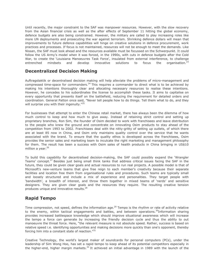Until recently, the major constraint to the SAF was manpower resources. However, with the slow recovery from the Asian financial crisis as well as the after effects of September 11 hitting the global economy, defence budgets are also being constrained. However, the military are called to play increasing roles like more UN deployments and prosecuting the war against terrorism. Shrinking defence dollars will mean that improvements to future defence capabilities will hinge on creative solutions in defence procurement, work practices and processes. If focus is not maintained, resources will not be enough to meet the demands. Like Nissan, the SAF must look ahead and the resources available must be focussed on the Schwerpunkt. It could follow the US Army's model when it was forced, in the 1990s, with cuts in defence budgets after the Cold War, to create the 'Louisiana Manoeuvres Task Force', insulated from external interference, to challenge entrenched mindsets and develop innovative solutions to focus the organisation.<sup>23</sup> entrenched mindsets and develop innovative solutions to focus

#### **Decentralized Decision Making**

Auftragstaktik or decentralised decision making will help alleviate the problems of micro-management and compressed time-space for commanders.<sup>24</sup> This requires a commander to direct what is to be achieved by making his intentions thoroughly clear and allocating necessary resources to realise these intentions. However, he concedes to his subordinates the license to accomplish these tasks. It aims to capitalise on every opportunity that presents itself on the battlefield, reducing the requirement for detailed orders and coordination. General Patton once said, "Never tell people how to do things. Tell them what to do, and they will surprise you with their ingenuity."<sup>25</sup>

For businesses that attempt to enter the Chinese retail market, there has always been the dilemma of how much control to keep and how much to give away. Instead of retaining strict control and setting up proprietary branches, Ron Sim, the founder of Osim decided to work with franchisees and leave distribution to the people who knew the ground and concentrate on innovating Osim products to stay ahead of the competition from 1993 to 2002. Franchisees deal with the nitty-gritty of setting up outlets, of which there are at least 85 now in China, and Osim only maintains quality control over the service that he wants associated with the brand. To ensure that the quality ethos is developed across the franchisees, Osim provides the senior sales and marketing team to inculcate the right marketing and management philosophy for them. The result has been a success with Osim sales of health products in China bringing in US\$10 million a year. $26$ 

To build this capability for decentralised decision-making, the SAF could possibly expand the 'Wrangler Teams' concept.<sup>27</sup> Besides just being small think tanks that address critical issues facing the SAF in the future, they could be given clear goals and actual resources to run real projects. A possible model is that of Microsoft's new-venture teams that give free reign to each member's creativity because their separate facilities and location free them from organisational rules and procedures. Such teams are typically small and loosely structured and include a mix of experience and personalities. They target people with 'bandwidth', a breadth of interest, and throw them together in mixed teams of 'nerds' and sensitive designers. They are given clear goals and the resources they require. The resulting creative tension produces unique and innovative results.<sup>28</sup>

## **Rapid Tempo**

Time compression, not speed, defines the information age.<sup>29</sup> Tempo is the rhythm or rate of activity relative to the enemy, within tactical engagements and battles, and between operations.<sup>30</sup>Information sharing provides increased battlespace knowledge which should improve situational awareness which will increase the tempo a force can generate by increasing the friendly decision cycle and thus the ability to out manoeuvre the threat force. Here, "the relevant measure is not absolute speed. Rather, success is based on relative speed i.e. identifying opportunities and making decisions more quickly than one's opponent, thereby forcing him into a constant state of reaction."<sup>31</sup>

Creative Technology, the world's largest maker of soundcards for personal computers (PCs), under the leadership of Sim Wong Hoo, has set a rapid tempo to keep ahead of its potential competitors especially in the higher-end, higher margin markets.<sup>32</sup> It achieved an initial advantage in 1989 with the launch of the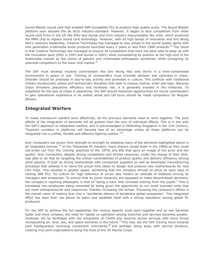Sound Blaster sound card that enabled IBM-compatible PCs to produce high quality audio. The Sound Blaster platform soon became the de facto industry-standard. However, it began to face competition from other sound card firms in the US like EMU and Aureal and from industry heavyweights like Intel, which produced the MMX chip to replace sound card technology. However, with its high tempo of innovation and Sim Wong Hoo's visionary leadership, Creative Technology has managed to stay ahead in the sound quality game with new generation multimedia audio products launched every 2 years or less from 1989 onwards.<sup>33</sup> The result is that Creative Technology has managed to acquire its competitors that have not been able to keep up with the innovation pace (EMU in 1993 and Aureal in 2001) while consolidating its position at the high-end of the multimedia market as the choice of gamers and multimedia enthusiasts worldwide, while consigning its potential competitors to the lower-end market.<sup>34</sup>

The SAF must develop intuitive commanders like Sim Wong Hoo who thrive in a time-compressed environment in peace or war. Training of commanders must promote decision and calmness in chaos. Disorder should be practised in day-to-day activity and promoted in culture. This conflicts with traditional military bureaucratic values and technocratic discipline that seek to impose routine, order and logic. Because chaos threatens peacetime efficiency and increases risk, it is generally avoided in the militaries. To substitute for the lack of chaos in peacetime, the SAF should maximise opportunities for future commanders to gain operational experience in its widest sense and UN tours should be made compulsory for Regular officers.

## **Integrated Warfare**

To make manoeuvre warfare work effectively, all the previous elements need to work together. The joint effects of the integration of elements will be greater than the sum of individual effects. This is in line with the SAF's approach to integrated warfare, and is acknowledged in Defending Singapore in the 21st Century, "Superior numbers in platforms…will become less of an advantage unless all these platforms can be integrated into a unified, flexible and effective fighting system."<sup>35</sup>

Acer Computers has grown from strength to strength by adopting many of the elements highlighted above in an integrated manner.<sup>36</sup> In the Taiwanese PC industry, many players closed down in the 1990s as they could not break out from the 'cloning' practices of the 1970s and 80s that gave an image of low price and low quality. Acer Computers, despite strong competition and limited resources, under the charge of Stan Shih, was able to do that by targeting the critical vulnerabilities of product quality and delivery efficiency among other players. It built up strong relationships with component suppliers as well as developed manufacturing processes that allowed it to halve the actual time taken to design and produce new motherboards for new CPU chips. This resulted in greater speed, something that the company thrived on since its early days of cloning IBM PCs. Its culture for high tolerance of errors also fosters an attitude of boldness among its managers and employees. To ensure that its junior hierarchy are equipped to make decentralised decisions, the company's coaching philosophy is that of "being a tutor who conceals nothing from the pupils." This is translated into employees being rewarded by being given the opportunity to run small business units that are more entrepreneurial and responsive, thereby increasing the tempo. Focussing the company's efforts is the overall vision of making Acer into a "worldwide alliance of borderless global companies". This integrated effort has seen Acer rise above its peers and establish itself with a strong reputation among global PC producers.

For the SAF to achieve the full capabilities the various aspects must work together and as war becomes faster and more complex, the need for tighter co-operation among branches and services becomes greater. Jointness will be facilitated with the integration of C4ISR and doctrine across services with more forces incorporating air, land, sea, and space elements in the future.<sup>37</sup>This may see the SAF moving more towards joint headquarters removing component commands,<sup>38</sup> and perhaps doing away with service divisions, creating true joint organisations along the lines of the US Marine Corps.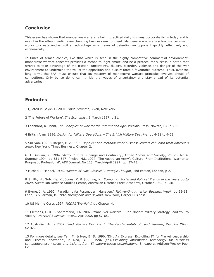#### **Conclusion**

This essay has shown that manoeuvre warfare is being practiced daily in many corporate firms today and is useful in the often chaotic, ever-changing business environment. Manoeuvre warfare is attractive because it works to create and exploit an advantage as a means of defeating an opponent quickly, effectively and economically.

In times of armed conflict, like that which is seen in the highly competitive commercial environment, manoeuvre warfare concepts provides a means to 'fight smart' and be a protocol for success in battle that strives to take advantage of the friction, uncertainty, fluidity, disorder, violence and danger of the war environment to undermine the will of the opposition and quickly force a favourable outcome. Thus, over the long term, the SAF must ensure that its mastery of manoeuvre warfare principles evolves ahead of competitors. Only by so doing can it ride the waves of uncertainty and stay ahead of its potential adversaries.

## **Endnotes**

1 Quoted in Boyle, E. 2001, *Once Tempted*, Avon, New York.

2 'The Future of Warfare', *The Economist*, 8 March 1997, p 21.

3 Leonhard, R. 1998, *The Principles of War for the Information Age*, Presidio Press, Novato, CA, p 255.

4 British Army 1996, *Design for Military Operations – The British Military Doctrine*, pp 4-21 to 4-22.

5 Sullivan, G.R. & Harper, M.V. 1996, *Hope is not a method: what business leaders can learn from America's army*, New York, Times Business, Chapter 2.

6 O. Dunivin, K. 1994, 'Army Culture: Change and Continuity', *Armed Forces and Society*, Vol 20, No 4, Summer 1994, pp.531-547; Phelps, M.L. 1997, 'The Australian Army's Culture: From Institutional Warrior to Pragmatic Professional', ADF Journal, No 123, March/April 1997, pp. 37-43.

7 Michael I. Handel, 1996, *Masters of War: Classical Strategic Thought*, 2nd edition, London, p 2.

8 Smith, H., Sutcliffe, K., Jones, K. & Spurling, K., *Economic, Social and Political Trends in the Years up to 2020*, Australian Defence Studies Centre, Australian Defence Force Academy, October 1989, p. xiii.

9 Byrne, J. A. 1992, 'Paradigms for Postmodern Managers', *Reinventing America, Business Week*, pp 62-63; Land, G & Jarman, B. 1992, *Breakpoint and Beyond*, New York, Harper Business.

10 US Marine Corps 1997, *MCDP1 'Warfighting'*, Chapter 4.

11 Clemons, E. K. & Santamaria, J.A. 2002, 'Maneuver Warfare – Can Modern Military Strategy Lead You to Victory', *Harvard Business Review*, Apr 2002, pp 57-65.

12 Australian Army 2002, *Land Warfare Doctrine 1: The Fundamentals of Land Warfare*, Doctrine Wing, CATDC.

13 For more details, see Tan, M. & Neo, B. S. 1996, 'DHL Air Express: Exploiting IT for Market Leadership and Process Innovation', in Neo, B. S. 1996 (ed), *Exploiting information technology for business competitiveness : cases and insights from Singapore-based organizations*, Singapore, Addison-Wesley Pub. Co.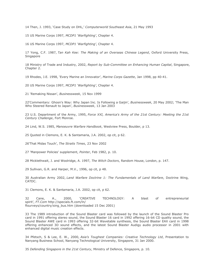14 Then, J. 1993, 'Case Study on DHL,' *Computerworld Southeast Asia*, 21 May 1993

15 US Marine Corps 1997, *MCDP1 'Warfighting'*, Chapter 4.

16 US Marine Corps 1997, *MCDP1 'Warfighting'*, Chapter 4.

17 Yong, C.F. 1987, *Tan Kah Kee: The Making of an Overseas Chinese Legend*, Oxford University Press, Singapore

18 Ministry of Trade and Industry, 2002, *Report by Sub-Committee on Enhancing Human Capital*, Singapore, Chapter 2.

19 Rhodes, J.E. 1998, 'Every Marine an Innovator', *Marine Corps Gazette*, Jan 1998, pp 40-41.

20 US Marine Corps 1997, *MCDP1 'Warfighting'*, Chapter 4.

21 'Remaking Nissan', *Businessweek*, 15 Nov 1999

22'Commentary: Ghosn's Way: Why Japan Inc. Is Following a Gaijin', *Businessweek*, 20 May 2002; 'The Man Who Steered Renault to Japan', *Businessweek*, 13 Jan 2003

23 U.S. Department of the Army, 1995, *Force XXI, America's Army of the 21st Century: Meeting the 21st Century Challenge*, Fort Monroe.

24 Lind, W.S. 1985, *Manoeuvre Warfare Handbook*, Westview Press, Boulder, p 13.

25 Quoted in Clemons, E. K. & Santamaria, J.A. 2002, op cit, p 62.

26'That Midas Touch', *The Straits Times*, 23 Nov 2002

27 'Manpower Policies' supplement, *Pointer*, Feb 1982, p. 10.

28 Micklethwait, J. and Woolridge, A. 1997, *The Witch Doctors*, Random House, London, p. 147.

29 Sullivan, G.R. and Harper, M.V., 1996, op cit, p 48.

30 Australian Army 2002, *Land Warfare Doctrine 1: The Fundamentals of Land Warfare*, Doctrine Wing, CATDC.

31 Clemons, E. K. & Santamaria, J.A. 2002, op cit, p 62.

32 Cane, A., 2000, 'CREATIVE TECHNOLOGY: A blast of entrepreneurial spirit', *FT.Com* http://specials.ft.com/ln/ ftsurveys/country/sing\_bus.htm (downloaded 15 Dec 2001)

33 The 1989 introduction of the Sound Blaster card was followed by the launch of the Sound Blaster Pro card in 1991 offering stereo sound, the Sound Blaster 16 card in 1992 offering 16-bit CD quality sound, the Sound Blaster AWE card in 1993 offering 32-bit Wavetable synthesis, the Sound Blaster EAX card in 1998 offering enhanced 3D sound effects, and the latest Sound Blaster Audigy audio processor in 2001 with enhanced digital music creation effects.

34 Pfetsch, S & Lee, E. W., 2000, *Asia's Toughest Companies: Creative Technology Ltd*, Presentation to Nanyang Business School, Nanyang Technological University, Singapore, 31 Jan 2000.

35 *Defending Singapore in the 21st Century*, Ministry of Defence, Singapore, p. 10.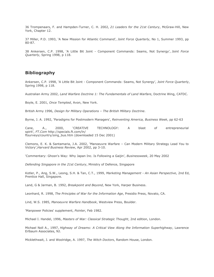36 Trompenaars, F. and Hampden-Turner, C. H. 2002, *21 Leaders for the 21st Century*, McGraw-Hill, New York, Chapter 12.

37 Miller, P.D. 1993, 'A New Mission for Atlantic Command', *Joint Force Quarterly*, No 1, Summer 1993, pp 80-87.

38 Ankersen, C.P. 1998, 'A Little Bit Joint - Component Commands: Seams, Not Synergy', *Joint Force Quarterly*, Spring 1998, p 118.

#### **Bibliography**

Ankersen, C.P. 1998, 'A Little Bit Joint - Component Commands: Seams, Not Synergy', *Joint Force Quarterly*, Spring 1998, p 118.

Australian Army 2002, *Land Warfare Doctrine 1: The Fundamentals of Land Warfare*, Doctrine Wing, CATDC.

Boyle, E. 2001, *Once Tempted*, Avon, New York.

British Army 1996, *Design for Military Operations – The British Military Doctrine*.

Byrne, J. A. 1992, 'Paradigms for Postmodern Managers', *Reinventing America, Business Week*, pp 62-63

Cane, A., 2000, 'CREATIVE TECHNOLOGY: A blast of entrepreneurial spirit', *FT.Com* http://specials.ft.com/ln/ ftsurveys/country/sing\_bus.htm (downloaded 15 Dec 2001)

Clemons, E. K. & Santamaria, J.A. 2002, 'Manoeuvre Warfare – Can Modern Military Strategy Lead You to Victory',*Harvard Business Review*, Apr 2002, pp 3-10.

'Commentary: Ghosn's Way: Why Japan Inc. Is Following a Gaijin', *Businessweek*, 20 May 2002

*Defending Singapore in the 21st Century*, Ministry of Defence, Singapore

Kotler, P., Ang, S.W., Leong, S.H. & Tan, C.T., 1999, *Marketing Management - An Asian Perspective*, 2nd Ed, Prentice Hall, Singapore.

Land, G & Jarman, B. 1992, *Breakpoint and Beyond*, New York, Harper Business.

Leonhard, R. 1998, *The Principles of War for the Information Age*, Presidio Press, Novato, CA.

Lind, W.S. 1985, *Manoeuvre Warfare Handbook*, Westview Press, Boulder.

'Manpower Policies' supplement, *Pointer*, Feb 1982.

Michael I. Handel, 1996, *Masters of War: Classical Strategic Thought*, 2nd edition, London.

Michael Noll A., 1997, *Highway of Dreams: A Critical View Along the Information Superhighway*, Lawrence Erlbaum Associates, NJ.

Micklethwait, J. and Woolridge, A. 1997, *The Witch Doctors*, Random House, London.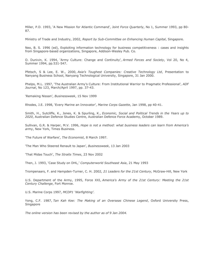Miller, P.D. 1993, 'A New Mission for Atlantic Command', *Joint Force Quarterly*, No 1, Summer 1993, pp 80- 87.

Ministry of Trade and Industry, 2002, *Report by Sub-Committee on Enhancing Human Capital*, Singapore.

Neo, B. S. 1996 (ed), Exploiting information technology for business competitiveness : cases and insights from Singapore-based organizations, Singapore, Addison-Wesley Pub. Co.

O. Dunivin, K. 1994, 'Army Culture: Change and Continuity', *Armed Forces and Society*, Vol 20, No 4, Summer 1994, pp.531-547.

Pfetsch, S & Lee, E. W., 2000, *Asia's Toughest Companies: Creative Technology Ltd*, Presentation to Nanyang Business School, Nanyang Technological University, Singapore, 31 Jan 2000.

Phelps, M.L. 1997, 'The Australian Army's Culture: From Institutional Warrior to Pragmatic Professional', *ADF Journal*, No 123, March/April 1997, pp. 37-43.

'Remaking Nissan', *Businessweek*, 15 Nov 1999

Rhodes, J.E. 1998, 'Every Marine an Innovator', *Marine Corps Gazette*, Jan 1998, pp 40-41.

Smith, H., Sutcliffe, K., Jones, K. & Spurling, K., *Economic, Social and Political Trends in the Years up to 2020*, Australian Defence Studies Centre, Australian Defence Force Academy, October 1989.

Sullivan, G.R. & Harper, M.V. 1996, *Hope is not a method: what business leaders can learn from America's army*, New York, Times Business.

'The Future of Warfare', *The Economist*, 8 March 1997.

'The Man Who Steered Renault to Japan', *Businessweek*, 13 Jan 2003

'That Midas Touch', *The Straits Times*, 23 Nov 2002

Then, J. 1993, 'Case Study on DHL,' *Computerworld Southeast Asia*, 21 May 1993

Trompenaars, F. and Hampden-Turner, C. H. 2002, *21 Leaders for the 21st Century*, McGraw-Hill, New York

U.S. Department of the Army, 1995, Force XXI, *America's Army of the 21st Century: Meeting the 21st Century Challenge*, Fort Monroe.

U.S. Marine Corps 1997, *MCDP1 'Warfighting'*.

Yong, C.F. 1987, *Tan Kah Kee: The Making of an Overseas Chinese Legend*, Oxford University Press, Singapore

*The online version has been revised by the author as of 9 Jan 2004.*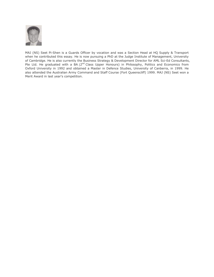

MAJ (NS) Seet Pi-Shen is a Guards Officer by vocation and was a Section Head at HQ Supply & Transport when he contributed this essay. He is now pursuing a PhD at the Judge Institute of Management, University of Cambridge. He is also currently the Business Strategy & Development Director for AML Sci-Ed Consultants, Pte Ltd. He graduated with a BA (2<sup>nd</sup> Class Upper Honours) in Philosophy, Politics and Economics from Oxford University in 1992 and obtained a Master in Defence Studies, University of Canberra, in 1999. He also attended the Australian Army Command and Staff Course (Fort Queenscliff) 1999. MAJ (NS) Seet won a Merit Award in last year's competition.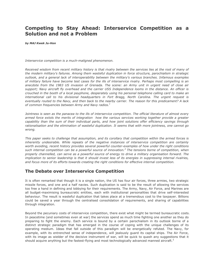## **Competing to Stay Ahead: Interservice Competition as a Solution and not a Problem**

*by MAJ Kwek Ju-Hon*

*Interservice competition is a much-maligned phenomenon.*

*Received wisdom from recent military history is that rivalry between the services lies at the root of many of the modern military's failures. Among them wasteful duplication in force structure, parochialism in strategic outlook, and a general lack of interoperability between the military's various branches. Infamous examples of military failure have become test cases for the ills of interservice rivalry. Perhaps most compelling is an anecdote from the 1983 US invasion of Grenada. The scene: an Army unit in urgent need of close air support; Navy aircraft fly overhead and the carrier USS Independence looms in the distance. An officer is crouched in the booth of a local payphone, desperately using his personal telephone calling card to make an international call to his divisional headquarters in Fort Bragg, North Carolina. The urgent request is eventually routed to the Navy, and then back to the nearby carrier. The reason for this predicament? A lack of common frequencies between Army and Navy radios.<sup>1</sup>*

*Jointness is seen as the panacea to the ills of interservice competition. The official literature of almost every armed force extols the merits of integration how the various services working together provide a greater capability than the sum of their individual parts, and how joint solutions offer efficiency savings through rationalisation and the elimination of wasteful duplication. It seems that with more jointness, one cannot go wrong.*

*This paper seeks to challenge that assumption, and its corollary that competition within the armed forces is inherently undesirable. While repeats of the negative instances of interservice competition are certainly worth avoiding, recent history provides several powerful counter-examples of how under the right conditions such internal competition can be a powerful source of innovation.<sup>2</sup> The tensions borne of competition, when properly channelled, can serve as a powerful source of energy to drive a military organisation forward. The implication to senior leadership is that it should invest less of its energies in suppressing internal rivalries, and focus more of its efforts towards creating the right conditions for effective internal competition.*

## **The Debate over Interservice Competition**

It is often remarked that though it is a single nation, the US has four air forces, three armies, two strategic missile forces, and one and a half navies. Such duplication is said to be the result of allowing the services too free a hand in defining and lobbying for their requirements. The Army, Navy, Air Force, and Marines are all budget-maximising bureaucratic entities, each with institutional personalities that drive self-interested behaviour. The result is wasteful duplication that takes place at a tremendous cost to the taxpayer. Billions could be saved a year through the centralised consolidation of requirements, and sharing of capabilities through integration.

Beyond the pecuniary costs of interservice competition, there exist what might be termed bureaucratic costs. In peacetime (and sometimes even at war) the services spend as much time fighting one another as they do preparing to fight the enemy. Each service is bound by a certain parochialism in its outlook borne of a distinct strategic paradigm that has emerged in the course of coping with the unique challenges of its operating medium. Ideas that fall outside of this paradigm will be energetically refuted. The Navy, for example, with its entrenched sense of independence, will jealously guard its capital ships. The Air Force, with its image as wielder of the decisive instrument of war, will be quick to quash any suggestions that it should acquire anything but the fastest-flying and most technologically advanced manned aircraft.<sup>3</sup>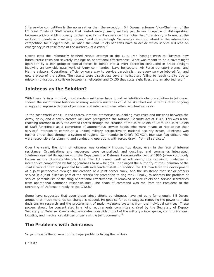Interservice competition is the norm rather than the exception. Bill Owens, a former Vice-Chairman of the US Joint Chiefs of Staff admits that "unfortunately, many military people are incapable of distinguishing between pride and blind loyalty to their specific military service." He notes that "this rivalry is formed at the earliest moments in a military career," and often enough "become(s) institutionalised in the interservice competition for budget funds, or when the Joint Chiefs of Staffs have to decide which service will lead an emergency joint task force at the outbreak of a crisis."<sup>4</sup>

Owens cites the infamously botched rescue attempt in the 1980 Iran hostage crisis to illustrate how bureaucratic costs can severely impinge on operational effectiveness. What was meant to be a covert night operation by a lean group of special forces ballooned into a overt operation conducted in broad daylight involving an unwieldy patchwork of Army commandos, Navy helicopters, Air Force transport planes, and Marine aviators. Operational efficiency gave way to service parochialism as every service lobbied for, and got, a piece of the action. The results were disastrous: several helicopters failing to reach to site due to miscommunication, a collision between a helicopter and  $C-130$  that costs eight lives, and an aborted raid.<sup>5</sup>

### **Jointness as the Solution?**

With these failings in mind, most modern militaries have found an intuitively obvious solution in jointness. Indeed the institutional histories of many western militaries could be sketched out in terms of an ongoing struggle to impose a degree of jointness and integration over often reluctant services.

In the post-World War II United States, intense interservice squabbling over roles and missions between the Army, Navy, and a newly created Air Force precipitated the National Security Act of 1947. This was a farreaching attempt to unify the Armed Forces through the creation of the Joint Chiefs of Staff. The Joint Chiefs of Staff functioned as a committee of autonomous service heads who were meant to rise above their services' interests to contribute a unified military perspective to national security issues. Jointness was further entrenched through a system of regional Commander-in-Chiefs (CINCs), four-star flag officers who were responsible for planning and conducting operations with forces drawn from all services.<sup>6</sup>

Over the years, the norm of jointness was gradually imposed top down, even in the face of internal resistance. Organisations and resources were centralised, and doctrines and commands integrated. Jointness reached its apogee with the Department of Defense Reorganisation Act of 1986 (more commonly known as the Goldwater-Nichols Act). The Act aimed itself at addressing the remaining maladies of interservice competition by taking jointness to new heights. It enlarged the authority of the Chairman of the Joint Chiefs of Staff and provided him with independent staff. In addition the Act mandated the development of a joint perspective through the creation of a joint career track, and the insistence that senior officers served in a joint billet as part of the criteria for promotion to flag rank. Finally, to address the problem of service parochialism obstructing operational effectiveness, it removed service chiefs and service secretaries from operational command responsibilities. The chain of command was ran from the President to the Secretary of Defense, directly to the CINCs.<sup>7</sup>

Some have suggested that even these latest efforts at jointness have not gone far enough. Bill Owens argues that much more radical change is needed. He goes so far as to suggest removing the power to make decisions on research and the procurement of major weapons systems from the individual services. These powers should be concentrated in a joint requirements committee chaired by the Secretary of Deputy Secretary of Defense. Owens also advocates consolidating all of the military's intelligence, communications, logistics, and medical capabilities under a single joint command.<sup>8</sup>

## **The Problems with Jointness**

So jointness is the answer to the major problems facing the military.

Or is it?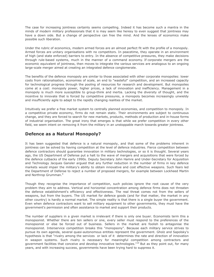The case for increasing jointness certainly seems compelling. Indeed it has become such a mantra in the minds of modern military professionals that it is may seem like heresy to even suggest that jointness may have a down side. But a change of perspective can free the mind. And the lenses of economics make possible such liberation.

Under the rubric of economics, modern armed forces are an almost perfect fit with the profile of a monopoly. Armed forces are unitary organisations with no competitors. In peacetime, they operate in an environment of high (and state enforced) barriers to entry. In the absence of competitive pressures, they make decisions through rule-based systems, much in the manner of a command economy. If corporate mergers are the economic equivalent of jointness, then moves to integrate the various services are analogous to an ongoing large-scale merger aimed at creating an integrated defence conglomerate.

The benefits of the defence monopoly are similar to those associated with other corporate monopolies: lower costs from rationalisation, economies of scale, an end to "wasteful" competition, and an increased capacity for technological progress through the pooling of resources for research and development. But monopolies come at a cost: monopoly power, higher prices, a lack of innovation and inefficiency. Management in a monopoly is much more susceptible to group-think and inertia. Lacking the diversity of thought, and the incentive to innovate that is forced by competitive pressures, a monopoly becomes increasingly unwieldy and insufficiently agile to adapt to the rapidly changing realities of the market.

Intuitively we prefer a free market system to centrally planned economies, and competition to monopoly. In a competitive private economy, firms do not remain static. Their environments are subject to continuous change, and they are forced to search for new markets, products, methods of production and in-house forms of industrial organisation. The great irony that emerges is that while we prefer competition in every other field, we seem intent on removing it from the military in an unstoppable march towards greater jointness.

## **Defence as a Natural Monopoly?**

It has been suggested that defence is a natural monopoly, and that some of the problems inherent in jointness can be solved by having competition at the level of defence industries. Fierce competition between defence contractors should guarantee innovation in military technologies, or so it is thought. Several years ago, the US Department of Defense put a halt to the wave of mergers and acquisitions that were forced by the defence cutbacks of the early 1990s. Deputy Secretary John Hamre and Under-Secretary for Acquisition and Technology Jacques Gansler argued that any further reduction in the number of firms in key defence markets would impair the military's ability to obtain innovative and cost effective weapons. Such fears led the Department of Defense to reject a number of proposed mergers, for example between Lockheed Martin and Northrop Grumman.<sup>9</sup>

Though they recognise the importance of competition, such policies ignore the root cause of the very problem they aim to address. Vertical and horizontal concentration among defence firms does not threaten the defence establishment's efficiency and effectiveness. The real threat comes not from the sellers of weapons, but from the buyers. The US market for defence goods (and for that matter, the market in any other country) is hardly a normal market. The simple reality is that there is a single buyer the government. Even when defence contractors want to sell military equipment to other governments, they must have the government's permission and often assistance to market and support their products.

The number of suppliers in a given market is irrelevant if there is only one buyer. Economists term this a monopsonist. Whether there are ten sellers or one, every seller must respond to the preferences of the monopsonist or else be forced out of business. Sellers in the market are foolish to antagonise the monopsonist. Interservice competition breaks this "monopsony". Because each military service strives to pursue its own agenda, several quasi-autonomous entities represent the government. Gholz and Sapolsky's hypothesis is that "rivalry among the services or lack of it determines the rate and direction of innovation in weapon systems. Such rivalry is necessary for meaningful competition among contractors and government facilities that conceive and develop innovative technologies."<sup>10</sup> But as they point out, for many years, and with increasing success, governments have been trying hard to suppress it.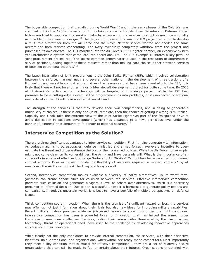The buyer side competition that prevailed during World War II and in the early phases of the Cold War was stamped out in the 1960s. In an effort to contain procurement costs, then Secretary of Defense Robert McNamara tried to suppress interservice rivalry by encouraging the services to adopt as much commonality as possible in their weapon designs.<sup>11</sup> The flagship of these efforts was the TFX project, an effort to develop a multi-role aircraft for both the Air Force and the Navy. Neither service wanted nor needed the same aircraft and both resisted cooperating. The Navy eventually completely withdrew from the project and purchased its own aircraft. The TFX morphed into the Air Force's F-111 fighter-bomber, an expensive system yet unremarkable system that came late into operational life. The TFX example illustrates a key pitfall of joint procurement procedures: "the lowest common denominator is used in the resolution of differences in service positions, adding together these requests rather than making hard choices either between services or between operational theatres."<sup>12</sup>

The latest incarnation of joint procurement is the Joint Strike Fighter (JSF), which involves collaboration between the airforce, marines, navy and several other nations in the development of three versions of a lightweight and versatile combat aircraft. Given the resources that have been invested into the JSF, it is likely that there will not be another major fighter aircraft development project for quite some time. By 2010 all of America's tactical aircraft technology will be targeted at this single project. While the JSF itself promises to be a cutting-edge system, if the programme runs into problems, or if unexpected operational needs develop, the US will have no alternatives at hand.

The strength of the services is that they develop their own competencies, and in doing so generate a multiplicity of choices. If there is only one (joint) template, then the chance of getting it wrong is multiplied. Sapolsky and Gholz take the extreme view of the Joint Strike Fighter as part of the "misguided drive to avoid duplication in weapons development (which) has expanded to a new, pernicious level under the banner of jointness" that amounts to "a danger to national security."<sup>13</sup>

#### **Interservice Competition as the Solution?**

There are three significant advantages to inter-service competition. First, it helps generate vital information. As budget maximising bureaucracies, defence ministries and armed forces have every incentive to overestimate the threat and under-estimate the cost of their preferred policies. While the Air Force, for example, might not come clean on its vulnerabilities, the Army and Navy certainly will. What is the importance of air superiority in an age of effective long range Surface to Air Missiles? Can fighters be replaced with unmanned combat aircraft? Does air power provide the flexibility of response required in modern conflicts? By all means ask the Air Force; but ask the Army and Navy as well.

Second, interservice competition makes available a diversity of policy alternatives. In its worst form, jointness can create opportunities for collusion between the services. Effective interservice competition prevents such collusion and generates a vigorous level of debate over alternatives, which is a necessary precursor to informed decision. Duplication is wasteful unless it is harnessed to generate policy options and comparisons. In today's uncertain world, it is best to have a portfolio of multiple perspectives on defence issues.

Third, competition spurs innovation. When there is the promise of significant reward or loss, the services may offer up not just information about their rivals but also new ideas for improving military capabilities. Recent military history provides evidence (discussed below) to show how under the right conditions, interservice competition has been a powerful force for innovation that has helped the armed forces transform to meet new challenges. Services, feeling their raison d'être threatened by the rise of a new technology, threat or operational need, have risen to the challenge by developing innovative approaches which sustain their relevance.

While clearly not the only candidates to provide internal competition, the services, with their distinctive identities, unique traditions, and organisational wherewithal, are ready-made competitors. Most importantly they meet a key condition that is crucial for effective competition - they are a set of relatively secure organisations that can still be made to feel uncertain about their futures. Organisations threatened with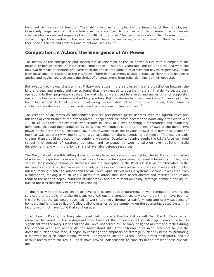imminent demise cannot function. Their ability to plan is crippled by the insecurity of their employees. Conversely, organisations that are totally secure are subject to the inertia of the incumbent, which makes creative ideas a rare and urgency of action difficult to arouse. "Pushed to worry about their futures, but not slated for quick disbandment, the services would have the resources, time, and need to think hard about their special talents and contributions to national security."<sup>14</sup>

#### **Competition in Action: the Emergence of Air Power**

The history of the emergence and subsequent development of the air power is rich with examples of the potentially benign effects of interservice competition. A hundred years ago, the land and the sea were the only two domains of warfare, and were each the undisputed domain of armies and navies respectively. Aside from occasional interactions at the interfaces shore bombardment, coastal defence artillery and raids ashore armies and navies could discount the threat of encroachment from other domains by their opposites.

But aviation technology changed this. Military operations in the air blurred the sharp distinction between the land and sea, and armies and navies found that they needed to operate in the air in order to secure their operations in their proprietary spaces. Early air planes were used by armies and navies only for supporting operations like reconnaissance and artillery spotting. But the airmen had their own ideas. In developing the technological and doctrinal means of delivering massed destructive power from the air, they came to challenge the relevance of forces constrained to operations on land and sea.<sup>15</sup>

The creation of air forces as independent services precipitated fierce debates over the rightful roles and missions of each branch of the armed forces. Independent air forces became the norm only after World War II. The US Air Force, for example, was created in 1947, at a time of struggle for strategic and budgetary dominance that had been triggered by deep post-war budget cuts, and a sense of awe at the destructive power of the atom bomb. Politicians saw nuclear weapons as the obvious answer to a numerically superior foe that was apparently willing to take large casualties on the conventional battlefield. This was certainly cheaper than a build up based on conventional weapons. Despite its relative youth, the US Airforce managed to sell the concept of strategic bombing, and consequently won jurisdiction over ballistic missile development, and with it the lion's share of available defence resources.

The Navy did not take this sitting down. Unwilling to accept second place behind the Air Force, it embarked of a series of experiments in operational concepts and technologies aimed at re-establishing its primacy as a service. Most notable among its successes was the conception of the Polaris Missile as an alternative to the Air Force's strategic nuclear missiles. The Polaris was revolutionary on two counts. First it was a solid fuelled missile, making it safer to launch than the Air Force liquid-fuelled missile systems. Second, it was fired from a submarine, making it much less vulnerable to attack than land based aircraft and missiles. The Polaris reduced the need to deploy hundreds of vulnerable, and not to mention costly, strategic bombers and liquidfuelled missiles that the airforce was developing.<sup>16</sup>

In the race with the Soviet Union to develop a secure nuclear deterrent, it was competition among the services that led quickly to the right answer. Without the competition, unwelcome as it may have been to the Air Force, the US would have had to work iteratively through a painfully long and costly sequence of bombers and land based liquid-fuelled ballistic missiles before stumbling on the submarine based system. In fact, it might not have found that solution at all.

In addition to Polaris, the Navy also developed more effective tactical aircraft than the Air Force, which remained blinkered by the widespread acceptance of the importance of its strategic bombing role. So significant was the Navy's lead that the Air Force was forced to use Navy-designed aircraft and tactics during the Vietnam War. And neither did the Army stand still. After faltering in its initial attempts to join the domestic nuclear arms race, it began to challenge the emphasis on strategic nuclear systems by promoting a renewed focus on conventional warfare. Innovations like the Green Berets, attack helicopters, and air assault tactics were the result. These have proved indispensable to conflicts in the present "post-nuclear" age.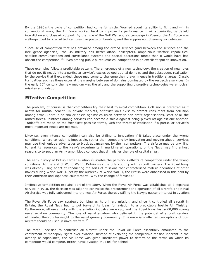By the 1990's the cycle of competition had come full circle. Worried about its ability to fight and win in conventional wars, the Air Force worked hard to improve its performance in air superiority, battlefield interdiction and close air support. By the time of the Gulf War and air campaign in Kosovo, the Air Force was well-equipped for crucial tactical roles like precision bombing and the suppression of enemy air defences.

"Because of competition that has prevailed among the armed services (and between the services and the intelligence agencies), the US military has better attack helicopters, amphibious warfare capabilities, satellite communications and surveillance systems and special operations forces than it would have had absent the competition."<sup>17</sup> Even among public bureaucracies, competition is an excellent spur to innovation.

These examples follow a predictable pattern. The emergence of a new technology, the creation of new roles that do not fit neatly into a particular service's exclusive operational domain, and the subsequent realisation by the service that if expanded, these may come to challenge their pre-eminence in traditional areas. Classic turf battles such as these occur at the margins between of domains dominated by the respective services. In the early 20<sup>th</sup> century the new medium was the air, and the supporting disruptive technologies were nuclear missiles and aviation.

## **Effective Competition**

The problem, of course, is that competitors try their best to avoid competition. Collusion is preferred as it allows for mutual benefit. In private markets, antitrust laws exist to protect consumers from collusion among firms. There is no similar shield against collusion between non-profit organisations, least of all the armed forces. Jointness among services can become a shield against being played off against one another. Tradeoffs are made on the friendliest possible terms, with the threat of retaliation if a particular service's most important needs are not met.

Likewise, even intense competition can also be stifling to innovation if it takes place under the wrong conditions. Where collusion is impossible, rather than competing by innovating and moving ahead, services may use their unique advantages to block advancement by their competitors. The airforce may be unwilling to lend its resources to the Navy's experiments in maritime air operations, or the Navy may find a host reasons to torpedo an Army amphibious concept that diminishes the role of capital ships.

The early history of British carrier aviation illustrates the pernicious effects of competition under the wrong conditions. At the end of World War I, Britain was the only country with aircraft carriers. The Royal Navy was already using adept at conducting the sorts of missions that characterised mature operations of other navies during World War II. Yet by the outbreak of World War II, the British were outclassed in this field by their American and Japanese counterparts. Why the change of fortunes?

Ineffective competition explains part of the story. When the Royal Air Force was established as a separate service in 1918, the decision was taken to centralise the procurement and operation of all aircraft. The Naval Air Service was fully subsumed into the new Air Force, thereby stifling the Navy's nascent interest in aviation.

The Royal Air Force saw strategic bombing as its primary mission, and since it controlled all aircraft in Britain, the Royal Navy had to put forward its ideas for aviation to a predictably hostile Air Ministry. Furthermore, all naval links with the aviation industry were cut, and the Royal Navy lost a 60,000 strong naval aviation community. The loss of naval aviators who believed in the potential of aircraft carriers eliminated the counterweight to the naval gunnery community. This materially affected conceptions of how aircraft should be used in naval warfare. $^{18}$ 

The fateful decision to centralise all aircraft under the Royal Air Force essentially amounted to the conferment of monopoly rights over aviation. Instead of exploiting the competitive tension inherent in the overlap of capabilities, the Air Force was given inordinate power to determine the terms on which its competitor would compete. British naval aviation thus fell far behind.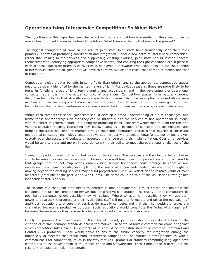### **Operationalising Interservice Competition: So What Next?**

The hypothesis of this paper has been that effective internal competition is essential for the armed forces to move ahead to meet the uncertainties of the future. What then are the implications on the present?

The biggest change would come in the role of joint staff. Joint staffs have traditionally seen their roles primarily in terms of promoting coordination and integration. Under a new norm of interservice competition, rather than reining in the services and suppressing existing rivalries, joint staffs should instead concern themselves with identifying appropriate competitive spaces, and ensuring the right conditions are in place in each of those spaces for interservice rivalries to be played out towards productive ends. To tap the benefits of interservice competition, joint staff will have to perform two distinct roles: that of market maker, and that of regulator.

Competition yields greater benefits in some fields than others, and so the appropriate competitive spaces need to be clearly identified by the market makers of joint. For obvious reasons, these are more likely to be found in functional areas of long term planning and acquisitions, and in the development of operational concepts, rather than in the actual conduct of operations. Competitive spaces form naturally around disruptive technologies that straddle service specific boundaries. Historical examples discussed above were aviation and nuclear weapons. Future rivalries are most likely to emerge with the emergence of new technologies which extend warfare into previously untouched domains such as space, or even cyberspace.

Within each competitive space, joint staff should develop a broad understanding of future challenges, and frame these appropriately such that they can be thrown out to the services to find operational solutions, with the carrot of generous start-up funding for promising ideas. Joint staff would then take on the role of a venture capitalist, seeding interesting new ideas, managing a portfolio of concepts and technologies, and bringing the successful ones to market through their implementation. Services that develop a successful operational concept or technology could be rewarded not just with developmental funds, but by being given custody over the assets and budgetary resources that arise from their implementation. Over time, services would be able to grow and morph in accordance with their ability to meet the operational challenges of the day.

Indeed competition need not be limited solely to the services. The services are the obvious initial choices simply because they are well established. However, in a well functioning competitive system, it is plausible that groups that do not map neatly onto existing service boundaries could emerge to conceive and implement new ideas, possibly even planting the seeds of a new independent service. The thought of moving beyond the existing services may sound preposterous, until we reflect on the relative youth of most air forces (creations of the post-World War II era). The same could be said of the US Marines, who gained independent status only in 1952.

The second role that joint staff needs to perform is that of regulator. It must create and maintain the conditions not just for competition *per se*, but for effective competition. The reality is that competitors do not like to compete. Where possible, they will collude. Where collusion is impossible, they will use their power to obstruct the progress of their rivals. Joint staff will need to formulate and police the equivalent of anti-trust regulations to ensure that services do actually compete, and that their competitive energies are channelled towards a productive purpose. Such regulations would constitute the "rules of engagement" between the services as they face each other across a particular competitive space.

Finally, to promote the development of the internal market, joint staff should focus its attention on the creation of certain common standards across the market. These would form a common backbone of against which competition takes place. An example of this would be the establishment of common Command and Control (C2) protocols. These would serve to ensure the future capacity for integration among the multiplicity of systems that result from interservice competition. The market is strengthened by with a common basis for competition, much in the way that GSM protocls or standard computing languages have contributed to the development of the mobile phone and software industries. Competition is fierce, but the resultant products are fully interoperable.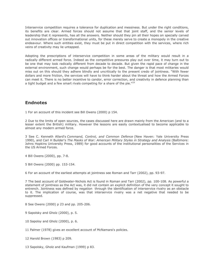Interservice competition requires a tolerance for duplication and messiness. But under the right conditions, its benefits are clear. Armed forces should not assume that that joint staff, and the senior levels of leadership that it represents, has all the answers. Neither should they pin all their hopes on specially carved out innovation offices or transformational units, for these merely serve to create a monopoly in the creative endeavour. Where such entities exist, they must be put in direct competition with the services, where rich veins of creativity may lie untapped.

Adopting the prescriptions of interservice competition in some areas of the military would result in a radically different armed force. Indeed as the competitive pressures play out over time, it may turn out to be one that may look radically different from decade to decade. But given the rapid pace of change in the external environment, such change would perhaps be for the best. The danger is that most militaries would miss out on this should they adhere blindly and uncritically to the present credo of jointness. "With fewer dollars and more friction, the services will have to think harder about the threat and how the Armed Forces can meet it. There is no better incentive to candor, error correction, and creativity in defence planning than a tight budget and a few smart rivals competing for a share of the pie."<sup>19</sup>

#### **Endnotes**

1 For an account of this incident see Bill Owens (2000) p 154.

2 Due to the limits of open sources, the cases discussed here are drawn mainly from the American (and to a lesser extent the British) military. However the lessons are easily contextualised to become applicable to almost any modern armed force.

3 See C. Kenneth Allard's *Command, Control, and Common Defence* (New Haven: Yale University Press 1990), and Carl H Builder's *The Masks of War: American Military Styles in Strategy and Analysis* (Baltimore: Johns Hopkins University Press, 1989) for good accounts of the institutional personalities of the Services in the US Armed Forces.

4 Bill Owens (2000), pp. 7-8.

5 Bill Owens (2000) pp. 153-154.

6 For an account of the earliest attempts at jointness see Roman and Tarr (2002), pp. 93-97.

7 The best account of Goldwater-Nichols Act is found in Roman and Tarr (2002), pp. 100-108. As powerful a statement of jointness as the Act was, it did not contain an explicit definition of the very concept it sought to entrench. Jointness was defined by negation through the identification of interservice rivalry as an obstacle to it. The implication of course, was that interservice rivalry was a net negative that needed to be suppressed.

8 See Owens (2000) p 23 and pp. 205-206.

9 Sapolsky and Gholz (2000), p. 5.

- 10 Sapolsy and Gholz (2000), p. 6.
- 11 Palmer (1978) gives an excellent account of McNamara's policies.

12 Harold Brown (1983) p 209.

13 Sapolsky, Gholz and Kaufman (1999) p 83.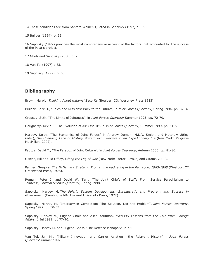14 These conditions are from Sanford Weiner. Quoted in Sapolsky (1997) p. 52.

15 Builder (1994), p. 33.

16 Sapolsky (1972) provides the most comprehensive account of the factors that accounted for the success of the Polaris project.

17 Gholz and Sapolsky (2000) p. 7.

18 Van Tol (1997) p 83.

19 Sapolsky (1997), p. 53.

#### **Bibliography**

Brown, Harold, *Thinking About National Security* (Boulder, CO: Westview Press 1983).

Builder, Cark H., "Roles and Missions: Back to the Future", in *Joint Forces Quarterly*, Spring 1994, pp. 32-37.

Cropsey, Seth, "The Limits of Jointness", in *Joint Forces Quarterly* Summer 1993, pp. 72-79.

Dougherty, Kevin J. "The Evolution of Air Assault", in *Joint Forces Quarterly*, Summer 1999, pp. 51-58.

Hartley, Keith, "The Economics of Joint Forces" in Andrew Duman, M.L.R. Smith, and Matthew Uttley (eds.), *The Changing Face of Military Power: Joint Warfare in an Expeditionary Era* (New York: Palgrave MacMillan, 2002).

Fautua, David T., "The Paradox of Joint Culture", in *Joint Forces Quarterly*, Autumn 2000, pp. 81-86.

Owens, Bill and Ed Offley, *Lifting the Fog of War* (New York: Farrar, Straus, and Giroux, 2000).

Palmer, Gregory, *The McNamara Strategy: Programme budgeting in the Pentagon, 1960-1968* (Westport CT: Greenwood Press, 1978).

Roman, Peter J. and David W. Tarr, "The Joint Chiefs of Staff: From Service Parochialism to Jointess", *Political Science Quarterly*, Spring 1998.

Sapolsky, Harvey M. *The Polaris System Development: Bureaucratic and Programmatic Success in Government* (Cambridge MA: Harvard University Press, 1972).

Sapolsky, Harvey M, "Interservice Competion: The Solution, Not the Problem", *Joint Forces Quarterly*, Spring 1997, pp 50-53.

Sapolsky, Harvey M., Eugene Gholz and Allen Kaufman, "Security Lessons from the Cold War", *Foreign Affairs*, 1 Jul 1999, pp 77-90.

Sapolsky, Harvey M. and Eugene Gholz, "The Defence Monopoly" in ???

Van Tol, Jan M., "Military Innovation and Carrier Aviation the Relavant History" in *Joint Forces Quarterly*Summer 1997.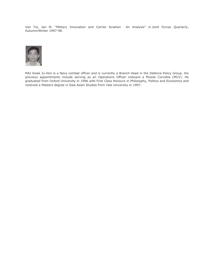Van Tol, Jan M. "Military Innovation and Carrier Aviation An Analysis" in *Joint Forces Quarterly*, Autumn/Winter 1997-98.



MAJ Kwek Ju-Hon is a Navy combat officer and is currently a Branch Head in the Defence Policy Group. His previous appointments include serving as an Operations Officer onboard a Missile Corvette (MCV). He graduated from Oxford University in 1996 with First Class Honours in Philosophy, Politics and Economics and received a Masters degree in East Asian Studies from Yale University in 1997.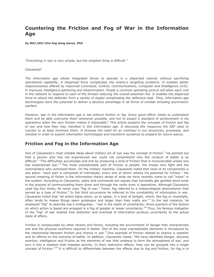# **Countering the Friction and Fog of War in the Information Age**

*by MAJ (NS) Chia Eng Seng Aaron, PhD*

*"Everything in war is very simple, but the simplest thing is difficult."*

#### *Clausewitz<sup>1</sup>*

*The information age allows integrated forces to operate in a dispersed manner without sacrificing operational capability. A dispersed force complicates the enemy's targeting problems. It enables better responsiveness offered by improved Command, Control, Communications, Computer and Intelligence (C4I). It improves intelligence gathering and dissemination. Finally a common operating picture will allow each unit in the network to respond to each of the threats reducing the overall potential risk. It enables the dispersed force to attack the defender from a variety of angles complicating the defensive task. Thus, information age technologies have the potential to deliver a decisive advantage in all forms of combat including asymmetric warfare.*

*However, war in the information age is not without friction or fog. Every good officer needs to understand them and be able overcome them whenever possible, and not to expect a standard of achievement in his operations when the very friction makes it impossible.<sup>2</sup> This article explains the concepts of friction and fog of war and how they may manifest in this information age. It discusses the measures the SAF need to counter or at least minimise them. It stresses the need for an overhaul in our structures, processes, and mindset in order to exploit information technologies and transform ourselves to prepare for future war(s).*

#### **Friction and Fog in the Information Age**

One of Clausewitz's most notable ideas about military art of war was the concept of friction.<sup>3</sup> He pointed out that a person who has not experienced war could not comprehend why the conduct of battle is so difficult.<sup>4</sup> "The difficulties accumulate and end by producing a kind of friction that is inconceivable unless one has experienced war."<sup>5</sup> The most unpredictable part of friction is people: the troops who fight and the commanders who command them. On the military machine, Clausewitz noted that none of its components is one piece: "each part is composed of individuals, every one of whom retains his potential for friction." His second meaning of fiction is the information theory sense of what we have recently come to call "noise" in the system. According to Clausewitz, plans and commands are signals that inevitably get garbled amid noise in the process of communicating them down and through the ranks even in peacetime. Although Clausewitz used fog four times, he never uses "fog of war." Twice, fog referred to a meteorological phenomenon that served as a type of friction.<sup>6</sup> In the third occurrence he referred to the unreliability of information in war. Clausewitz noted that "all action takes place, so to speak, in a kind of twilight, which, like fog or moonlight, often tends to makes things seem grotesque and larger than they really are."<sup>7</sup> In the last instance, he employed "fog" to describe war's ambiguities - "war is the realm of uncertainty; three quarters of the factors on which action is based are wrapped in a fog of greater or lesser uncertainty."<sup>8</sup> Thus, his famous metaphor of the "fog" of war implied how distortion and overload of information produce uncertainty to the actual state of affairs.

Friction is compounded by other factors and forces, including the environment of danger that characterizes war and the physical exertions required in battle. One of the most unpredictable elements is introduced by the relationship between friction and chance in war.<sup>9</sup> One example of friction related to chance is weather and its effects on the outcome of battle. In addition, Clausewitz noted, "We have identified danger, physical exertion, intelligence and friction as the elements of war that coalesce to form the atmosphere of war, and turn it into a medium that impedes activity. In their restrictive effects, they can be grouped into a single concept of friction."<sup>10</sup> It is difficult to differentiate between the effects due to fog and friction, for fog is in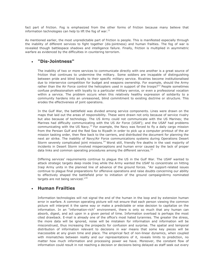fact part of friction. Fog is emphasized from the other forms of friction because many believe that information technologies can help to lift the fog of war. $^{11}$ 

As mentioned earlier, the most unpredictable part of friction is people. This is manifested especially through the inability of different services to fight together (dis-jointness) and human frailties. The fog of war is revealed though battlespace shadows and intelligence failure. Finally, friction is multiplied in asymmetric warfare as evidenced by the difficulties in countering terrorism.

#### **"Dis-Jointness"**

The inability of two or more services to communicate directly with one another is a great source of friction that continues to undermine the military. Some soldiers are incapable of distinguishing between pride and blind loyalty to their specific military service. Rivalries become institutionalised due to interservice competition for budget and weapons ownership. For example, should the Army rather than the Air Force control the helicopters used in support of the troops?<sup>12</sup> People sometimes confuse professionalism with loyalty to a particular military service, or even a professional vocation within a service. The problem occurs when this relatively healthy expression of solidarity to a community hardens into an unreasoned, blind commitment to existing doctrine or structure. This erodes the effectiveness of joint operations.

In the Gulf War, the battlefield was divided among service components. Lines were drawn on the maps that laid out the areas of responsibility. These were drawn not only because of service rivalry but also because of technology. The US Army could not communicate with the US Marines; the Marines had difficulty communicating with the US Air Force (USAF); and the USAF had problems communicating with the US Navy.<sup>13</sup> For example, the Navy was forced to fly a daily cargo mission from the Persian Gulf and the Red Sea to Riyadh in order to pick up a computer printout of the air mission tasking order, then flew back to the carriers, and distributed the document for planning the next air strike. The inability of Navy/Air Force communications systems during Operations Desert Storm severely complicated joint missions.<sup>14</sup> Worst still, friendly fire deaths in the vast majority of incidents in Desert Storm involved misperceptions and human error caused by the lack of proper data links and common operating procedures among the different services.<sup>15</sup>

Differing services' requirements continue to plague the US in the Gulf War. The USAF wanted to attack strategic targets deep inside Iraq while the Army wanted the USAF to concentrate on hitting Iraqi Army units in the planned line of advance of the ground forces. "Air support-related issues continue to plague final preparations for offensive operations and raise doubts concerning our ability to effectively shaped the battlefield prior to initiation of the ground campaignArmy nominated targets are not being serviced."<sup>16</sup>

#### **Human Frailties**

Information technologies will not signal the end of the human in the loop and by extension human error in warfare. A common operating picture will not ensure that each person viewing the common picture will interpret it the same way or make a predictable or wise decision to capitalize on the information. In an "information-rich" environment, there is only so much that any human can absorb, digest, and act upon in a given period of time. Information overload is perhaps the most cited drawback. E-mail is already one of the office's most hated tyrannies. The greater the stress, the more data will be ignored, noise will be mistaken for information and information will be misconstrued, thus increasing the prospects for confusion and surprise. The spatial and temporal distribution of information relevant to decisions in war means that some key pieces will be inaccessible at any given time and place. The empirical fact of non-linear dynamics, when coupled with mismatches between reality and our representations of it, reveals limits to prediction, no matter how much information and processing power we have. Moreover, the constant flow of information could result in not reaching a decision or decisions being delayed as staff seek out every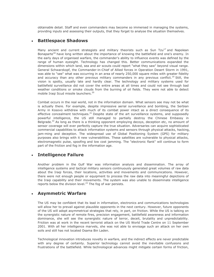obtainable detail. Staff and even commanders may become so immersed in managing the systems, providing inputs and assessing their outputs, that they forget to analyse the situation themselves.

#### **Battlespace Shadows**

Many ancient and current strategists and military theorists such as Sun Tzu<sup>17</sup> and Napolean Bonaparte<sup>18</sup> have long written about the importance of knowing the battlefield and one's enemy. In the early days of organised warfare, the commander's ability to influence events was defined by the range of human eyesight. Technology has changed this. Better communications expanded the dimensions within which land, sea and air scouts could report "what they saw" beyond visual range. General Schwarzkopf, the Commander-in-Chief of Allied forces in Operation Desert Storm in 1991, was able to "see" what was occurring in an area of nearly 250,000 square miles with greater fidelity and accuracy than any other previous military commanders in any previous conflict.<sup>19</sup> Still, the vision is spotty, usually late and hardly clear. The technology and military systems used for battlefield surveillance did not cover the entire areas at all times and could not see through bad weather conditions or smoke clouds from the burning of oil fields. They were not able to detect mobile Iraqi Scud missile launchers.<sup>20</sup>

Combat occurs in the real world, not in the information domain. What sensors see may not be what is actually there. For example, despite impressive aerial surveillance and bombing, the Serbian Army in Kosovo withdrew with much of its combat power intact as a direct consequence of its effective concealment techniques.<sup>21</sup> Despite state of the art surveillance systems, and supposedly powerful intelligence, the US still managed to partially destroy the Chinese Embassy in Belgrade.<sup>22</sup> As long as there is a thinking opponent employing decoys, deception etc, no amount of sensor coverage will ever perfectly capture the true situation. Adversaries can acquire sophisticated commercial capabilities to attack information systems and sensors through physical attacks, hacking, jam-ming and deception. The widespread use of Global Positioning System (GPS) for military purposes also brings with it new vulnerabilities. These satellites are vulnerable to physical attacks, electromagnetic pulse, spoofing and low cost jamming. The "electronic flank" will continue to form part of the friction and fog in the information age.

#### **Intelligence Failure**

Another problem in the Gulf War was information analysis and dissemination. The array of intelligence systems and tactical military sensors continuously generated great volumes of raw data about the Iraqi forces, their locations, activities and movements and communications. However, there were not enough people or equipment to process the raw data into meaningful depictions of the Iraqi capability and their movements. The system was also unable to disseminate intelligence reports below the division level.<sup>23</sup> The fog of war persists.

#### **Asymmetric Warfare**

The US may be confident that its lead in information, electronics and communications technologies will allow her to prevail against plausible opponents in the next century. However, future opponents of the US will adopt asymmetrical strategies that rely, in part, on friction. While the US is talking on the synergistic nature of remote fires, precision engagement, battlefield awareness and information dominance, she will see the synergistic nature of terror, deceit, brutality and unpredictability. Friction was at work in the recent terrorist attack on the US World Trade Centre on 11 September 2001. With all her intelligence marvels, she was not able to envisage such an attack on her own soils and still has not located Osama Bin Laden.

Technological innovation introduces novelty in warfare, and the indirect effects are never predictable with any degree of certainty. Superior technology cannot avoid the inevitable confusions and frustrations of the battlefield. While technological advances might mitigate certain forms of friction,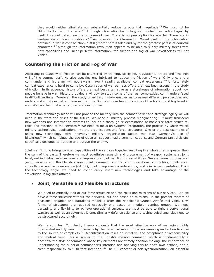they would neither eliminate nor substantially reduce its potential magnitude.<sup>24</sup> We must not be "blind to its harmful effects."<sup>25</sup> Although information technology can confer great advantages, by itself it cannot determine the outcome of war. There is no prescription for war for "there are in warfare no constant conditions."<sup>26</sup> As observed by Clausewitz: "Great part of the information obtained in war is contradiction, a still greater part is false and by far the greatest part is of doubtful character."<sup>27</sup> Although the information revolution appears to be able to supply military forces with new capabilities and "near-perfect" information, the friction and fog of war nevertheless will not vanish.

## **Countering the Friction and Fog of War**

According to Clausewitz, friction can be countered by training, discipline, regulations, orders and "the iron will of the commander". He also specifies one lubricant to reduce the friction of war: "Only one, and a commander and his army will not always have it readily available: combat experience."<sup>28</sup> Unfortunately combat experience is hard to come by. Observation of war perhaps offers the next best lessons in the study of friction. In its absence, history offers the next best alternative as a storehouse of information about how people behave in war. History provides a window to study some of the real complexities commanders faced in difficult settings. Moreover, the study of military history enables us to assess different perspectives and understand situations better. Lessons from the Gulf War have taught us some of the friction and fog faced in war. We can then make better preparations for war.

Information technology alone will not provide the military with the combat power and strategic agility we will need in the wars and crises of the future. We need a "military process reengineering." It must transcend new weapons and information systems to include a thorough re-examination of basic size force structure, roles and missions of the services.<sup>29</sup> We need to focus on systems integration, the process by which we tie military technological applications into the organisations and force structures. One of the best examples of using new technology with innovative military organisation tactics was Nazi Germany's use of blitzkrieg,<sup>30</sup> which combined the use of close air support, radio communications, and German tank divisions specifically designed to outrace and outgun the enemy.

Joint war fighting brings combat capabilities of the services together resulting in a whole that is greater than the sum of the parts. Therefore we must scrutinise research and procurement of weapon systems at joint level, not individual services level and improve our joint war fighting capabilities. Several areas of focus are: joint, versatile and flexible structures; joint command, control, communications, computers, intelligence, surveillance, and reconnaissance (C4ISR); joint manpower considerations; and joint experimentation. From the technology angle, we need to continuously insert new technologies and take advantage of the "revolution in logistics affairs".

## **Joint, Versatile and Flexible Structures**

We need to critically look at our force structure and the roles and missions of our services. Can we have a force structure without the services, but one based on missions? Is the present system of divisions, brigades and battalions modelled after the Napoleonic Grande Armée still valid? New forms of structures are required especially one based on modular combat groups. We need versatility and flexibility to achieve operational success. We must be able to fight a conventional warfare as well as an asymmetric one. Similarly defence science and technological agencies need to be structured accordingly.

War is complex. Complexity theory suggests that the most effective way of managing highly interrelated and dynamic problems is by the decentralisation of decision-making and action to close to the source of complexity.<sup>31</sup> Decentralisation relies on initiative, the acceptance of responsibility and mutual trust. This is similar to the British's mission command which is fundamentally a decentralized style of command whose key elements are "timely decision making, the importance of understanding the superior commander's intention and applying this to one's own actions, and a clear responsibility to fulfil that intention."<sup>32</sup> The US concept of self-synchronisation, an essential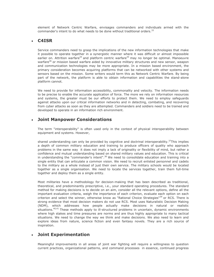element of Network Centric Warfare, envisages commanders and individuals armed with the commander's intent to do what needs to be done without traditional orders.<sup>33</sup>

#### **C4ISR**

Service commanders need to grasp the implications of the new information technologies that make it possible to operate together in a synergistic manner where it was difficult or almost impossible earlier on. Attrition warfare<sup>34</sup> and platform centric warfare<sup>35</sup> may no longer be optimal. Manoeuvre warfare<sup>36</sup> or mission based warfare aided by innovative military structures and new sensor, weapon and communication technologies may be more appropriate. In a mission based environment, the primary consideration becomes acquiring platforms that can be networked with other systems and sensors based on the mission. Some writers would term this as Network Centric Warfare. By being part of the network, the platform is able to obtain information and capabilities the stand-alone platform cannot.

We need to provide for information accessibility, commonality and velocity. The information needs to be precise to enable the accurate application of force. The more we rely on information resources and systems, the greater must be our efforts to protect them. We need to employ safeguards against attacks upon our critical information networks and in detecting, combating, and recovering from cyber attacks as soon as they are attempted. Commanders and soldiers need to be trained and developed to operate in an information rich environment.

### **Joint Manpower Considerations**

The term "interoperability" is often used only in the context of physical interoperability between equipment and systems. However,

shared understanding can only be provided by cognitive and doctrinal interoperability.<sup>37</sup>This implies a depth of common military education and training to produce officers of quality who approach problems in the same way it does not imply a lack of originality or flexibility of mind, but rather a confidence and mutual understanding based on shared military values and education. This is critical in understanding the "commander's intent".<sup>38</sup> We need to consolidate education and training into a single entity that can articulate a common vision. We need to recruit enlisted personnel and cadets to the military as a whole instead of just their own service. The military schools would be located together as a single organisation. We need to locate the services together, train them full-time together and deploy them as a single entity.

Most militaries have a methodology for decision-making that has been described as traditional, theoretical, and predominantly prescriptive, i.e., your standard operating procedures. The standard method for making decisions is to decide on an aim, consider all the relevant options, define all the important evaluation criteria, weigh the importance of each criterion, evaluate each option on each criterion and select the winner, otherwise know as "Rational Choice Strategies"<sup>39</sup> or RCS. There is strong evidence that most decision makers do not use RCS. Most uses Naturalistic Decision Making (NDM), which addresses how people actually make decisions in natural or realistic situations.<sup>40,41</sup> These methods apply to ill-structured problems in uncertain, dynamic environments where high stakes and time pressures are norms and are thus highly appropriate to many tactical situations. We need to change the way we think and make decisions. We also need to learn and explore ideas from nature, science fiction and even fantasy novels. They are a rich source of inspiration.

## **Joint Experimentation**

Meaningful improvements in all areas of joint war fighting will require a willingness to question current practices, organizational patterns, and command processes in essence, continued progress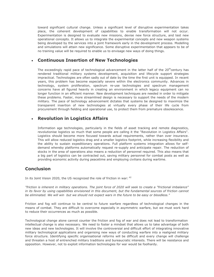toward significant cultural change. Unless a significant level of disruptive experimentation takes place, the coherent development of capabilities to enable transformation will not occur. Experimentation is designed to evaluate new missions, devise new force structure, and test new operational concepts. It allows us to integrate the experimental concepts and new weapon systems being developed by the services into a joint framework early in the development process. Modelling and simulations will attain new significance. Some disruptive experimentation that appears to be of no training value will be required to enable us to envisage new ways of doing things.

### **Continuous Insertion of New Technologies**

The exceedingly rapid pace of technological advancement in the latter half of the 20<sup>th</sup>century has rendered traditional military systems development, acquisition and lifecycle support strategies impractical. Technologies are often sadly out of date by the time the first unit is equipped. In recent years, this problem has become especially severe within the electronics community. Advances in technology, system proliferation, spectrum re-use technologies and spectrum management concerns have all figured heavily in creating an environment in which legacy equipment can no longer function in an efficient manner. New development techniques are needed in order to mitigate these problems. Faster, more streamlined design is necessary to support the needs of the modern military. The pace of technology advancement dictates that systems be designed to maximize the transparent insertion of new technologies at virtually every phase of their life cycle from procurement through fielding and operational use, to protect them from premature obsolescence.

## **Revolution in Logistics Affairs**

Information age technologies, particularly in the fields of asset tracking and remote diagnostics, revolutionise logistics so much that some people are calling it the "Revolution in Logistics Affairs". Logistics should become more focused towards actual requirements, rather than over insurance. This will allow reduced logistics drag and a smaller logistics footprint, while increasing flexibility and the ability to sustain expeditionary operations. Full platform systems integration allows for selfdemand whereby platforms automatically request re-supply and anticipate repair. The reduction of stocks in the area of operations also means a reduction of personnel required. This also means that a big part of logistics can be contracted out, saving military personnel for combat posts as well as providing economic activity during peacetime and employing civilians during wartime.

## **Conclusion**

In its Joint Vision 2020, the US recognized the role of friction in war:  $42$ 

*"friction is inherent in military operations. The joint force of 2020 will seek to create a "frictional imbalance"*  in its favor by using capabilities envisioned in this document, but the fundamental sources of friction cannot *be eliminated. We will win but we should not expect wars in the future to be easy or bloodless."*

Friction and fog will continue to be central to future warfare regardless of technological changes in the means of combat. They are difficult to overcome especially in asymmetric warfare, but we must work hard to reduce their occurrences as much as possible.

Technological change alone cannot counter the friction and fog of war and does not lead to transformation intellectual change is also necessary. We need to foster a mindset that allows us to take advantage of both new ideas and new technologies. It will involve the controversial and difficult effort of integrating innovative military technological applications and organising new ways of conducting warfare into a realigned military force structure. Identifying specific organisational reforms will be difficult and every change will challenge and threaten a host of entrenched military traditions and bureaucratic interests. There will be resistance and opposition. However, not to exploit information technologies for war would be foolhardy.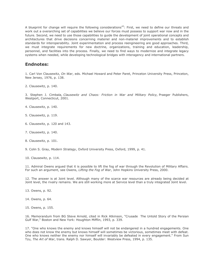A blueprint for change will require the following considerations<sup>43</sup>: First, we need to define our threats and work out a overarching set of capabilities we believe our forces must possess to support war now and in the future. Second, we need to use those capabilities to guide the development of joint operational concepts and architectures that drive decisions concerning materiel and non-materiel improvements and to establish standards for interoperability. Joint experimentation and process reengineering are good approaches. Third, we must integrate requirements for new doctrine, organizations, training and education, leadership, personnel, and facilities into the process. Finally, we need to find ways to modernize and integrate legacy systems when needed, while developing technological bridges with interagency and international partners.

#### **Endnotes:**

1. Carl Von Clausewitz, *On War*, eds. Michael Howard and Peter Paret, Princeton University Press, Princeton, New Jersey, 1976, p. 138.

2. Clausewitz, p. 140.

3. Stephen J. Cimbala, *Clausewitz and Chaos: Friction in War and Military Policy,* Praeger Publishers, Westport, Connecticut, 2001.

- 4. Clausewitz, p. 140.
- 5. Clausewitz, p. 119.
- 6. Clausewitz, p. 120 and 143.
- 7. Clausewitz, p. 140.
- 8. Clausewitz, p. 101.
- 9. Colin S. Gray, *Modern Strategy*, Oxford University Press, Oxford, 1999, p. 41.

10. Clausewitz, p. 114.

11. Admiral Owens argued that it is possible to lift the fog of war through the Revolution of Military Affairs. For such an argument, see Owens, *Lifting the Fog of War*, John Hopkins University Press, 2000.

12. The answer is at Joint level. Although many of the scarce war resources are already being decided at Joint level, the rivalry remains. We are still working more at Service level than a truly integrated Joint level.

- 13. Owens, p. 92.
- 14. Owens, p. 64.
- 15. Owens, p. 155.

16. Memorandum from BG Steve Arnold, cited in Rick Atkinson, "Crusade The Untold Story of the Persian Gulf War," Boston and New York: Houghton Mifflin, 1993, p. 339.

17. "One who knows the enemy and knows himself will not be endangered in a hundred engagements. One who does not know the enemy but knows himself will sometimes be victorious, sometimes meet with defeat. One who knows neither the enemy nor himself will invariably be defeated in every engagement." From Sun Tzu, *The Art of War*, trans. Ralph D. Sawyer, Boulder: Westview Press, 1994, p. 135.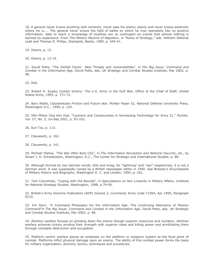18. A general never knows anything with certainty, never sees his enemy clearly and never knows positively where his is.... The general never knows the field of battle on which he may operatehe has no positive information; data to reach a knowledge of localities are so contingent on events that almost nothing is learned by experience. From *The Military Maxims of Napoleon*, in "Roots of Strategy," eds. Wilhelm Defense Leeb and Thomas R. Philips, Stackpole, Books, 1985, p. 440-41.

19. Owens, p. 13.

20. Owens, p. 13-14.

21. David Potts, "The Delilah Factor New Threats and Vulnerabilities", in *The Big Issue: Command and Combat in the Information Age*, David Potts, eds, UK Strategic and Combat Studies Institute, Mar 2002, p. 98.

22. Ibid.

23. Robert H. Scales, *Certain Victory: The U.S. Army in the Gulf War*, Office of the Chief of Staff, United States Army, 1993, p. 371-72.

24. Bary Watts, *Clausewitzian Friction and Future War*, McNair Paper 52, National Defense University Press, Washington D.C., 1996, p. 124.

25. MAJ Milton Ong Ann Kiat, "Cautions and Cautiousness in Harnessing Technology for Army 21." *Pointer*, Vol. 27, No. 3, Jul-Sep 2001, p. 93-102.

26. Sun Tzu, p. 113.

27. Clausewitz, p. 162.

28. Clausewitz, p. 141.

29. Michael Vlahos, "The War After Byte City", in *The Information Revolution and National Security*, ed., by Stuart J. D. Schwatzstein, Washington, D.C., The Center for Strategic and International Studies, p. 88.

30. Although formed by two German words, blitz and krieg, for "lightning" and "war" respectively, it is not a German word. It was supposedly coined by a British newspaper editor in 1940. See Brassey's Encyclopedia of Military History and Biography, Washington D. C. and London, 1994, p. 161.

31. Tom Czerwinski, "Coping with the Bounds", in *Speculations on Non Linearity in Military Affairs*, Institute for National Strategy Studies, Washington, 1988, p 79-95.

32. British's Army Doctrine Publication (ADP) Volume 2, *Command*, Army Code 71564, Apr 1995, Paragraph 0210.

33. Jim Storr, "A Command Philosophy for the Information Age: The Continuing Relevance of Mission Command"in *The Big Issue: Command and Combat in the Information Age*, David Potts, eds, UK Strategic and Combat Studies Institute, Mar 2002, p. 98.

34. Attrition warfare focuses on grinding down the enemy though superior resources and numbers. Attrition warfare achieves victory eroding their strength with superior mass and killing power and annihilating them through complete destruction and occupation.

35. Platform centric warfare places an emphasis on the platform or weapons system as the focal point of combat. Platforms inflict physical damage upon an enemy. The ability of this combat power forms the basis for military organization, doctrine, tactics, techniques and procedures.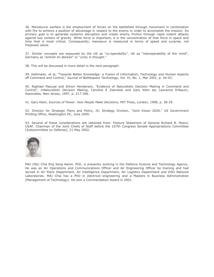36. Manoeuvre warfare is the employment of forces on the battlefield through movement in combination with fire to achieve a position of advantage in respect to the enemy in order to accomplish the mission. Its primary goal is to generate systemic disruption and create enemy friction through rapid violent attacks against key centers of gravity. While force is important, it is the concentration of that force in space and time that is most critical. Consequently, manoeuvr is measured in terms of speed and surprise, not firepower alone.

37. Similar concepts are espoused by the US as "co-operability", UK as "interoperability of the mind", Germany as "einheit im denken" or "unity in thought."

38. This will be discussed in more detail in the next paragraph.

39. Kallimeier, et al, "Towards Better Knowledge: a Fusion of Information, Technology and Human Aspects off Command and Control," *Journal of Battlespace Technology,* Vol. IV, No. 1, Mar 2001, p. 34-43.

40. Raphael Pascual and Simon Henderson, "Evidence of Naturalistic Decision Making in Command and Control", in*Naturalistic Decision Making*, Caroline E Zsambok and Gary Klein ed, Lawrence Erlbaum, Associates, New Jersey, 1997, p. 217-266.

41. Gary Klein, *Sources of Power: How People Make Decisions*, MIT Press, London, 1998, p. 38-29.

42. Director for Strategic Plans and Policy, J5; Strategy Division, "Joint Vision 2020," US Government Printing Office, Washington DC, June 2000.

43. Several of these considerations are obtained from: Posture Statement of General Richard B. Myers, USAF, Chairman of the Joint Chiefs of Staff before the 107th Congress Senate Appropriations Committee (Subcommittee on Defense), 21 May 2002.



MAJ (NS) Chia Eng Seng Aaron, PhD, is presently working in the Defence Science and Technology Agency. He was an Air Operations and Communications Officer and Air Engineering Officer by training and had served in Air Plans Department, Air Intelligence Department, Air Logistics Department and DSO National Laboratories. MAJ Chia has a PhD in electrical engineering and a Masters in Business Administration (Management of Technology). He won a Commendation Award in 2001.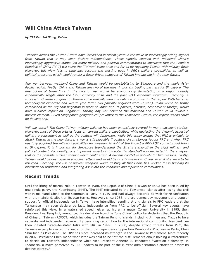# **Will China Attack Taiwan**

*by CPT Fan Sui Siong, Kelvin*

*Tensions across the Taiwan Straits have intensified in recent years in the wake of increasingly strong signals from Taiwan that it may soon declare independence. These signals, coupled with mainland China's increasingly aggressive stance led many military and political commentators to speculate that the People's Republic of China (PRC) will solve the "Taiwan" issue once and for all by regaining Taiwan with military force. However, this view fails to take into account the existing gaps in PRC's military capabilities as well as political pressures which would render a force-driven takeover of Taiwan implausible in the near future.*

*Any war between mainland China and Taiwan would be de-stabilising to Singapore and the whole Asia-Pacific region. Firstly, China and Taiwan are two of the most important trading partners for Singapore. The destruction of trade links in the face of war would be economically devastating in a region already economically fragile after the 1998 currency crisis and the post 9/11 economic slowdown. Secondly, a successful Chinese conquest of Taiwan could radically alter the balance of power in the region. With her size, technological expertise and wealth (the latter two partially acquired from Taiwan) China would be firmly established as the regional hegemon in place of Japan and its policies, defence, economic or foreign, would have a direct impact on Singapore. Thirdly, any war between the mainland and Taiwan could involve a nuclear element. Given Singapore's geographical proximity to the Taiwanese Straits, the repercussions could be devastating.*

*Will war occur? The China-Taiwan military balance has been extensively covered in many excellent studies. However, most of these articles focus on current military capabilities, while neglecting the dynamic aspect of military procurement as well as the political will dimension. While this essay argues that PRC is unlikely to attack Taiwan in the near future, a war is still plausible if political circumstances favour PRC and when PRC has fully acquired the military capabilities for invasion. In light of the impact a PRC-ROC conflict could bring to Singapore, it is important for Singapore tounderstand the Straits stand-off in the right military and political context. For brevity, one important aspect of this potential stand-off was neglected in the analysis that of the possible nuclear conflict which could erupt. A nuclear conflict is unlikely for two reasons. Firstly, Taiwan would be destroyed in a nuclear attack and would be utterly useless to China, even if she were to be returned. Secondly, the use of nuclear weapons would destroy all that China has worked for in building its international reputation and integrating itself into the economic and diplomatic communities.*

## **Recent Trends**

Until the lifting of martial rule in Taiwan in 1988, the Republic of China (Taiwan or ROC) has been ruled by one single party, the Kuomintang (KMT). The KMT retreated to the Taiwanese islands after losing the civil war in mainland China to the Communist Party in 1949 and had always declared its wish for re-unification with the mainland, albeit on its own terms. However, since 1988, the pro-democracy movement and popular support for official independence in Taiwan have intensified, sending strong signals to PRC leaders that the Taiwanese may soon declare de facto independence from PRC to be official. Several key events have reinforced this view. In a watershed speech given at his alma mater Cornell University in 1995, then President Lee Teng Hui, announced his deviation from the "one China" policy by declaring that the Republic of China on Taiwan (ROCOT, which includes the Taiwan Penghu islands, including Jinmen and Mazu) to be a separate and independent sovereignty deserving recognition by the international community. President Lee then initiated "state-to-state" talks with PRC in 1999. In 2000, despite strong threats from PRC, the Taiwanese people elected the leader of the pro-independence opposition Democratic Progressive Party, Chen Shui-bian as President. The DPP has since increased its strength in the Taiwanese Parliament. More recently in 2002, President Chen made what later was said to be "off the cuff" remarks about holding a referendum to decide on Taiwan's independence while Vice-President Annette Lu conducted "vacation diplomacy" in Indonesia, a move perceived by PRC leaders to be part of the current administration's efforts to assert its distinct identity. $<sup>1</sup>$ </sup>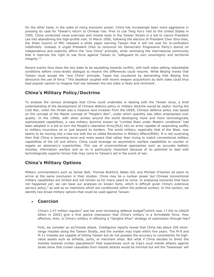On the other hand, in the wake of rising economic power, China has increasingly been more aggressive in pressing its case for Taiwan's return to Chinese rule. Prior to Lee Teng Hui's visit to the United States in 1995, China conducted naval exercises and missile tests in the Taiwan Straits in a bid to coerce President Lee into abandoning the high-profile visit. In March 2000, following the election of President Chen Shui-bian, the State Council of PRC released a white paper warning Taiwan that it will not wait for re-unification indefinitely. Instead, it urged President Chen to renounce his Democratic Progressive Party's stance on independence and explicitly affirm the "one China" principle, while reminding the international community that it reserves the right to use force against Taiwan to "safeguard its own sovereignty and territorial integrity."<sup>2</sup>

Recent events thus show the two sides to be escalating towards conflict, with both sides setting redoubtable conditions before cross-straits dialogue to resolve the differences could resume. While Beijing insists that Taiwan must accept the "one China" principle, Taipei has countered by demanding that Beijing first denounce the use of force.<sup>3</sup> This deadlock coupled with recent weapon acquisitions by both sides could thus lead popular opinion to imagine that war between the two sides is likely and imminent.

## **China's Military Policy/Doctrine**

To analyse the various strategies that China could undertake in dealing with the Taiwan issue, a brief understanding of the development of Chinese defence policy or military doctrine would be useful. During the Cold War, when the threat was a massive land invasion from the USSR, Chinese defence policy was based on the concept of the Maoist concept of "People's War", under which quantity was often emphasised over quality. In the 1990s, with other armies around the world developing more and more technologically sophisticated capabilities, a new military doctrine known as "Limited Wars under Modern conditions" had been adopted in a bid to turn the People's Liberation Army(PLA) into an army capable of responding swiftly to military incursions on or just beyond its borders. The world military, especially that of the West, now seems to be moving into a new era with the so called Revolution in Military Affairs(RMA). It is not surprising then that China is becoming more and more aware that rather than trying to match conventional military capabilities of the US and others, China could leverage on asymmetric warfare capabilities to counter or negate an adversary's superiorities. This use of unconventional approaches such as accurate ballistic missiles, information warfare and so on is particularly important because of its potential to deal with technologically superior forces that may come to Taiwan's aid in the event of war.

## **China's Military Options**

Military commentators such as James Nolt, Thomas Bickford, Bates Gill, and Michael O'Hanlon all seem to arrive at the same conclusion in their studies: China may be a nuclear power but Chinese conventional military capabilities are limited and will remain so for many years to come. In analysing scenarios that have not happened yet, we can base our analyses on known facts, which is difficult given China's extensive secrecy policy,<sup>4</sup> as well as on intentions which are conditioned within the political context. In this section, we identify two broad military options that could be used against Taiwan:

#### **Coercion**

China's 2.47 million regulars<sup>5</sup> and her ever-increasing defence budget<sup>6</sup>(which rose 17.6% to US\$20 billion in 2002) give a first glance impression that China's military is a formidable force. How effective, then, is China's military in effecting a "Genghis Khan" strategy of submission through fear?

First, we consider an air/missile attack. Intelligence reports reveal that China has about 200 shortrange missiles along the Taiwan Straits, and the number may triple within five years. The M-9 and M-11 missiles are capable of hitting Taiwan but do not possess the accuracy to consistently hit highvalue assets such as airfields, ports, or merchant ships. But what if China decides to direct the missiles towards civilian populations? Past experiences such as Iraq's scud missile attacks against Israel show that civilian casualties from missile attacks would be minimal but will the Taiwanese' will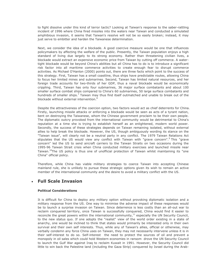to fight dissolve under this kind of terror tactic? Looking at Taiwan's response to the saber-rattling incident of 1996 where China fired missiles into the waters near Taiwan and conducted a simulated amphibious invasion, it seems that Taiwan's resolve will not be so easily broken; instead, it may just serve to embitter and harden the Taiwanese determination.

Next, we consider the idea of a blockade. A good coercive measure would be one that influences policymakers by affecting the welfare of the public. Presently, the Taiwan population enjoys a high standard of living due largely to its strong economy. Rather than threatening civilian lives, a blockade would extract an expensive economic price from Taiwan by cutting off commerce. A watertight blockade would be beyond China's abilities but all China has to do is to introduce a significant risk factor into all maritime commerce activities to create enough fear to disrupt commerce activities. As Michael O'Hanlon (2000) points out, there are three facts which point to the success of this strategy. First, Taiwan has a small coastline, thus ships have predictable routes, allowing China to focus her limited mines and submarines. Second, Taiwan has limited natural resources, and her foreign trade accounts for two-thirds of her GDP, thus a naval blockade would be economically crippling. Third, Taiwan has only four submarines, 36 major surface combatants and about 100 smaller surface combat ships compared to China's 60 submarines, 50 large surface combatants and hundreds of smaller ships.<sup>7</sup> Taiwan may thus find itself outmatched and unable to break out of the blockade without external intervention.<sup>8</sup>

Despite the attractiveness of the coercion option, two factors would act as chief deterrents for China. Firstly, launching missile attacks or enforcing a blockade would be seen as acts of a tyrant nation, bent on destroying the Taiwanese, whom the Chinese government proclaim to be their own people. The diplomatic outcry provoked from the international community would be detrimental to China's reputation at a time she is trying to establish herself as an enlightened, modern world power. Secondly, the success of these strategies depends on Taiwan remaining isolated, without external allies to help break the blockade. However, the US, though ambiguously wording its stance on the "Taiwan issue", will clearly not be a neutral party in any conflict. The 1979 Taiwan Relations Act stipulates that the US would view any conflict with Taiwan with "grave concern".<sup>9</sup> This "grave concern" led the US to send aircraft carriers to the Taiwan Straits on two occasions during the 1995-96 Taiwan Strait crisis when China conducted military exercises and launched missile near Taiwan.<sup>10</sup>The US policy is thus one of unofficial protection of Taiwan whilst maintaining its "one China" official policy.

Therefore, while China has viable military strategies to coerce Taiwan into accepting Chinese mainland rule, she is unlikely to pursue these strategic options given its wish to remain an active member of the international community and the desire to avoid a military conflict with the US.

#### **Full Scale Invasion**

#### **Political Considerations**

It is difficult for China to deploy any military option without provoking diplomatic isolation and a military response from the US. One way to minimise the adverse impact of these responses would be to launch a surprise invasion on Taiwan. Since deterrence is less costly than an all-out war to reclaim conquered territory, once Taiwan is successfully conquered, China would find it easier to reconcile the great powers within the international community, $11$  especially the UN Security Council, to the new status quo. If one adopts the "realist" view of the world order existing in a state of anarchy, one would be inclined to think that states would primarily be interested only in their own survival and their own self interests. Thus, while any of Taiwan's allies, official or otherwise, may verbally condemn any force China uses on Taiwan, they may not necessarily intervene unless it is in their self-interest to do so. Self-interest the need to protect the sources of oil and prevent a monopoly in oil sales which could hold Western economies in ransom drove the UN Security Council to launch the Gulf War against Iraq to reclaim Kuwait in 1991. However, the Security Council did little to win back the Palestine land (including the Gaza Strip) conquered by Israel during the Arab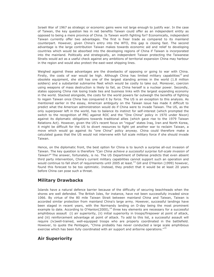Israeli War of 1967 as strategic or economic gains were not large enough to justify war. In the case of Taiwan, the key question lies in net benefits Taiwan could offer as an independent entity as opposed to being a mere province of China. Is Taiwan worth fighting for? Economically, independent Taiwan currently offer two advantages. The first is freer trade as compared to its mainland counterpart. However, given China's entry into the WTO, this gap is closing fast. The second advantage is the large contribution Taiwan makes towards economic aid and relief to developing countries which would be absorbed into the developing regions of China if Taiwan is incorporated into the mainland. Politically and strategically, an independent Taiwan protecting the Taiwanese Straits would act as a useful check against any ambitions of territorial expansion China may harbour in the region and would also protect the east-west shipping lines.

Weighed against these advantages are the drawbacks of opposing or going to war with China. Firstly, the costs of war would be high. Although China has limited military capabilities<sup>12</sup> and obsolete equipment, she still has one of the largest standing armies in the world (1.8 million soldiers) and a substantial submarine fleet which would be costly to take out. Moreover, coercion using weapons of mass destruction is likely to fail, as China herself is a nuclear power. Secondly, states opposing China risk losing trade ties and business links with the largest expanding economy in the world. Stacked alongside, the costs for the world powers far outweigh the benefits of fighting to regain Taiwan once China has conquered it by force. The US is an exception to this analysis. As mentioned earlier in the essay, American ambiguity on the Taiwan issue has made it difficult to predict what the American administration would do if China were to invade Taiwan. The US, as the only superpower left in the world, has to balance its instinct for self-interest (which prompted the switch to the recognition of PRC against ROC and the "One China" policy in 1970 under Nixon) against its diplomatic obligations towards traditional allies (which gave rise to the 1979 Taiwan Relations Act). However, given the US's recent focus on "rogue" states Iraq, Iran and North Korea, it might be difficult for the US to divert resources to fight yet another war to reclaim Taiwan, a move which would go against its "one China" policy anyway. China could therefore make a calculated guess that the US would not intervene with full scale military force if she should invade Taiwan.

Hence, on the diplomatic front, the best option for China is to launch a surprise all-out invasion of Taiwan. The key question is therefore *"Can China achieve a successful surprise full-scale invasion of Taiwan?"* The answer, fortunately, is no. The US Department of Defense predicts that even absent third party intervention, China's current military capabilities cannot support such an operation and would continue to fall short of requirements until 2005 at least.<sup>13</sup> Gill and O'Hanlon (1999) however, found this forecast to be too optimistic. Instead, they predict that it would be at least 20 years before China can pose such a threat.

## **Military Drawbacks**

Islands have a natural defence barrier because of the difficulty of securing beachheads when the shores are well defended. The British Isles, for instance, have not been successfully invaded since 1066. By virtue of the 80 mile Taiwan Strait between mainland China and Taiwan, Taiwan is accorded similar protection from mainland China's large army. However, successful landings have been staged in recent years, with the Normandy landing on D-day being the most prominent example to date. According to O'Hanlon(2000), $<sup>14</sup>$  three key elements are necessary for a successful</sup> amphibious assault (i) air superiority, (ii) initial superiority in troops/firepower at point of attack, and (iii) reinforcement advantage at point of attack. To add to this list, a successful assault will require (iv)well-trained, well-equipped troops who are properly coordinated in the battlefield. However, to quote the Pentagon, "China probably has never conducted a large scale amphibious exercise which has been fully coordinated with air support and airborne operations."<sup>15</sup>

## **Air Superiority**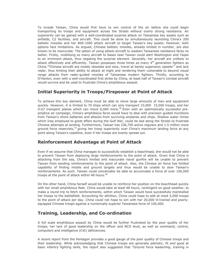To invade Taiwan, China would first have to win control of the air before she could begin transporting its troops and equipment across the Straits without overly strong resistance. Air superiority can be gained with a well-coordinated surprise attack on Taiwanese key assets such as airfields, C2 facilities, and aircraft. This could be done by simultaneously launching China's 200 ballistic missiles and her 800-1000 attack aircraft to target Taiwan's key assets. However, both options face limitations. As argued, Chinese ballistic missiles, already limited in number, are also known to be inaccurate. The option of using attack aircraft to weaken Taiwanese resistance fares no better. Firstly, mobilising so many aircraft to bases near Taiwan could alert Washington and Taipei to an imminent attack, thus negating the surprise element. Secondly, her aircraft are unlikely to attack effectively and efficiently. Taiwan possesses three times as many 4<sup>th</sup> generation fighters as China.<sup>16</sup>Chinese aircraft are mostly obsolete and slow, travel at barely supersonic speeds<sup>17</sup> and lack radar, thus limiting their ability to attack at night and rendering them vulnerable to beyond visual range attacks from radar-guided missiles of Taiwanese modern fighters. Thirdly, according to O'Hanlon, even with a well-coordinated first strike by China, at least half of Taiwan's combat aircraft would survive and be used to frustrate China's amphibious assault.

## **Initial Superiority in Troops/Firepower at Point of Attack**

To achieve this key element, China must be able to move large amounts of men and equipment quickly. However, it is limited to 70 ships which can only transport 10,000 15,000 troops, and her Il-67 transport planes which can move  $6,000$  more.<sup>18</sup> Even with an optimistically successful preemptive air campaign, China's amphibious force would have to deal with precision guided munitions from Taiwan's shore batteries and attacks from surviving airplanes and ships. Shallow water mines which Iraq employed to great effect during the Gulf War, could be laid along the Straits to frustrate Chinese attempts at landing. Furthermore, Taiwan has 236,700 active regulars and 1.5 million more ground force reservists,<sup>19</sup> giving her troop superiority over China's maximum landing force at any point along Taiwan's coastline, even if her troops are evenly spread out.

## **Reinforcement Advantage at Point of Attack**

Even if we assume that China manages to successfully establish a beachhead, she would not be able to prevent Taiwan from deploying large reinforcements to the point of attack. Given that China is attacking from the sea, China's limited and inaccurate naval gunfire will be unable to prevent Taiwan from sending reinforcements to the point of attack. Also, the Chinese air force has limited capability of finding mobile and ground targets and thus would be unable to slow Taiwan's reinforcements. As such, Taiwan could conceivably be able to accumulate a force of over 100,000 troops at the point of attack within 48 hours.<sup>20</sup>

On the other hand, China herself would be unable to reinforce her position on the beachhead quickly with her small amphibious fleet. China would take at least 48 hours, contingent on good weather, to make a round trip to fetch reinforcements, within which Taiwan would have successfully marshalled her troops to the battlefield. Accounting for attrition, China could hope to add at most 5,000 troops to the point of attack per day. China could not hope to win with her 20,000 ill-trained and poorlyequipped Chinese troops against a numerically superior Taiwanese force of 100,000.

## **Training, Leadership, and Co-ordination**

A full scale amphibious assault by China would be further frustrated by the poor quality of her troops, her lack of good leadership on the officer and NCO level, as well as command, control, computers and intelligence (C4I) deficiencies.

A recent report from the Pentagon provides a good gauge of the poor quality of Chinese troops and their leadership. While acknowledging that Chinese troops are generally patriotic, fit and good at basic infantry fighting skills, the report also suggested that "Ground force leadership, training in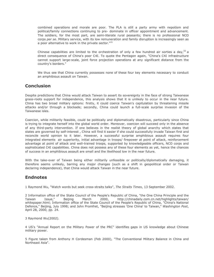combined operations and morale are poor. The PLA is still a party army with nepotism and political/family connections continuing to pre- dominate in officer appointment and advancement. The soldiers, for the most part, are semi-literate rural peasants; there is no professional NCO corps *per se*. Military service, with its low remuneration and family disruption is increasingly seen as a poor alternative to work in the private sector."<sup>21</sup>

Chinese capabilities are limited to the orchestration of only a few hundred air sorties a day,<sup>22</sup> a direct consequence of China's poor C4I. To quote the Pentagon again, "China's C4I infrastructure cannot support large-scale, joint force projection operations at any significant distance from the country's borders."

We thus see that China currently possesses none of these four key elements necessary to conduct an amphibious assault on Taiwan.

#### **Conclusion**

Despite predictions that China would attack Taiwan to assert its sovereignty in the face of strong Taiwanese grass-roots support for independence, this analysis shows that it is unlikely to occur in the near future. China has two broad military options: firstly, it could coerce Taiwan's capitulation by threatening missile attacks and/or through a blockade; secondly, China could launch a full-scale surprise invasion of the Taiwanese isles.

Coercion, while militarily feasible, could be politically and diplomatically disastrous, particularly since China is trying to integrate herself into the global world order. Moreover, coercion will succeed only in the absence of any third-party intervention. If one believes in the realist theory of global anarchy which states that states are governed by self-interest , China will find it easier if she could successfully invade Taiwan first and reconcile world opinion to it later. However, a successful surprise amphibious assault requires four integrated elements air superiority, initial advantage in troops/ firepower at point of attack, reinforcement advantage at point of attack and well-trained troops, supported by knowledgeable officers, NCO corps and sophisticated C4I capabilities. China does not possess any of these four elements as yet, hence the chances of success in an amphibious assault are small and the likelihood low in the near future.

With the take-over of Taiwan being either militarily unfeasible or politically/diplomatically damaging, it therefore seems unlikely, barring any major changes (such as a shift in geopolitical order or Taiwan declaring independence), that China would attack Taiwan in the near future.

#### **Endnotes**

1 Raymond Wu, "Watch words but seek cross-straits talks", *The Straits Times*, 13 September 2002.

2 Information office of the State Council of the People's Republic of China, "the One China Principle and the Taiwan Issue," Beijing March 2000, http://chinadaily.com.cn.net/highlights/taiwan/ whitepaper.html; Information office of the State Council of the People's Republic of China, "China's National Defence," Beijing, July 1998; and John Promfret, "Beijing stresses 'One China' to Taiwan," *Washington Post*, April 28, 2000, pp. 24.

3 Raymond Wu(2002).

4 US's "Annual Report on the Military Power of the PRC" identifies gaps in US knowledge about Chinese military power.

5 Figure taken from Anthony H Cordesman (Feb 2000), "The Conventional Military Balance in China and Northeast Asia".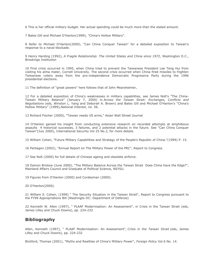6 This is her official military budget. Her actual spending could be much more than the stated amount.

7 Bates Gill and Michael O'Hanlon(1999), "China's Hollow Military".

8 Refer to Michael O'Hanlon(2000), "Can China Conquer Taiwan" for a detailed exposition to Taiwan's response to a naval blockade.

9 Henry Harding (1992), *A Fragile Relationship: The United States and China since 1972*, Washington D.C., Brookings Institution

10 First crisis occurred in 1995, when China tried to prevent the Taiwanese President Lee Teng Hui from visiting his alma mater, Cornell University. The second crisis occurred when China fired missiles to frighten Taiwanese voters away from the pro-independence Democratic Progressive Party during the 1996 presidential elections.

11 The definition of "great powers" here follows that of John Mearsheimer,

12 For a detailed exposition of China's weaknesses in military capabilities, see James Nolt's "The China-Taiwan Military Balance" (January 7, 2000) in *Across the Taiwan Strait: Exchanges, Conflicts and Negotiations* (eds, Winston L. Yang and Deborah A. Brown) and Bates Gill and Michael O'Hanlon's "China's Hollow Military" (1999),*National Interest*, no. 56.

13 Richard Fischer (2000), "Taiwan needs US arms," Asian Wall Street Journal

14 O'Hanlon gained his insight from conducting extensive research on recorded attempts at amphibious assaults 4 historical successes, 3 failures, and 2 potential attacks in the future. See "Can China Conquer Taiwan"(July 2000), International Security Vol 25 No.2, for more details.

15 William Cohen, "Future Military Capabilities and Strategy of the People's Republic of China."(1999) P. 15.

16 Pentagon (2002), "Annual Report on The Military Power of the PRC", Report to Congress.

17 See Nolt (2000) for full details of Chinese ageing and obsolete airforce.

18 Damon Bristow (June 2000), "The Military Balance Across the Taiwan Strait Does China have the Edge?", Mainland Affairs Council and Graduate of Political Science, NSYSU.

19 Figures from O'Hanlon (2000) and Cordesman (2000).

20 O'Hanlon(2000).

21 William S. Cohen, (1999) " The Security Situation in the Taiwan Strait", Report to Congress pursuant to the FY99 Appropriations Bill (Washingto DC: Department of Defense)

22 Kenneth W. Allen (1997), " PLAAF Modernisation: An Assessment", in Crisis in the Taiwan Strait (eds, James Lilley and Chuck Downs), pp. 224-232

#### **Bibliography**

Allen, Kenneth (1997), " PLAAF Modernisation: An Assessment", *Crisis in the Taiwan Strait* (eds, James Lilley and Chuck Downs), pp. 224-232

Bickford, Thomas (2001), "Myths and Realities of China's Military Power", *Foreign Policy* Vol 6 No. 14.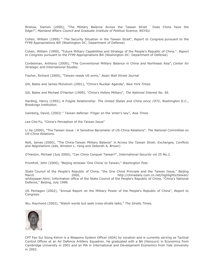Bristow, Damon (2000), "The Military Balance Across the Taiwan Strait Does China have the Edge?", *Mainland Affairs Council and Graduate Institute of Political Science, NSYSU.*

Cohen, William (1999) " The Security Situation in the Taiwan Strait", *Report to Congress* pursuant to the FY99 Appropriations Bill (Washington DC: Department of Defense)

Cohen, William (1999), "Future Military Capabilities and Strategy of the People's Republic of China.". *Report to Congress* pursuant to the FY99 Appropriations Bill (Washington DC: Department of Defense)

Cordesman, Anthony (2000), "The Conventional Military Balance in China and Northeast Asia", *Center for Strategic and International Studies*.

Fischer, Richard (2000), "Taiwan needs US arms," *Asian Wall Street Journal*

Gill, Bates and James Mulvenon (2001), "China's Nuclear Agenda", *New York Times*.

Gill, Bates and Michael O'Hanlon (1999), "China's Hollow Military", *The National Interest* No. 56.

Harding, Henry (1992), *A Fragile Relationship: The United States and China since 1972*, Washington D.C., Brookings Institution.

Isenberg, David, (2002) " Taiwan defense: Finger on the 'enter's key", *Asia Times*

Lee Che-Fu, "China's Perception of the Taiwan Issue"

Li Jia (2000), "The Taiwan Issue : A Sensitive Barometer of US-China Relations", *The National Committee on US-China Relations.*

Nolt, James (2000), "The China-Taiwan Military Balance" in *Across the Taiwan Strait: Exchanges, Conflicts and Negotiations* (eds, Winston L. Yang and Deborah A. Brown)

O'Hanlon, Michael (July 2000), "Can China Conquer Taiwan?", *International Security* vol 25 No.2.

Promfret, John (2000), "Beijing stresses 'One China' to Taiwan," *Washington Post*.

State Council of the People's Republic of China, "the One China Principle and the Taiwan Issue," Beijing March 2000, 2000, http://chinadaily.com.cn.net/highlights/taiwan/ whitepaper.html; Information office of the State Council of the People's Republic of China, "China's National Defence," Beijing, July 1998.

US Pentagon (2002), "Annual Report on the Military Power of the People's Republic of China", Report to Congress.

Wu, Raymond (2002), "Watch words but seek cross-straits talks," *The Straits Times*.



CPT Fan Sui Siong Kelvin is a Weapons System Officer (ADA) by vocation and is currently serving as Tactical Control Officer at an Air Defence Artillery Squadron. He graduated with a BA (Honours) in Economics from Cambridge University in 2001 and an MA in International and Development Economics from Yale University in 2002.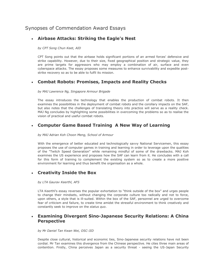# Synopses of Commendation Award Essays

## **Airbase Attacks: Striking the Eagle's Nest**

*by CPT Song Chun Keet, AID*

CPT Song points out that the airbase holds significant portions of an armed forces' defensive and strike capability. However, due to their size, fixed geographical position and strategic value, they are prime targets for aggressors who may employ a combination of air, surface and even cyberspace attacks. The essay proposes some measures to enhance survivability and expedite poststrike recovery so as to be able to fulfil its mission.

## **Combat Robots: Promises, Impacts and Reality Checks**

#### *by MAJ Lawrence Ng, Singapore Armour Brigade*

The essay introduces the technology that enables the production of combat robots. It then examines the possibilities in the deployment of combat robots and the corollary impacts on the SAF, but also notes that the challenges of translating theory into practice will serve as a reality check. MAJ Ng concludes by highlighting some possibilities in overcoming the problems so as to realise the vision of practical and useful combat robots.

## **Computer Game Based Training A New Way of Learning**

*by MAJ Adrian Koh Choon Meng, School of Armour*

With the emergence of better educated and technologically savvy National Servicemen, this essay proposes the use of computer games in training and learning in order to leverage upon the qualities of the "Twitch Speed Generation" while remaining mindful of some of the drawbacks. MAJ Koh examines the US experience and proposes how the SAF can learn from it. He concludes with a call for this form of training to complement the existing system so as to create a more positive environment for learning and thus benefit the organisation as a whole.

# **Creativity Inside the Box**

*by LTA Gaurav Keerthl, AFS*

LTA Keerthl's essay reverses the popular exhortation to "think outside of the box" and urges people to change their mindsets, without changing the corporate culture too radically and not to force, upon others, a style that is ill-suited. Within the box of the SAF, personnel are urged to overcome fear of criticism and failure, to create time amidst the stressful environment to think creatively and constantly seek to improve on the *status quo*.

## **Examining Divergent Sino-Japanese Security Relations: A China Perspective**

*by Mr Daniel Tan Kwan Wei, OSC-JID*

Despite close cultural, historical and economic ties, Sino-Japanese security relations have not been cordial. Mr Tan examines this divergence from the Chinese perspective. He cites three main areas of contention. Firstly, China perceives Japan as a security threat - seeing the US-Japan Security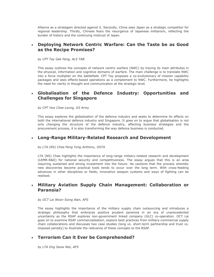Alliance as a stratagem directed against it. Secondly, China sees Japan as a strategic competitor for regional leadership. Thirdly, Chinese fears the resurgence of Japanese militarism, reflecting the burden of history and the continuing mistrust of Japan.

### **Deploying Network Centric Warfare: Can the Taste be as Good as the Recipe Promises?**

*by CPT Tay Gek Peng, ALS TAB*

This essay outlines the concepts of network centric warfare (NWC) by tracing its main attributes in the physical, information and cognitive domains of warfare. The main challenge is to translate NWC into a force multiplier on the battlefield. CPT Tay proposes a co-evolutionary of mission capability packages and sees effects-based operations as a complement to NWC. Furthermore, he highlights the need for clarity in thought and communication at the strategic level.

## **Globalisation of the Defence Industry: Opportunities and Challenges for Singapore**

*by CPT Yew Chee Leung, G5 Army*

This essay explores the globalisation of the defence industry and seeks to determine its effects on both the international defence industry and Singapore. It goes on to argue that globalisation is not only changing the structure of the defence industry, affecting business strategies and the procurement process, it is also transforming the way defence business is conducted.

### **Long-Range Military-Related Research and Development**

*by LTA (NS) Chee Peng Yong Anthony, DSTA*

LTA (NS) Chee highlights the importance of long-range military-related research and development (LRMR-R&D) for national security and competitiveness. The essay argues that this is an area requiring sustained and strong investment into the future. He cautions that the process whereby new discoveries become practical tools tends to occur over the long term. With cross-feeding advances in other disciplines or fields, innovative weapon systems and ways of fighting can be realised.

### **Military Aviation Supply Chain Management: Collaboration or Paranoia?**

#### *by OCT Lai Woon Siong Alan, AFS*

The essay highlights the importance of the military supply chain outsourcing and introduces a strategic philosophy that embraces positive prudent paranoia in an era of unprecedented uncertainty as the RSAF explores non-government linked company (GLC) co-operation. OCT Lai goes on to examine RSAF commercialisation, explore best practices from military-commercial supply chain collaborations and discusses two case studies (long vs. short-term partnership and trust vs. imposed penalty) to illustrate the relevance of these concepts to the RSAF.

## **Terrorism Can it Ever be Comprehended?**

*by LTA Ong Seow Wei, AFS*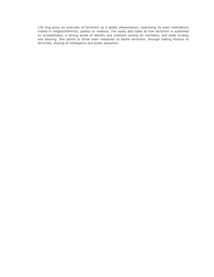LTA Ong gives an overview of terrorism as a global phenomenon, examining its main motivations rooted in religion/ethnicity, politics or violence. The essay also looks at how terrorism is sustained by sympathisers, a strong sense of identity and cohesion among its members, and state funding and backing. She points to three main measures to tackle terrorism, through halting finance to terrorists, sharing of intelligence and public education.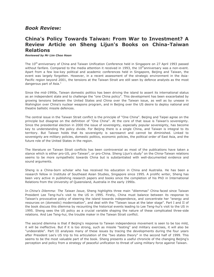## *Book Review:*

# **China's Policy Towards Taiwan: From War to Investment? A Review Article on Sheng Lijun's Books on China-Taiwan Relations**

#### *Reviewed by Mr Lim Choo Hoon*

The 10<sup>th</sup> anniversary of China and Taiwan Unification Conference held in Singapore on 27 April 1993 passed without fanfare. Compared to the media attention it received in 1993, the 10<sup>th</sup>anniversary was a non-event. Apart from a few low-key political and academic conferences held in Singapore, Beijing and Taiwan, the event was largely forgotten. However, in a recent assessment of the strategic environment in the Asia-Pacific region beyond 2001, the tensions at the Taiwan Strait are still seen by defence analysts as the most dangerous part of Asia. $<sup>1</sup>$ </sup>

Since the mid-1990s, Taiwan domestic politics has been driving the island to assert its international status as an independent state and to challenge the "one China policy". This development has been exacerbated by growing tensions between the United States and China over the Taiwan issue, as well as by unease in Wahington over China's nuclear weapons program, and in Beijing over the US desire to deploy national and theatre ballistic missile defences.

The central issue in the Taiwan Strait conflict is the principle of "One China". Beijing and Taipei agree on the principle but disagree on the definition of "One China". At the core of that issue is Taiwan's sovereignty. Since the presidential election in 2000 the issue of sovereignty, especially popular sovereignty, has become key to understanding the policy divide. For Beijing there is a single China, and Taiwan is integral to its territory. But Taiwan holds that its sovereignty is sacrosanct and cannot be diminished. Linked to sovereignty are military policies, domestic politics, economic policies, the political order of East Asia, and the future role of the United States in the region.

The literature on Taiwan Strait conflicts has been controversial as most of the publications have taken a stance which is either pro-US, pro-Taiwan<sup>2</sup>, or pro-China. Sheng Lijun's study<sup>3</sup> on the China-Taiwan relations seems to be more sympathetic towards China but is substantiated with well-documented evidence and sound arguments.

Sheng is a China-born scholar who has received his education in China and Australia. He has been a research fellow in Institute of Southeast Asian Studies, Singapore since 1995. A prolific writer, Sheng has been very active in publishing research papers and books since the completion of his PhD in International Relations from the University of Queensland, Australia in the early 1990s.

In *China's Dilemma: The Taiwan Issue*, Sheng highlights three main "dilemmas" China faced since Taiwan President Lee Teng-hui's visit to the US in 1995. Firstly, China must balance between its response to Taiwan's provocative policy of steering the island towards independence, and concentrate her "energy and resources on (domestic) modernisation", and deal with the "Taiwan issue at the later stage". Part I and II of the book discuss this dilemma by recounting the historical events leading to Lee Teng-hui's visit to the US in 1995. Sheng sees the US policy as a crucial variable shaping the nature of these complicated three-side relations. And Lee Teng-hui, the trouble maker in the Taiwan Strait conflict.

The second dilemma is that if Beijing's response to Taiwan independence movement is seen to be too mild, it will be ineffective. But if it is too strong, such as missile "testing" and military exercises, it will also be "undesirable". Part III analyses many of these issues by tracing the developments during the four years after President Lee's US trip to his articulation of the "two states theory" in the second half of 1999. This seems to be the most valuable part of the book. Sheng presents a useful chronicle of the changing Beijing's perception and policy from a strategy of peaceful unification to threat of using military force against Taiwan.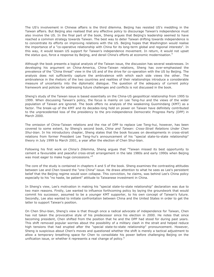The US's involvement in Chinese affairs is the third dilemma. Beijing has resisted US's meddling in the Taiwan affairs. But Beijing also realised that any effective policy to discourage Taiwan's independence must also involve the US. In the final part of the book, Sheng argues that Beijing's leadership seemed to have reached a common strategy towards Taiwan. The best way to deter Taiwan drifting towards independence is to concentrate its efforts on improving relations with the US. Beijing hopes that Washington would realise the importance of a "co-operative relationship with China for its long-term global and regional interests". In this way, it would lessen US support for Taiwan's independence movement. In return, it would not upset the *status quo*, force a response by Beijing, and derail China's efforts at economic modernisation.<sup>4</sup>

Although the book presents a logical analysis of the Taiwan issue, the discussion has several weaknesses. In developing his argument on China-America, China-Taiwan relations, Sheng has over-emphasised the prevalence of the "China threat" view in the US and of the drive for co-operation with the US by Beijing. The analysis does not sufficiently capture the ambivalence with which each side views the other. The ambivalence in the rhetoric of the two countries and realities of their relationships introduce a considerable measure of uncertainty into the diplomatic dialogue. The question of the adequacy of current policy framework and policies for addressing future challenges and conflicts is not discussed in the book.

Sheng's study of the Taiwan issue is based essentially on the China-US geopolitical relationship from 1995 to 1999. When discussing Taiwan's policy, the focus is mainly on Lee Teng-hui and the views of the wider population of Taiwan are ignored. The book offers no analysis of the weakening Guomindang (KMT) as a factor. The break-up of the KMT and its decades-long hold on power on Taiwan have definitely contributed to the unprecedented loss of the presidency to the pro-independence Democratic Progress Party (DPP) in March 2000.

The omission of China-Taiwan relations and the rise of DPP to replace Lee Teng-hui, however, has been covered to some extent, by Sheng's second book, *China and Taiwan: Cross-Strait Relations Under Chen Shui-bian*. In his introductory chapter, Sheng states that the book focuses on developments in cross-strait relations from former President Lee Teng-hui's announcement of his "special state-to-state relationship" theory in July 1999 to March 2001, a year after the election of Chen Shui-bian.

Following his first work on *China's Dilemma*, Sheng argues that "Taiwan missed its best opportunity to cement a favourable and peaceful cross-strait arrangement in the late 1980s and early 1990s when Beijing was most eager to make huge concessions."<sup>5</sup>

The core of the study is contained in chapters 4 and 5 of the book. Sheng examines the contrasting attitudes between Lee and Chen toward the "one China" issue. He draws attention to what he sees as Lee's persistent belief that the Beijing regime would soon collapse. This conviction, he claims, was behind Lee's China policy especially to his "no haste, be patient" attitude to Taiwanese investment in China.

In Sheng's view, Lee's motivation in making his "special state-to-state relationship" declaration was due to two main reasons. Firstly, Lee wanted to influence forthcoming policy by laying the groundwork that would commit his successor, assumed to be a younger KMT supporter, to his own concept of Taiwan's future. Secondly, Lee also wanted to initiate confrontation between China and the United States in order to get the latter to support Taiwan's position.

On Chen Shui-bian, Sheng's view is that though once a radical advocate of independence for Taiwan, Chen has not taken the provocative style of his predecessor since his election in 2000. He notes that since becoming president, Chen shifted from the position that he and the DPP had stood for during past years. This shift removed popular worries about the possibility of a military clash in the strait and helped reduce high tensions that had erupted after the "special state-to-state relationship" pronouncement. However, Sheng is suspicious about Chen's moves and questioned whether the shift is merely a tactical adjustment to allow a temporary breathing space for Chen to consolidate his power before challenging Beijing on the unification issue, or whether it represents a real change of policy.<sup>6</sup>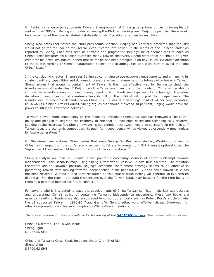On Beijing's change of policy towards Taiwan, Sheng notes that China gave up hope on Lee following his US visit in June 1995 but Beijing still preferred seeing the KMT remain in power. Beijing hoped that there would be a retraction of the "special state-to-state relationship" position after Lee leaves office.

Sheng also notes that before the 2000 presidential election, Beijing had correctly predicted that the DPP would not go too far, nor be too radical, even if voted into power. In the words of one Chinese leader as reported by Sheng, Chen was seen as "flexible and pragmatic." Beijing's belief seemed well founded as Chen's flexibility after his election surprised many Taiwan observers. Sheng states that he should be given credit for his flexibility, but cautioned that so far he has been ambiguous on key issues. He draws attention to the subtle wording of Chen's inauguration speech and to ambiguities and word play to avoid the "one China" issue.<sup>7</sup>

In the concluding chapter, Sheng sees Beijing as continuing to use economic engagement; and enhancing its strategic military capabilities and diplomatic pressure as major elements of its future policy towards Taiwan. Sheng argues that economic containment of Taiwan is the most effective way for Beijing to check the island's separatist tendencies. If Beijing can lure Taiwanese investors to the mainland, China will be able to contain the island's economic development, bleeding it of funds and hijacking its technology. A gradual depletion of resources would eventually take its toll on the political will to push for independence. The island's level of economic dependence on China in 2001 was at a "warning" point of 24 per cent, according to Taiwan's Mainland Affairs Council. Sheng argues that should it exceed 30 per cent, Beijing would have the power to influence Taiwanese politics.<sup>8</sup>

To wean Taiwan from dependency on the mainland, President Chen Shui-bian has renewed a "go-south" policy and pledged to upgrade the economy to one that is knowledge-based and technologically creative. Looking at the record so far, Sheng however, is not confident that Chen would be successful in this policy. If Taiwan loses the economic competition, its push for independence will be viewed as essentially meaningless by future generations.<sup>9</sup>

On Sino-American relations, Sheng notes that since George W. Bush was elected, Washington's view of China has changed from that of "strategic partner" to "strategic competitor". But Sheng is optimistic that the September 11 incident would favour future Sino-American relations.<sup>10</sup>

Sheng's analysis on Chen Shui-bian's Taiwan painted a doomsday scenario of Taiwan's attempt towards independence. This scenario may, using Sheng's framework, resolve China's first dilemma - to maintain the *status quo* on Taiwan's position. Beijing's economic containment strategy seems to be effective in preventing Taiwan from moving towards independence in the near future. But the basic Taiwan issue has not been resolved. Without a long-term resolution on this crucial issue, Beijing will continue to live with its dilemmas. For the region, although the tensions over the Taiwan Strait may be quiet for the time being, it remains a potential hotspot for future conflict.

For anyone who is interested to trace the developments of China-Taiwan conflicts in the last two decades and understand China's policy of containing Taiwan's independence movement, these two books are essential readings. Readers are also encouraged to consult other works such as Robert Ross's article on why the US supported Taiwan in 1995-96,<sup>11</sup> and Gerrit W. Gong's edited volume Taiwan Straits Dilemmas<sup>12</sup> for other interpretations on this very complex US-China-Taiwan relations.

*The abovementioned titles are available for borrowing at the [SAFTI MI Library](http://www.mindef.gov.sg/safti/saftilibrary/). The catalog references are:*

China 's Dilemma: The Taiwan Issue Sheng Lijun DS777.55 SHE

China and Taiwan : Cross-Strait Relations Under Chen Shui-bian Sheng Lijun DS799.63 SHE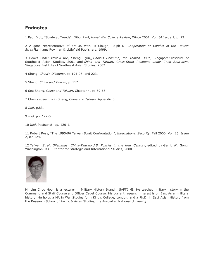### **Endnotes**

1 Paul Dibb, "Strategic Trends", Dibb, Paul, *Naval War College Review*, Winter2001, Vol. 54 Issue 1, p. 22.

2 A good representative of pro-US work is Clough, Ralph N., *Cooperation or Conflict in the Taiwan Strait?*Lanham: Rowman & Littlefield Publishers, 1999.

3 Books under review are, Sheng Lijun,, *China's Delimma, the Taiwan Issue*, Singapore: Institute of Southeast Asian Studies, 2001 and *China and Taiwan, Cross-Strait Relations under Chen Shui-bian*, Singapore:Institute of Southeast Asian Studies, 2002.

4 Sheng, *China's Dilemma*, pp.194-96, and 223.

5 Sheng, *China and Taiwan*, p. 117.

6 See Sheng, *China and Taiwan*, Chapter 4, pp.59-65.

7 Chen's speech is in Sheng, *China and Taiwan,* Appendix 3.

8 *Ibid*. p.83.

9 *Ibid*. pp. 122-5.

10 *Ibid*. Postscript, pp. 120-1.

11 Robert Ross, "The 1995-96 Taiwan Strait Confrontation", *International Security*, Fall 2000, Vol. 25, Issue 2, 87-124.

12 *Taiwan Strait Dilemmas: China-Taiwan-U.S. Policies in the New Century,* edited by Gerrit W. Gong, Washington, D.C.: Center for Strategic and International Studies, 2000.



Mr Lim Choo Hoon is a lecturer in Military History Branch, SAFTI MI. He teaches military history in the Command and Staff Course and Officer Cadet Course. His current research interest is on East Asian military history. He holds a MA in War Studies form King's College, London, and a Ph.D. in East Asian History from the Research School of Pacific & Asian Studies, the Australian National University.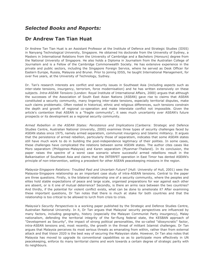# *Selected Books and Reports:*

# **Dr Andrew Tan Tian Huat**

Dr Andrew Tan Tian Huat is an Assistant Professor at the Institute of Defence and Strategic Studies (IDSS) in Nanyang Technological University, Singapore. He obtained his doctorate from the University of Sydney, a Masters in International Relations from the University of Cambridge and a Bachelors (Honours) degree from the National University of Singapore. He also holds a Diploma in Journalism from the Australian College of Journalism and is a Fellow of the Cambridge Commonwealth Society. He has extensive experience in the private and public sectors, including the Singapore Foreign Service, where he served as Desk Officer for Eastern Europe, Russia, Malaysia and Brunei. Prior to joining IDSS, he taught International Management, for over five years, at the University of Technology, Sydney.

Dr. Tan's research interests are conflict and security issues in Southeast Asia (including aspects such as inter-state tensions, insurgency, terrorism, force modernisation) and he has written extensively on these subjects. *Intra-ASEAN Tensions* (London: Royal Institute of International Affairs, 2000) argues that although the successes of the Association of South East Asian Nations (ASEAN) gave rise to claims that ASEAN constituted a security community, many lingering inter-state tensions, especially territorial disputes, make such claims problematic. Often rooted in historical, ethnic and religious differences, such tensions constrain the depth and growth of regional co-operation and make interstate conflict not impossible. Given the article's contention that ASEAN is a "fragile community", it sees much uncertainty over ASEAN's future prospects or its development as a regional security community.

*Armed Rebellion in the ASEAN States: Persistence and Implications* (Canberra: Strategic and Defence Studies Centre, Australian National University, 2000) examines three types of security challenges faced by ASEAN states since 1975, namely armed separatism, communist insurgency and Islamic militancy. It argues that the persistence of armed rebellion, particularly those of separatism, indicates that some ASEAN states still have much work to do in building the post-independence legitimacy of their polities. In some cases, these challenges have complicated the relations between some ASEAN states. The author cites cases like Moro separatism (Philippines-Malaysia) and Karen separatism (Myanmar-Thailand). In its conclusion, the paper raises the spectre of a worst case scenario where successful armed rebellions result in the Balkanisation of Southeast Asia and claims that the INTERFET operation in East Timor has dented ASEAN's principle of non-intervention, setting a precedent for other ASEAN peacekeeping missions in the region.

*Malaysia-Singapore Relations: Troubled Past and Uncertain Future?* (Hull: University of Hull, 2001) sees the Malaysia-Singapore relationship as an important case study of intra-ASEAN tensions. Central to the paper are three questions. Firstly, is the bilateral relationship one of a security community, where the peoples and elites hold stable expectations of peace and large scale, organised preparations for war against each other are absent, or is it one of mutual deterrence? Secondly, is there an arms race between the two countries? And thirdly, if the potential for violent conflict exists, what can be done to ameliorate it? After examining these important questions, Dr Tan notes that there is much at stake for both countries and that the relationship is too critical to be allowed to lurch from crisis to crisis.

*Malaysia's Security Perspectives* is a working paper published by the Strategic and Defence Studies Centre, Australian National University. In it, Dr Tan argues that Malaysia' security perspectives are influenced by many factors, including geography, history (especially the Malayan Communist Party insurgency), Malay nationalism, defending the territorial integrity of the far-flung federal state, the KESBAN approach of "Development as Security", the impact of strong political personalities, the so-called "idiosyncratic" factor, intra-ASEAN tensions and, most recently, the growth in the threat of militant Islamist challenges. Dr Tan argues that Malaysia perceives its most serious threats as emanating from within, rather than from external attack and that Vision 2020 is the best way of securing the Malaysian state. However, Dr Tan also notes that Malaysia has moved to upgrade its conventional capabilities so as to participate more effectively in UN peacekeeping, enforce its many territorial claims and work towards a certain degree of strategic parity with its neighbours.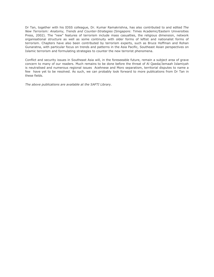Dr Tan, together with his IDSS colleague, Dr. Kumar Ramakrishna, has also contributed to and edited *The New Terrorism: Anatomy, Trends and Counter-Strategies* (Singapore: Times Academic/Eastern Universities Press, 2002). The "new" features of terrorism include mass casualties, the religious dimension, network organisational structure as well as some continuity with older forms of leftist and nationalist forms of terrorism. Chapters have also been contributed by terrorism experts, such as Bruce Hoffman and Rohan Gunaratna, with particular focus on trends and patterns in the Asia Pacific, Southeast Asian perspectives on Islamic terrorism and formulating strategies to counter the new terrorist phenomena.

Conflict and security issues in Southeast Asia will, in the foreseeable future, remain a subject area of grave concern to many of our readers. Much remains to be done before the threat of Al Qaeda/Jemaah Islamiyah is neutralised and numerous regional issues Acehnese and Moro separatism, territorial disputes to name a few have yet to be resolved. As such, we can probably look forward to more publications from Dr Tan in these fields.

*The above publications are available at the SAFTI Library.*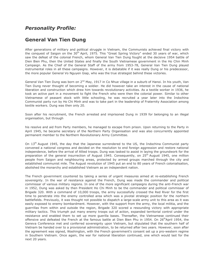# *Personality Profile:*

# **General Van Tien Dung**

After generations of military and political struggle in Vietnam, the Communists achieved final victory with the conquest of Saigon on the 30<sup>th</sup> April, 1975. This "Great Spring Victory" ended 30 years of war, which saw the defeat of the colonial French, whom General Van Tien Dung fought at the decisive 1954 battle of Dien Bien Phu, then the United States and finally the South Vietnamese government in the Ho Chin Minh Campaign. As the Chief of the General Staff of the army from 1953-78, General Van Tien Dung played instrumental roles in all these campaigns. However, it is debatable if it was really Dung or his predecessor, the more popular General Vo Nguyen Giap, who was the true strategist behind these victories.

General Van Tien Dung was born on 2<sup>nd</sup> May, 1917 in Co Nhue village in a suburb of Hanoi. In his youth, Van Tien Dung never thought of becoming a soldier. He did however take an interest in the cause of national liberation and construction which drew him towards revolutionary activities. As a textile worker in 1936, he took an active part in a movement to fight the French who were then the colonial power. Similar to other Vietnamese of peasant stock with little schooling, he was recruited a year later into the Indochina Communist party run by Ho Chi Minh and was to take part in the leadership of Fraternity Association among textile workers. Dung was then only 20.

Soon after his recruitment, the French arrested and imprisoned Dung in 1939 for belonging to an illegal organisation, but through

his resolve and aid from Party members, he managed to escape from prison. Upon returning to the Party in April 1945, he became secretary of the Northern Party Organisation and was also concurrently appointed permanent member to the Northern Revolutionary Army Committee.

On  $13<sup>th</sup>$  August 1945, the day that the Japanese surrendered to the US, the Indochina Communist party convened a national congress and decided on the resolution to end foreign aggression and restore national independence, before the arrival of Allied troops. Dung was tasked to assist in laying the groundwork for the preparation of the general insurrection of August 1945. Consequently, on 25<sup>th</sup> August 1945, one million people from Saigon and neighbouring areas, protected by armed groups marched through the city and established communist mile. The August revolution of 1945 put an end to 80 years of French colonialisation, abolished the monarchy and established Vietnam as an independent nation.

The French government countered by taking a series of urgent measures aimed at re-establishing French sovereignty. In the war of resistance against the French, Dung was made the commander and political commissar of various military regions. In one of the more significant campaigns during the anti-French war in 1952, Dung was asked by then President Ho Chi Minh to be the commander and political commissar of Brigade 320. With a command of 10,000 troops, the army successfully crossed the Red River for the first time to penetrate into the enemy controlled area which was a pivotal strategic position for the northern battlefields. Previously, it was thought not possible to dispatch a large-scale army unit to this area as it was easily exposed to enemy bombardment. However, with the support from the army, the local militia, and the guerrillas from within and outside the region, Brigade 320 scored a resounding victory with appropriate military tactics. This triumph put many enemy troops out of action, expanded territorial control under the resistance and enabled them to set up more guerilla bases. Thereafter, the Vietnamese continued their offensive and defeated the French at the famous battle at Dien Bien Phu in 1954. On 26<sup>th</sup>April 1954, the Geneva Conference met and conferred sovereignty upon Vietnam, but stipulated that the southern half of Vietnam be handed over to a provisional administration, to be returned after two years. However, soon after the agreement was signed, Washington, with the French government's consent set up a pro-western regime in Southern Vietnam. Once again, the war for national liberation continued, one which would last for the next 20 years.